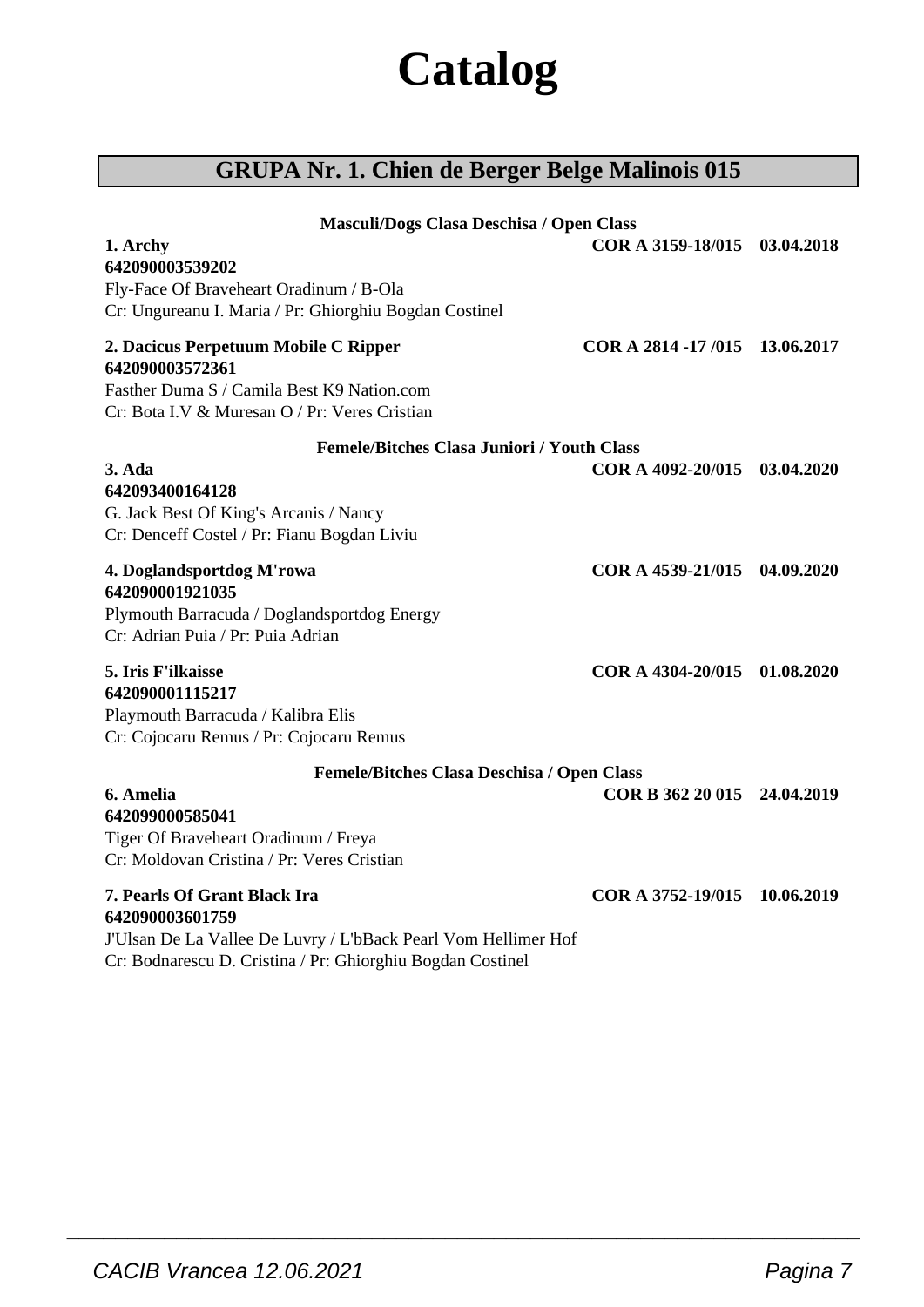# **Catalog**

## **GRUPA Nr. 1. Chien de Berger Belge Malinois 015**

| Masculi/Dogs Clasa Deschisa / Open Class<br>1. Archy<br>642090003539202                                                                                                                | COR A 3159-18/015 03.04.2018  |  |
|----------------------------------------------------------------------------------------------------------------------------------------------------------------------------------------|-------------------------------|--|
| Fly-Face Of Braveheart Oradinum / B-Ola<br>Cr: Ungureanu I. Maria / Pr: Ghiorghiu Bogdan Costinel                                                                                      |                               |  |
| 2. Dacicus Perpetuum Mobile C Ripper<br>642090003572361<br>Fasther Duma S / Camila Best K9 Nation.com<br>Cr: Bota I.V & Muresan O / Pr: Veres Cristian                                 | COR A 2814 -17/015 13.06.2017 |  |
| <b>Femele/Bitches Clasa Juniori / Youth Class</b><br>3. Ada<br>642093400164128<br>G. Jack Best Of King's Arcanis / Nancy<br>Cr: Denceff Costel / Pr: Fianu Bogdan Liviu                | COR A 4092-20/015 03.04.2020  |  |
| 4. Doglandsportdog M'rowa<br>642090001921035<br>Plymouth Barracuda / Doglandsportdog Energy<br>Cr: Adrian Puia / Pr: Puia Adrian                                                       | COR A 4539-21/015 04.09.2020  |  |
| <b>5. Iris F'ilkaisse</b><br>642090001115217<br>Playmouth Barracuda / Kalibra Elis<br>Cr: Cojocaru Remus / Pr: Cojocaru Remus                                                          | COR A 4304-20/015 01.08.2020  |  |
| Femele/Bitches Clasa Deschisa / Open Class<br>6. Amelia<br>642099000585041<br>Tiger Of Braveheart Oradinum / Freya<br>Cr: Moldovan Cristina / Pr: Veres Cristian                       | COR B 362 20 015 24.04.2019   |  |
| <b>7. Pearls Of Grant Black Ira</b><br>642090003601759<br>J'Ulsan De La Vallee De Luvry / L'bBack Pearl Vom Hellimer Hof<br>Cr: Bodnarescu D. Cristina / Pr: Ghiorghiu Bogdan Costinel | COR A 3752-19/015 10.06.2019  |  |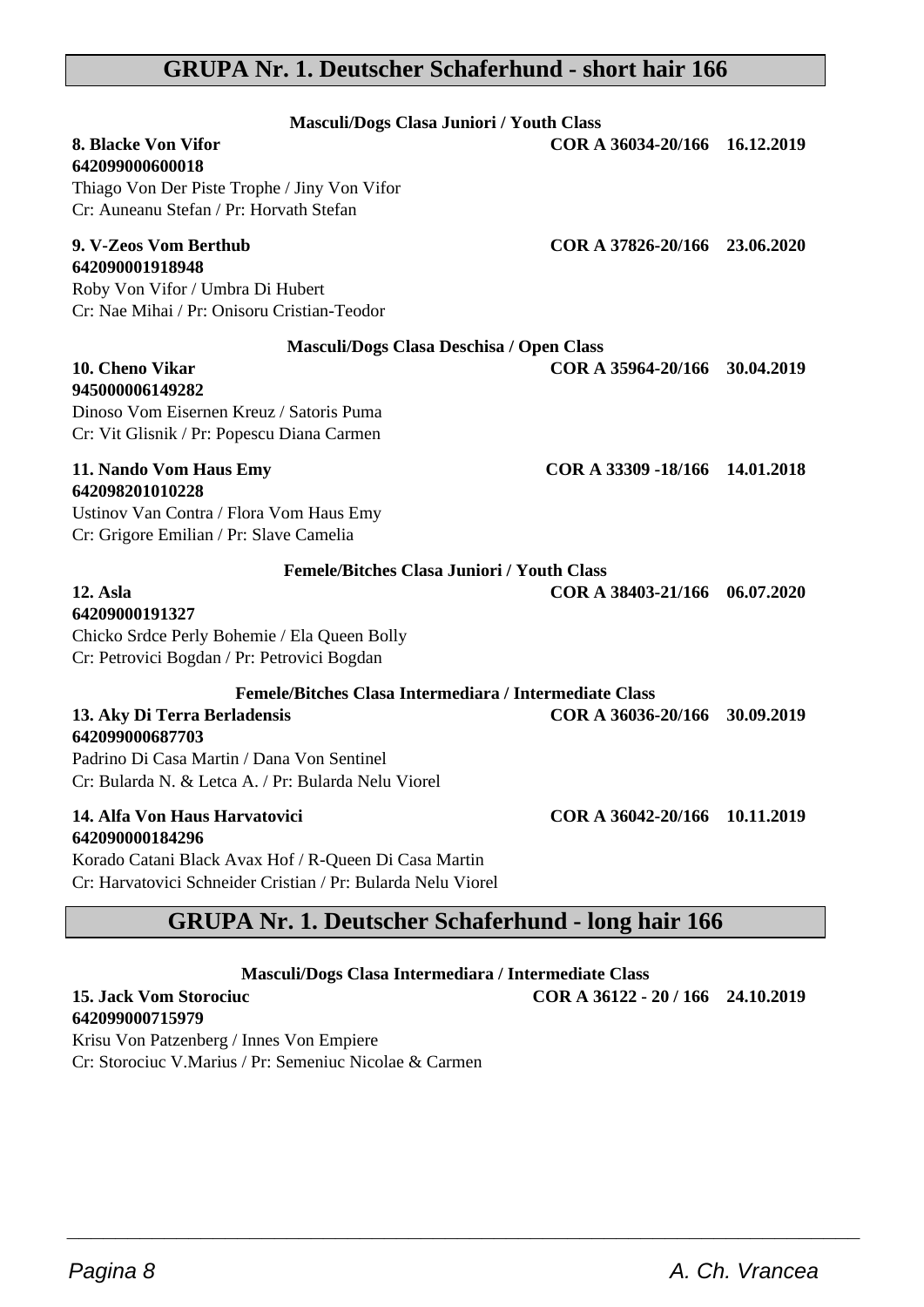## **GRUPA Nr. 1. Deutscher Schaferhund - short hair 166**

| Masculi/Dogs Clasa Juniori / Youth Class<br>8. Blacke Von Vifor<br>642099000600018<br>Thiago Von Der Piste Trophe / Jiny Von Vifor<br>Cr: Auneanu Stefan / Pr: Horvath Stefan                                  | COR A 36034-20/166 16.12.2019  |  |
|----------------------------------------------------------------------------------------------------------------------------------------------------------------------------------------------------------------|--------------------------------|--|
| 9. V-Zeos Vom Berthub<br>642090001918948<br>Roby Von Vifor / Umbra Di Hubert<br>Cr: Nae Mihai / Pr: Onisoru Cristian-Teodor                                                                                    | COR A 37826-20/166 23.06.2020  |  |
| Masculi/Dogs Clasa Deschisa / Open Class<br>10. Cheno Vikar<br>945000006149282<br>Dinoso Vom Eisernen Kreuz / Satoris Puma<br>Cr: Vit Glisnik / Pr: Popescu Diana Carmen                                       | COR A 35964-20/166 30.04.2019  |  |
| 11. Nando Vom Haus Emy<br>642098201010228<br>Ustinov Van Contra / Flora Vom Haus Emy<br>Cr: Grigore Emilian / Pr: Slave Camelia                                                                                | COR A 33309 -18/166 14.01.2018 |  |
| <b>Femele/Bitches Clasa Juniori / Youth Class</b><br>12. Asla<br>64209000191327<br>Chicko Srdce Perly Bohemie / Ela Queen Bolly<br>Cr: Petrovici Bogdan / Pr: Petrovici Bogdan                                 | COR A 38403-21/166 06.07.2020  |  |
| Femele/Bitches Clasa Intermediara / Intermediate Class<br>13. Aky Di Terra Berladensis<br>642099000687703<br>Padrino Di Casa Martin / Dana Von Sentinel<br>Cr: Bularda N. & Letca A. / Pr: Bularda Nelu Viorel | COR A 36036-20/166 30.09.2019  |  |
| 14. Alfa Von Haus Harvatovici<br>642090000184296<br>Korado Catani Black Avax Hof / R-Queen Di Casa Martin<br>Cr: Harvatovici Schneider Cristian / Pr: Bularda Nelu Viorel                                      | COR A 36042-20/166 10.11.2019  |  |

## **GRUPA Nr. 1. Deutscher Schaferhund - long hair 166**

**Masculi/Dogs Clasa Intermediara / Intermediate Class**

 $\overline{\phantom{a}}$  , and the set of the set of the set of the set of the set of the set of the set of the set of the set of the set of the set of the set of the set of the set of the set of the set of the set of the set of the s

#### **15. Jack Vom Storociuc COR A 36122 - 20 / 166 24.10.2019 642099000715979**

Krisu Von Patzenberg / Innes Von Empiere Cr: Storociuc V.Marius / Pr: Semeniuc Nicolae & Carmen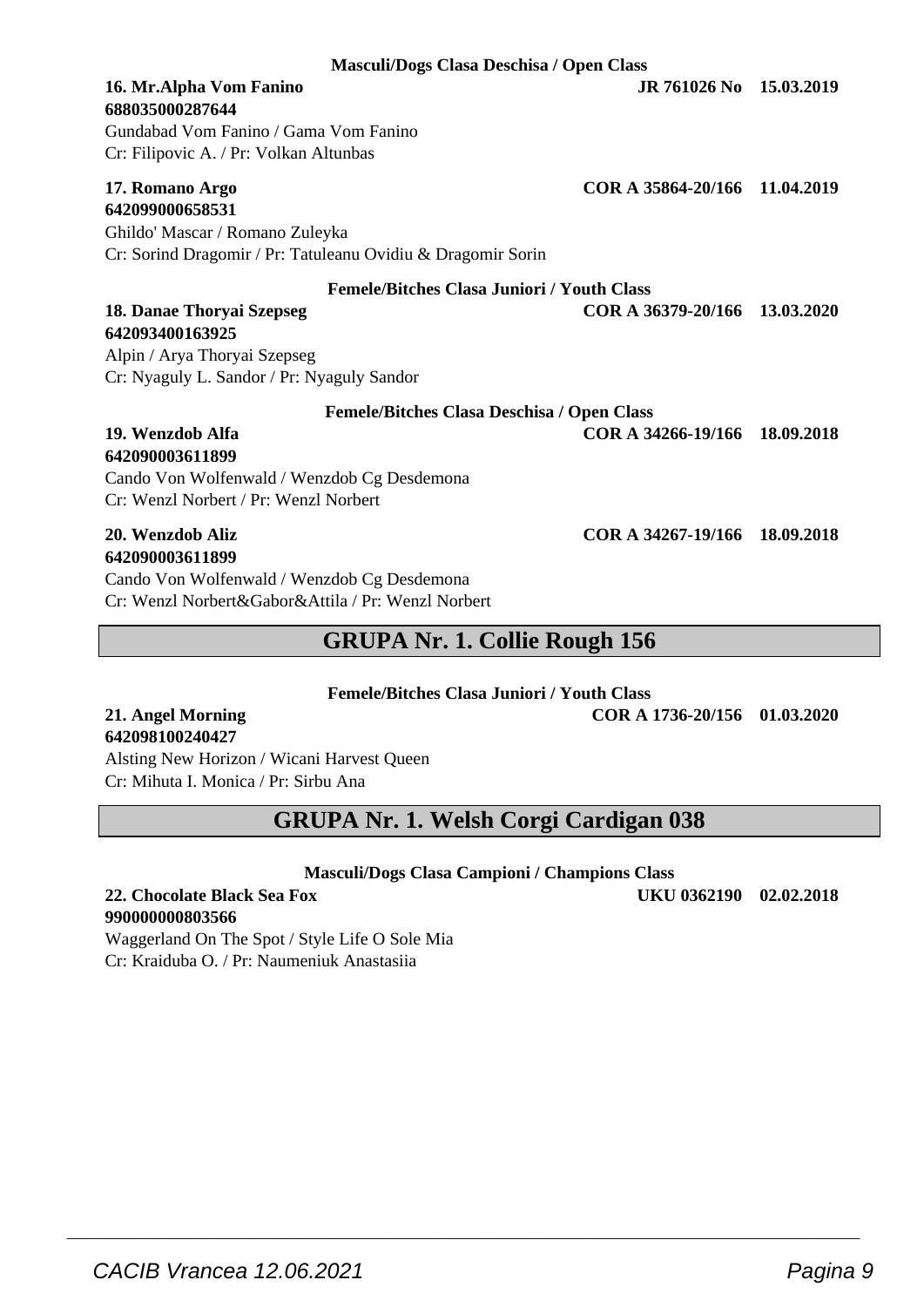**Masculi/Dogs Clasa Deschisa / Open Class**

## **688035000287644**

Gundabad Vom Fanino / Gama Vom Fanino Cr: Filipovic A. / Pr: Volkan Altunbas

#### **17. Romano Argo COR A 35864-20/166 11.04.2019 642099000658531**

Ghildo' Mascar / Romano Zuleyka Cr: Sorind Dragomir / Pr: Tatuleanu Ovidiu & Dragomir Sorin

#### **Femele/Bitches Clasa Juniori / Youth Class**

**18. Danae Thoryai Szepseg COR A 36379-20/166 13.03.2020**

## **642093400163925**

Alpin / Arya Thoryai Szepseg Cr: Nyaguly L. Sandor / Pr: Nyaguly Sandor

| Femele/Bitches Clasa Deschisa / Open Class                                                        |                               |  |
|---------------------------------------------------------------------------------------------------|-------------------------------|--|
| 19. Wenzdob Alfa<br>642090003611899                                                               | COR A 34266-19/166 18.09.2018 |  |
| Cando Von Wolfenwald / Wenzdob Cg Desdemona<br>Cr: Wenzl Norbert / Pr: Wenzl Norbert              |                               |  |
| 20. Wenzdob Aliz<br>642090003611899                                                               | COR A 34267-19/166 18.09.2018 |  |
| Cando Von Wolfenwald / Wenzdob Cg Desdemona<br>Cr: Wenzl Norbert&Gabor&Attila / Pr: Wenzl Norbert |                               |  |

## **GRUPA Nr. 1. Collie Rough 156**

#### **Femele/Bitches Clasa Juniori / Youth Class**

**21. Angel Morning COR A 1736-20/156 01.03.2020**

#### Alsting New Horizon / Wicani Harvest Queen Cr: Mihuta I. Monica / Pr: Sirbu Ana

**GRUPA Nr. 1. Welsh Corgi Cardigan 038**

**Masculi/Dogs Clasa Campioni / Champions Class**

 $\overline{\phantom{a}}$  , and the set of the set of the set of the set of the set of the set of the set of the set of the set of the set of the set of the set of the set of the set of the set of the set of the set of the set of the s

#### **22. Chocolate Black Sea Fox UKU 0362190 02.02.2018 990000000803566**

**642098100240427**

Waggerland On The Spot / Style Life O Sole Mia Cr: Kraiduba O. / Pr: Naumeniuk Anastasiia

**16. Mr.Alpha Vom Fanino JR 761026 No 15.03.2019**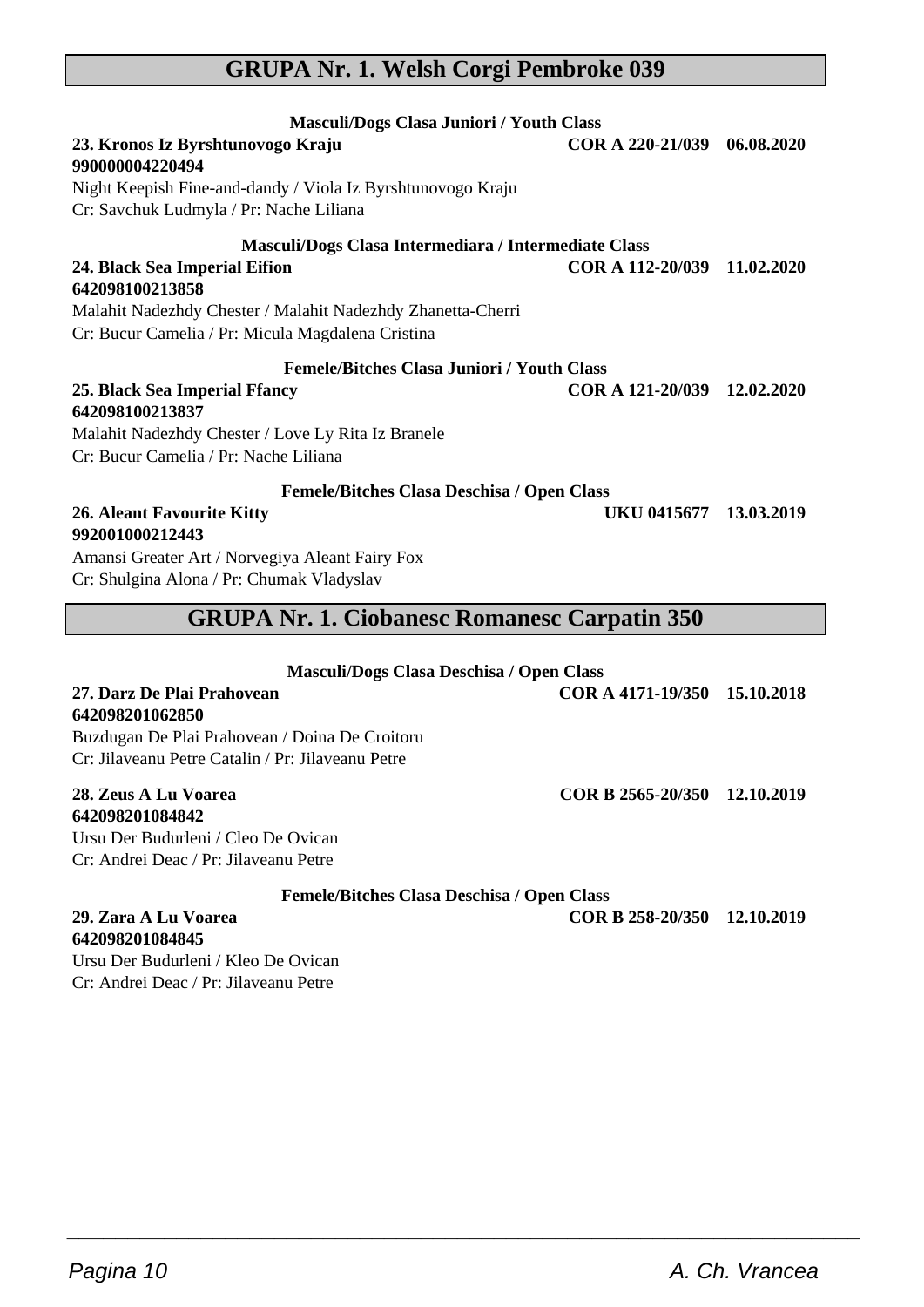## **GRUPA Nr. 1. Welsh Corgi Pembroke 039**

| Masculi/Dogs Clasa Juniori / Youth Class<br>23. Kronos Iz Byrshtunovogo Kraju<br>990000004220494<br>Night Keepish Fine-and-dandy / Viola Iz Byrshtunovogo Kraju<br>Cr: Savchuk Ludmyla / Pr: Nache Liliana<br>Masculi/Dogs Clasa Intermediara / Intermediate Class<br>24. Black Sea Imperial Eifion<br>642098100213858 | COR A 220-21/039<br>COR A 112-20/039 11.02.2020 | 06.08.2020 |  |
|------------------------------------------------------------------------------------------------------------------------------------------------------------------------------------------------------------------------------------------------------------------------------------------------------------------------|-------------------------------------------------|------------|--|
| Malahit Nadezhdy Chester / Malahit Nadezhdy Zhanetta-Cherri<br>Cr: Bucur Camelia / Pr: Micula Magdalena Cristina                                                                                                                                                                                                       |                                                 |            |  |
| <b>Femele/Bitches Clasa Juniori / Youth Class</b>                                                                                                                                                                                                                                                                      |                                                 |            |  |
| 25. Black Sea Imperial Ffancy<br>642098100213837<br>Malahit Nadezhdy Chester / Love Ly Rita Iz Branele<br>Cr: Bucur Camelia / Pr: Nache Liliana                                                                                                                                                                        | COR A 121-20/039 12.02.2020                     |            |  |
| Femele/Bitches Clasa Deschisa / Open Class                                                                                                                                                                                                                                                                             |                                                 |            |  |
| <b>26. Aleant Favourite Kitty</b><br>992001000212443<br>Amansi Greater Art / Norvegiya Aleant Fairy Fox<br>Cr: Shulgina Alona / Pr: Chumak Vladyslav                                                                                                                                                                   | UKU 0415677 13.03.2019                          |            |  |
| <b>GRUPA Nr. 1. Ciobanesc Romanesc Carpatin 350</b>                                                                                                                                                                                                                                                                    |                                                 |            |  |
| Masculi/Dogs Clasa Deschisa / Open Class                                                                                                                                                                                                                                                                               |                                                 |            |  |
| 27. Darz De Plai Prahovean<br>642098201062850<br>Buzdugan De Plai Prahovean / Doina De Croitoru<br>Cr: Jilaveanu Petre Catalin / Pr: Jilaveanu Petre                                                                                                                                                                   | COR A 4171-19/350 15.10.2018                    |            |  |
| 28. Zeus A Lu Voarea<br>642098201084842<br>Ursu Der Budurleni / Cleo De Ovican<br>Cr: Andrei Deac / Pr: Jilayeanu Petre                                                                                                                                                                                                | COR B 2565-20/350 12.10.2019                    |            |  |
| <b>Femele/Bitches Clasa Deschisa / Open Class</b>                                                                                                                                                                                                                                                                      |                                                 |            |  |

 $\overline{\phantom{a}}$  , and the set of the set of the set of the set of the set of the set of the set of the set of the set of the set of the set of the set of the set of the set of the set of the set of the set of the set of the s

**29. Zara A Lu Voarea COR B 258-20/350 12.10.2019**

**642098201084845** Ursu Der Budurleni / Kleo De Ovican Cr: Andrei Deac / Pr: Jilaveanu Petre

 $\overline{\phantom{a}}$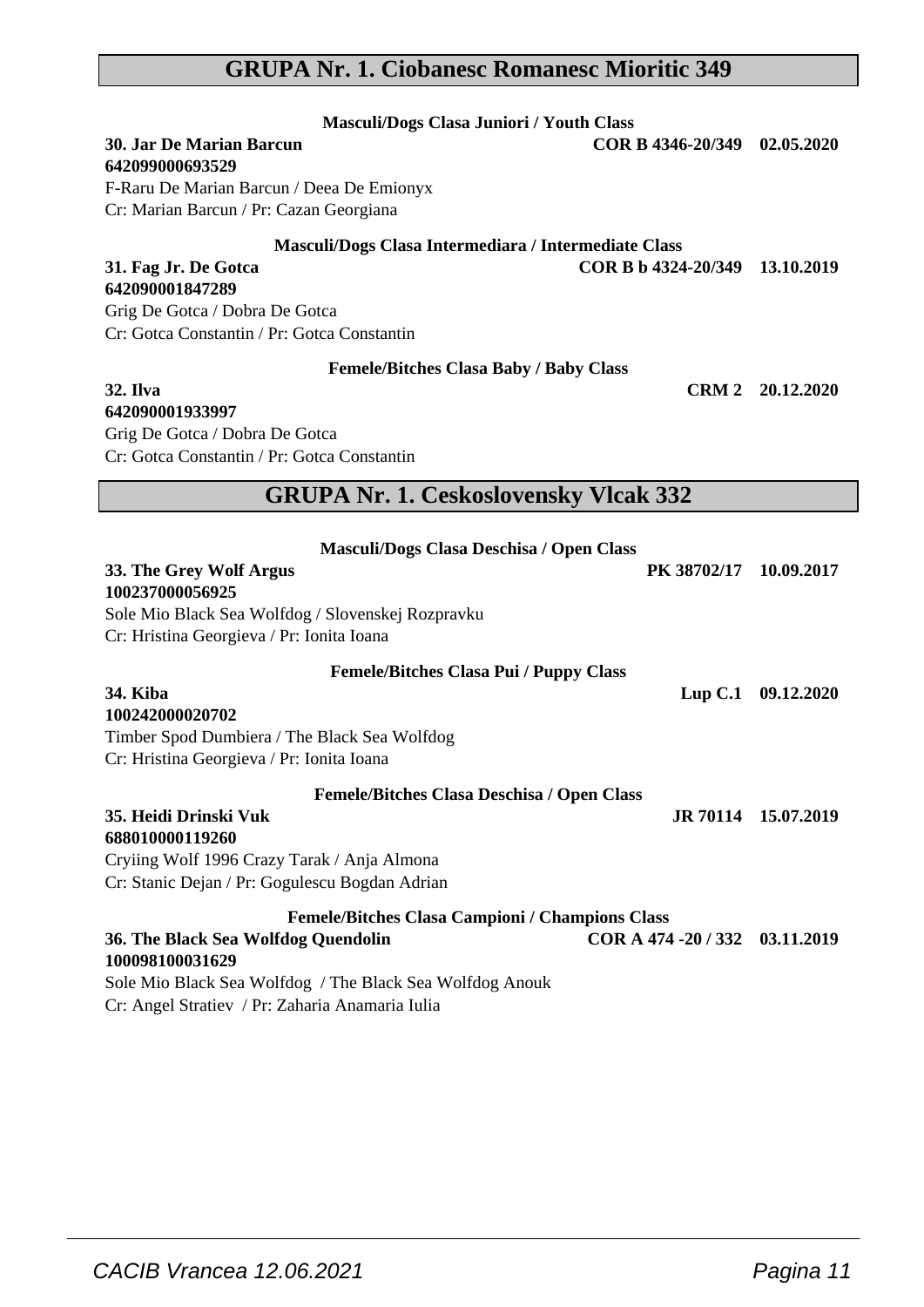## **GRUPA Nr. 1. Ciobanesc Romanesc Mioritic 349**

| Masculi/Dogs Clasa Juniori / Youth Class                 |                                |                     |
|----------------------------------------------------------|--------------------------------|---------------------|
| <b>30. Jar De Marian Barcun</b>                          | COR B 4346-20/349 02.05.2020   |                     |
| 642099000693529                                          |                                |                     |
| F-Raru De Marian Barcun / Deea De Emionyx                |                                |                     |
| Cr: Marian Barcun / Pr: Cazan Georgiana                  |                                |                     |
| Masculi/Dogs Clasa Intermediara / Intermediate Class     |                                |                     |
| 31. Fag Jr. De Gotca                                     | COR B b 4324-20/349 13.10.2019 |                     |
| 642090001847289                                          |                                |                     |
| Grig De Gotca / Dobra De Gotca                           |                                |                     |
| Cr: Gotca Constantin / Pr: Gotca Constantin              |                                |                     |
| Femele/Bitches Clasa Baby / Baby Class                   |                                |                     |
| <b>32. Ilva</b>                                          |                                | CRM 2 20.12.2020    |
| 642090001933997                                          |                                |                     |
| Grig De Gotca / Dobra De Gotca                           |                                |                     |
| Cr: Gotca Constantin / Pr: Gotca Constantin              |                                |                     |
| <b>GRUPA Nr. 1. Ceskoslovensky Vlcak 332</b>             |                                |                     |
|                                                          |                                |                     |
| Masculi/Dogs Clasa Deschisa / Open Class                 |                                |                     |
| 33. The Grey Wolf Argus                                  | PK 38702/17 10.09.2017         |                     |
| 100237000056925                                          |                                |                     |
| Sole Mio Black Sea Wolfdog / Slovenskej Rozpravku        |                                |                     |
| Cr: Hristina Georgieva / Pr: Ionita Ioana                |                                |                     |
| <b>Femele/Bitches Clasa Pui / Puppy Class</b>            |                                |                     |
| 34. Kiba                                                 |                                | Lup C.1 09.12.2020  |
| 100242000020702                                          |                                |                     |
| Timber Spod Dumbiera / The Black Sea Wolfdog             |                                |                     |
| Cr: Hristina Georgieva / Pr: Ionita Ioana                |                                |                     |
| Femele/Bitches Clasa Deschisa / Open Class               |                                |                     |
| 35. Heidi Drinski Vuk                                    |                                | JR 70114 15.07.2019 |
| 688010000119260                                          |                                |                     |
| Cryiing Wolf 1996 Crazy Tarak / Anja Almona              |                                |                     |
| Cr: Stanic Dejan / Pr: Gogulescu Bogdan Adrian           |                                |                     |
| <b>Femele/Bitches Clasa Campioni / Champions Class</b>   |                                |                     |
| 36. The Black Sea Wolfdog Quendolin                      | COR A 474 - 20 / 332           | 03.11.2019          |
| 100098100031629                                          |                                |                     |
| Sole Mio Black Sea Wolfdog / The Black Sea Wolfdog Anouk |                                |                     |

 $\overline{\phantom{a}}$  , and the set of the set of the set of the set of the set of the set of the set of the set of the set of the set of the set of the set of the set of the set of the set of the set of the set of the set of the s

Cr: Angel Stratiev / Pr: Zaharia Anamaria Iulia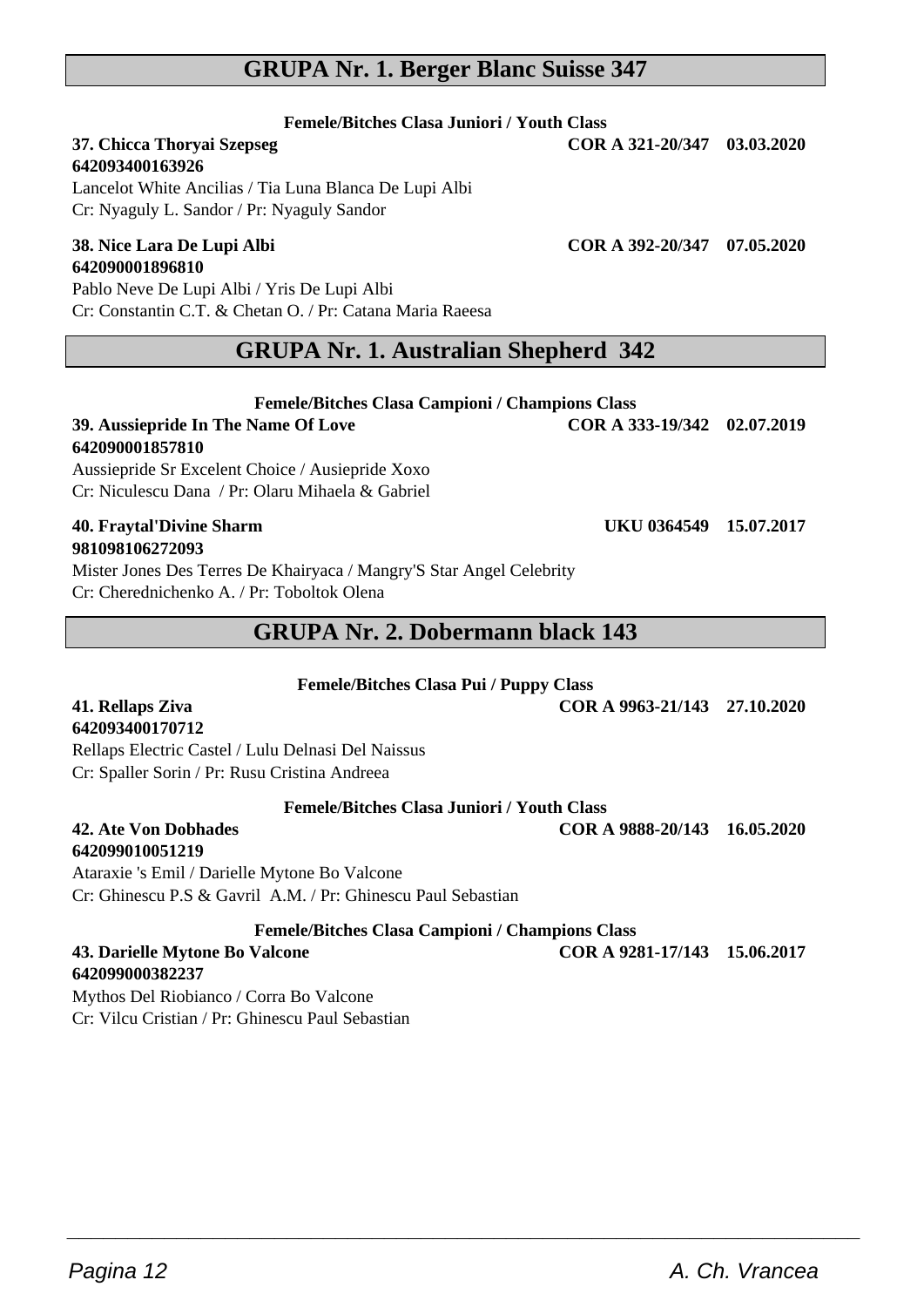## **GRUPA Nr. 1. Berger Blanc Suisse 347**

#### **Femele/Bitches Clasa Juniori / Youth Class**

#### **37. Chicca Thoryai Szepseg COR A 321-20/347 03.03.2020 642093400163926**

Lancelot White Ancilias / Tia Luna Blanca De Lupi Albi Cr: Nyaguly L. Sandor / Pr: Nyaguly Sandor

#### **38. Nice Lara De Lupi Albi COR A 392-20/347 07.05.2020 642090001896810**

Pablo Neve De Lupi Albi / Yris De Lupi Albi Cr: Constantin C.T. & Chetan O. / Pr: Catana Maria Raeesa

### **GRUPA Nr. 1. Australian Shepherd 342**

**Femele/Bitches Clasa Campioni / Champions Class**

**39. Aussiepride In The Name Of Love COR A 333-19/342 02.07.2019**

#### **642090001857810**

Aussiepride Sr Excelent Choice / Ausiepride Xoxo Cr: Niculescu Dana / Pr: Olaru Mihaela & Gabriel

#### **40. Fraytal'Divine Sharm UKU 0364549 15.07.2017 981098106272093**

Mister Jones Des Terres De Khairyaca / Mangry'S Star Angel Celebrity Cr: Cherednichenko A. / Pr: Toboltok Olena

## **GRUPA Nr. 2. Dobermann black 143**

**Femele/Bitches Clasa Pui / Puppy Class**

**41. Rellaps Ziva COR A 9963-21/143 27.10.2020**

## **642093400170712**

Rellaps Electric Castel / Lulu Delnasi Del Naissus Cr: Spaller Sorin / Pr: Rusu Cristina Andreea

#### **Femele/Bitches Clasa Juniori / Youth Class**

#### **42. Ate Von Dobhades COR A 9888-20/143 16.05.2020 642099010051219**

Ataraxie 's Emil / Darielle Mytone Bo Valcone Cr: Ghinescu P.S & Gavril A.M. / Pr: Ghinescu Paul Sebastian

**Femele/Bitches Clasa Campioni / Champions Class**

 $\overline{\phantom{a}}$  , and the set of the set of the set of the set of the set of the set of the set of the set of the set of the set of the set of the set of the set of the set of the set of the set of the set of the set of the s

#### **43. Darielle Mytone Bo Valcone COR A 9281-17/143 15.06.2017 642099000382237**

Mythos Del Riobianco / Corra Bo Valcone Cr: Vilcu Cristian / Pr: Ghinescu Paul Sebastian

Pagina 12 **A. Ch. Vrancea**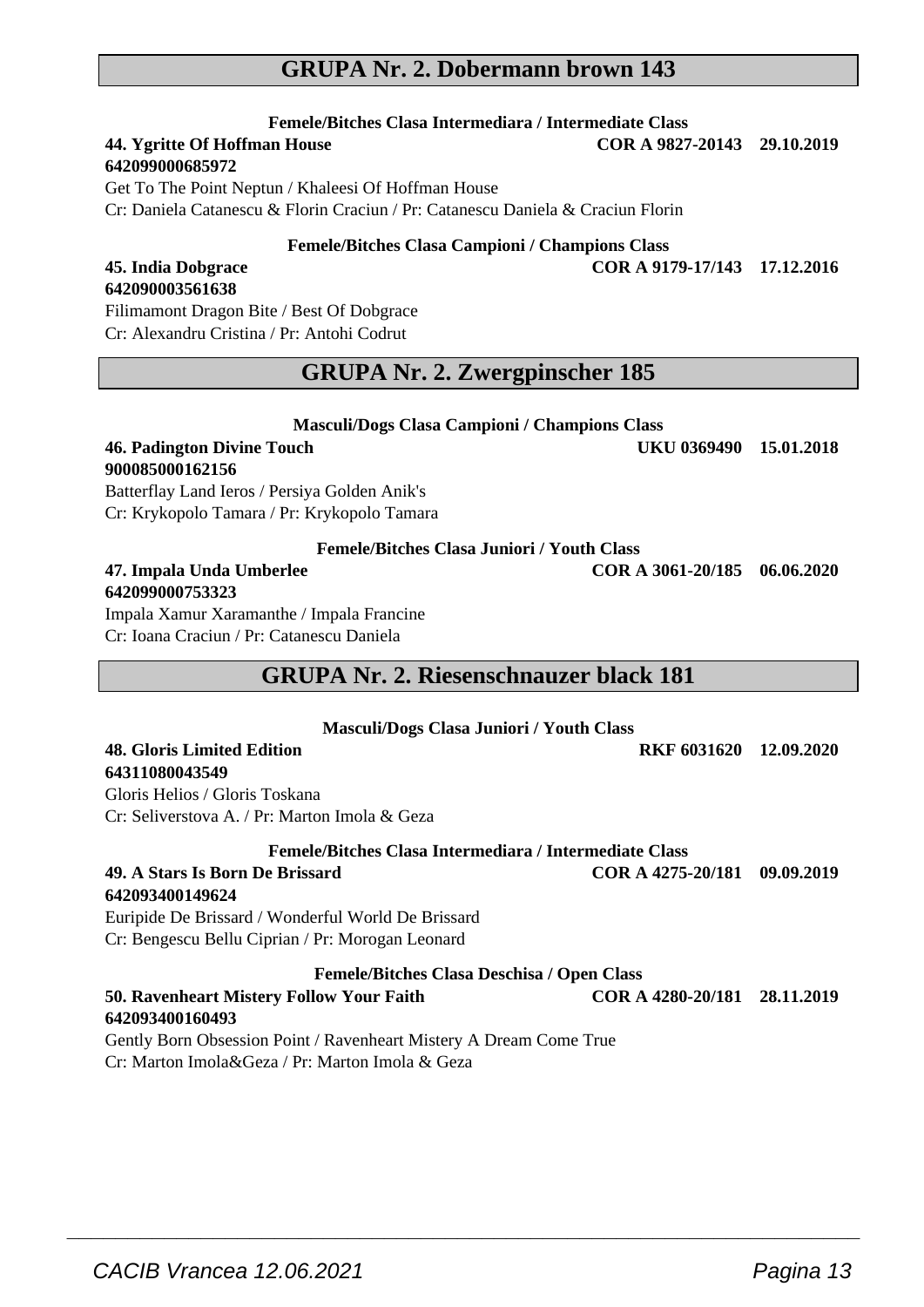## **GRUPA Nr. 2. Dobermann brown 143**

**Femele/Bitches Clasa Intermediara / Intermediate Class 44. Ygritte Of Hoffman House** 

#### **642099000685972**

Get To The Point Neptun / Khaleesi Of Hoffman House

Cr: Daniela Catanescu & Florin Craciun / Pr: Catanescu Daniela & Craciun Florin

#### **Femele/Bitches Clasa Campioni / Champions Class**

**45. India Dobgrace COR A 9179-17/143 17.12.2016**

## **642090003561638**

Filimamont Dragon Bite / Best Of Dobgrace Cr: Alexandru Cristina / Pr: Antohi Codrut

## **GRUPA Nr. 2. Zwergpinscher 185**

| Masculi/Dogs Clasa Campioni / Champions Class |                        |  |  |
|-----------------------------------------------|------------------------|--|--|
| 46. Padington Divine Touch                    | UKU 0369490 15.01.2018 |  |  |
| 900085000162156                               |                        |  |  |
| Batterflay Land Ieros / Persiya Golden Anik's |                        |  |  |
| Cr: Krykopolo Tamara / Pr: Krykopolo Tamara   |                        |  |  |

#### **Femele/Bitches Clasa Juniori / Youth Class 47. Impala Unda Umberlee COR A 3061-20/185 06.06.2020 642099000753323**

Impala Xamur Xaramanthe / Impala Francine Cr: Ioana Craciun / Pr: Catanescu Daniela

## **GRUPA Nr. 2. Riesenschnauzer black 181**

| <b>Masculi/Dogs Clasa Juniori / Youth Class</b>                    |                              |            |
|--------------------------------------------------------------------|------------------------------|------------|
| <b>48. Gloris Limited Edition</b>                                  | RKF 6031620                  | 12.09.2020 |
| 64311080043549                                                     |                              |            |
| Gloris Helios / Gloris Toskana                                     |                              |            |
| Cr: Seliverstova A. / Pr: Marton Imola & Geza                      |                              |            |
| <b>Femele/Bitches Clasa Intermediara / Intermediate Class</b>      |                              |            |
| 49. A Stars Is Born De Brissard                                    | COR A 4275-20/181            | 09.09.2019 |
| 642093400149624                                                    |                              |            |
| Euripide De Brissard / Wonderful World De Brissard                 |                              |            |
| Cr: Bengescu Bellu Ciprian / Pr: Morogan Leonard                   |                              |            |
| Femele/Bitches Clasa Deschisa / Open Class                         |                              |            |
| 50. Ravenheart Mistery Follow Your Faith                           | COR A 4280-20/181 28.11.2019 |            |
| 642093400160493                                                    |                              |            |
| Gently Born Obsession Point / Ravenheart Mistery A Dream Come True |                              |            |

 $\overline{\phantom{a}}$  , and the set of the set of the set of the set of the set of the set of the set of the set of the set of the set of the set of the set of the set of the set of the set of the set of the set of the set of the s

Cr: Marton Imola&Geza / Pr: Marton Imola & Geza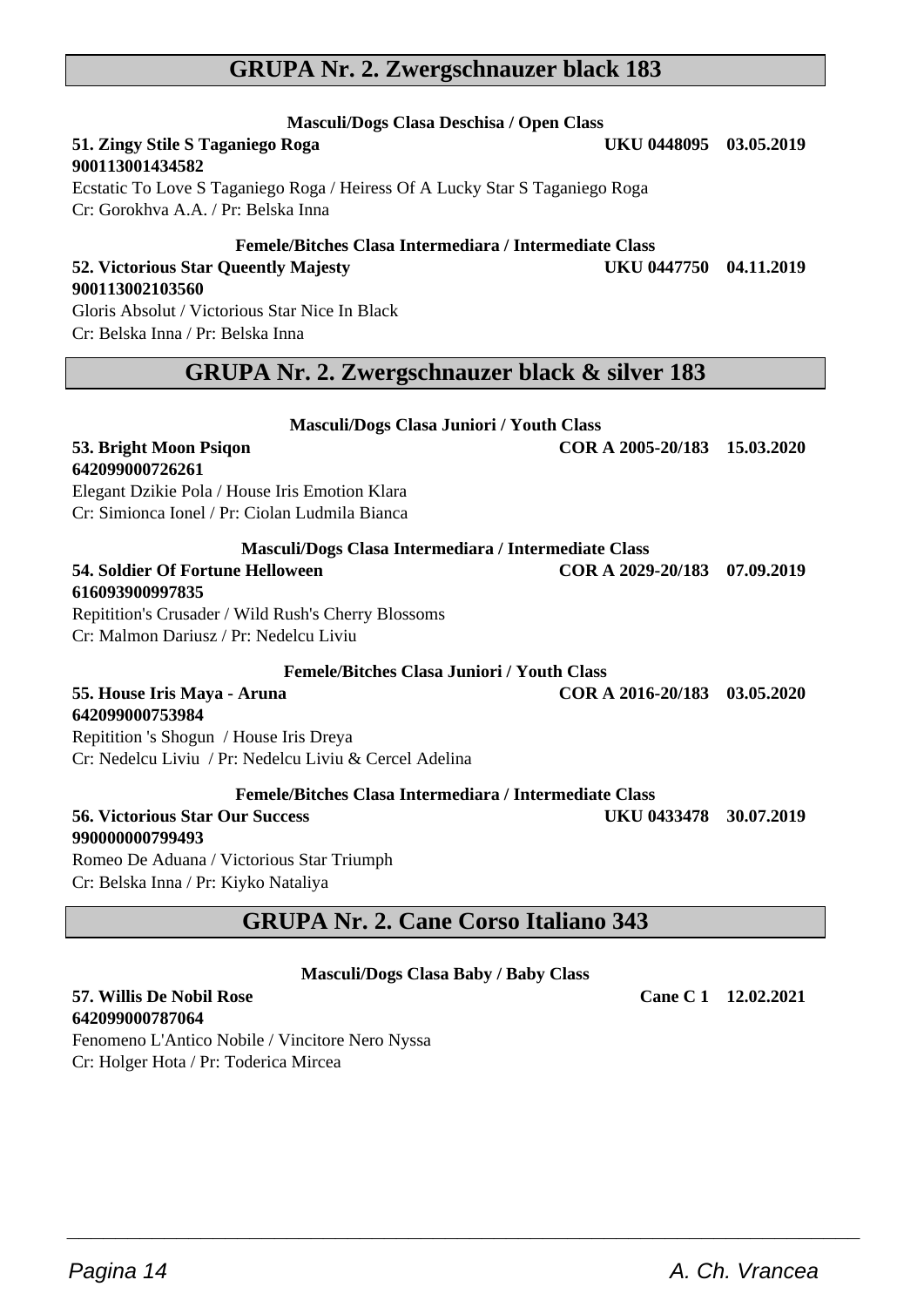## **GRUPA Nr. 2. Zwergschnauzer black 183**

Ecstatic To Love S Taganiego Roga / Heiress Of A Lucky Star S Taganiego Roga

Gloris Absolut / Victorious Star Nice In Black Cr: Belska Inna / Pr: Belska Inna

**51. Zingy Stile S Taganiego Roga** 

Cr: Gorokhva A.A. / Pr: Belska Inna

**900113001434582**

**900113002103560**

## **GRUPA Nr. 2. Zwergschnauzer black & silver 183**

**Masculi/Dogs Clasa Juniori / Youth Class**

**Femele/Bitches Clasa Intermediara / Intermediate Class**

| иназсан/рода сназа очиногі / тоцін сназа               |                              |  |
|--------------------------------------------------------|------------------------------|--|
| 53. Bright Moon Psigon                                 | COR A 2005-20/183 15.03.2020 |  |
| 642099000726261                                        |                              |  |
| Elegant Dzikie Pola / House Iris Emotion Klara         |                              |  |
| Cr: Simionca Ionel / Pr: Ciolan Ludmila Bianca         |                              |  |
| Masculi/Dogs Clasa Intermediara / Intermediate Class   |                              |  |
| 54. Soldier Of Fortune Helloween                       | COR A 2029-20/183 07.09.2019 |  |
| 616093900997835                                        |                              |  |
| Repitition's Crusader / Wild Rush's Cherry Blossoms    |                              |  |
| Cr: Malmon Dariusz / Pr: Nedelcu Liviu                 |                              |  |
| <b>Femele/Bitches Clasa Juniori / Youth Class</b>      |                              |  |
| 55. House Iris Maya - Aruna                            | COR A 2016-20/183 03.05.2020 |  |
| 642099000753984                                        |                              |  |
| Repitition 's Shogun / House Iris Dreya                |                              |  |
| Cr: Nedelcu Liviu / Pr: Nedelcu Liviu & Cercel Adelina |                              |  |
| Femele/Bitches Clasa Intermediara / Intermediate Class |                              |  |
| <b>56. Victorious Star Our Success</b>                 | UKU 0433478 30.07.2019       |  |
| 990000000799493                                        |                              |  |
| Romeo De Aduana / Victorious Star Triumph              |                              |  |
| Cr: Belska Inna / Pr: Kiyko Nataliya                   |                              |  |
| <b>GRUPA Nr. 2. Cane Corso Italiano 343</b>            |                              |  |

## **Masculi/Dogs Clasa Baby / Baby Class**

 $\overline{\phantom{a}}$  , and the set of the set of the set of the set of the set of the set of the set of the set of the set of the set of the set of the set of the set of the set of the set of the set of the set of the set of the s

#### **57. Willis De Nobil Rose Cane C 1 12.02.2021 642099000787064** Fenomeno L'Antico Nobile / Vincitore Nero Nyssa Cr: Holger Hota / Pr: Toderica Mircea

## **Masculi/Dogs Clasa Deschisa / Open Class**

**52. Victorious Star Queently Majesty UKU 0447750 04.11.2019**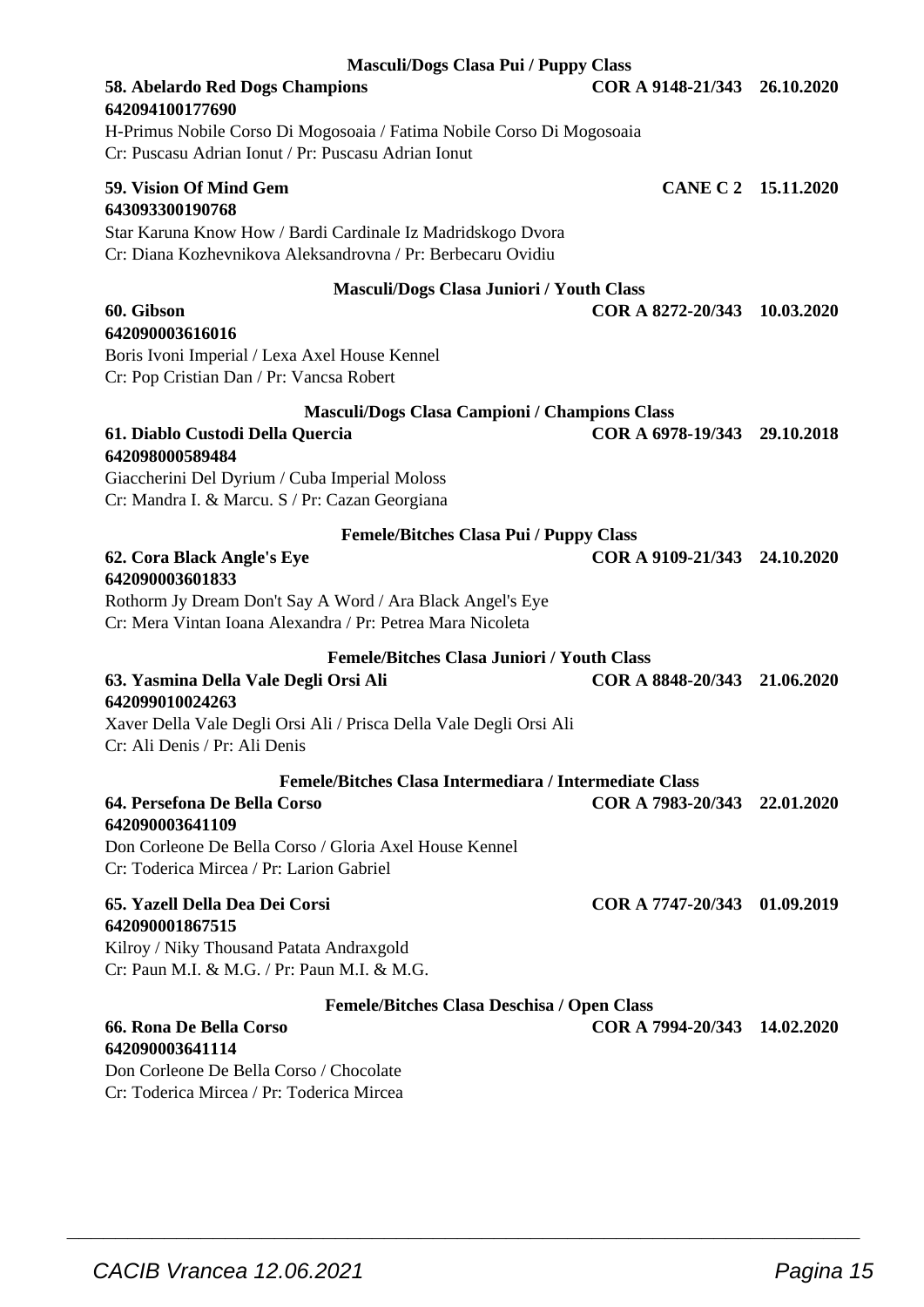| Masculi/Dogs Clasa Pui / Puppy Class                                                                                         |                              |  |
|------------------------------------------------------------------------------------------------------------------------------|------------------------------|--|
| 58. Abelardo Red Dogs Champions<br>642094100177690                                                                           | COR A 9148-21/343 26.10.2020 |  |
| H-Primus Nobile Corso Di Mogosoaia / Fatima Nobile Corso Di Mogosoaia<br>Cr: Puscasu Adrian Ionut / Pr: Puscasu Adrian Ionut |                              |  |
| 59. Vision Of Mind Gem<br>643093300190768                                                                                    | CANE C 2 15.11.2020          |  |
| Star Karuna Know How / Bardi Cardinale Iz Madridskogo Dvora<br>Cr: Diana Kozhevnikova Aleksandrovna / Pr: Berbecaru Ovidiu   |                              |  |
| <b>Masculi/Dogs Clasa Juniori / Youth Class</b>                                                                              |                              |  |
| 60. Gibson                                                                                                                   | COR A 8272-20/343 10.03.2020 |  |
| 642090003616016<br>Boris Ivoni Imperial / Lexa Axel House Kennel                                                             |                              |  |
| Cr: Pop Cristian Dan / Pr: Vancsa Robert                                                                                     |                              |  |
| Masculi/Dogs Clasa Campioni / Champions Class                                                                                |                              |  |
| 61. Diablo Custodi Della Quercia<br>642098000589484                                                                          | COR A 6978-19/343 29.10.2018 |  |
| Giaccherini Del Dyrium / Cuba Imperial Moloss                                                                                |                              |  |
| Cr: Mandra I. & Marcu. S / Pr: Cazan Georgiana                                                                               |                              |  |
| <b>Femele/Bitches Clasa Pui / Puppy Class</b>                                                                                |                              |  |
| 62. Cora Black Angle's Eye<br>642090003601833                                                                                | COR A 9109-21/343 24.10.2020 |  |
| Rothorm Jy Dream Don't Say A Word / Ara Black Angel's Eye<br>Cr: Mera Vintan Ioana Alexandra / Pr: Petrea Mara Nicoleta      |                              |  |
| <b>Femele/Bitches Clasa Juniori / Youth Class</b>                                                                            |                              |  |
| 63. Yasmina Della Vale Degli Orsi Ali<br>642099010024263                                                                     | COR A 8848-20/343 21.06.2020 |  |
| Xaver Della Vale Degli Orsi Ali / Prisca Della Vale Degli Orsi Ali<br>Cr: Ali Denis / Pr: Ali Denis                          |                              |  |
| Femele/Bitches Clasa Intermediara / Intermediate Class                                                                       |                              |  |
| 64. Persefona De Bella Corso<br>642090003641109                                                                              | COR A 7983-20/343 22.01.2020 |  |
| Don Corleone De Bella Corso / Gloria Axel House Kennel<br>Cr: Toderica Mircea / Pr: Larion Gabriel                           |                              |  |
| 65. Yazell Della Dea Dei Corsi                                                                                               | COR A 7747-20/343 01.09.2019 |  |
| 642090001867515<br>Kilroy / Niky Thousand Patata Andraxgold                                                                  |                              |  |
| Cr: Paun M.I. & M.G. / Pr: Paun M.I. & M.G.                                                                                  |                              |  |
| Femele/Bitches Clasa Deschisa / Open Class                                                                                   |                              |  |
| 66. Rona De Bella Corso                                                                                                      | COR A 7994-20/343 14.02.2020 |  |
| 642090003641114                                                                                                              |                              |  |
| Don Corleone De Bella Corso / Chocolate<br>Cr: Toderica Mircea / Pr: Toderica Mircea                                         |                              |  |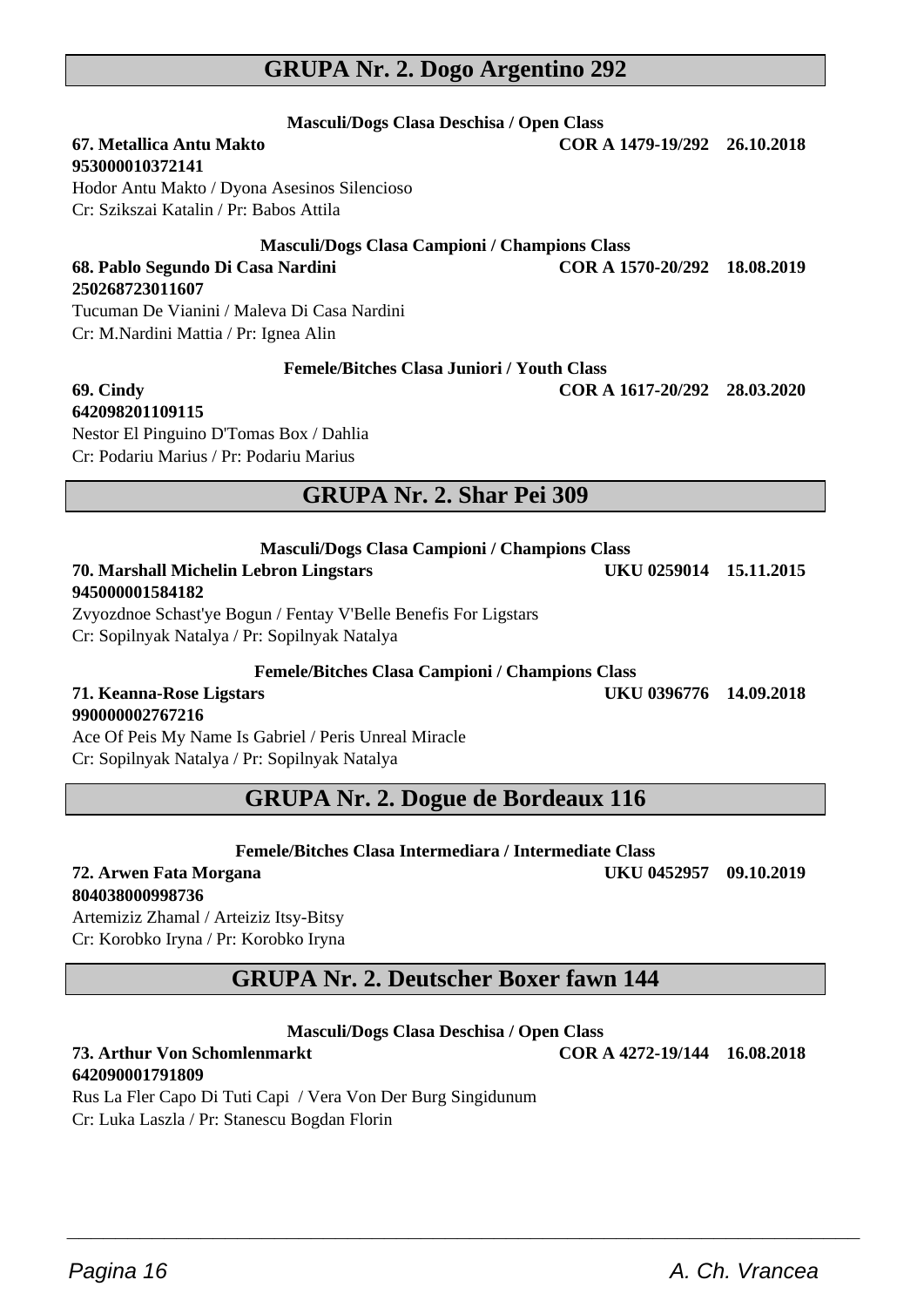## **GRUPA Nr. 2. Dogo Argentino 292**

**Masculi/Dogs Clasa Deschisa / Open Class**

#### **67. Metallica Antu Makto COR A 1479-19/292 26.10.2018 953000010372141** Hodor Antu Makto / Dyona Asesinos Silencioso Cr: Szikszai Katalin / Pr: Babos Attila

#### **Masculi/Dogs Clasa Campioni / Champions Class 68. Pablo Segundo Di Casa Nardini COR A 1570-20/292 18.08.2019**

Tucuman De Vianini / Maleva Di Casa Nardini Cr: M.Nardini Mattia / Pr: Ignea Alin

**250268723011607**

**Femele/Bitches Clasa Juniori / Youth Class**

**69. Cindy COR A 1617-20/292 28.03.2020**

**642098201109115** Nestor El Pinguino D'Tomas Box / Dahlia Cr: Podariu Marius / Pr: Podariu Marius

## **GRUPA Nr. 2. Shar Pei 309**

| <b>Masculi/Dogs Clasa Campioni / Champions Class</b>            |                        |  |
|-----------------------------------------------------------------|------------------------|--|
| <b>70. Marshall Michelin Lebron Lingstars</b>                   | UKU 0259014 15.11.2015 |  |
| 945000001584182                                                 |                        |  |
| Zvyozdnoe Schast'ye Bogun / Fentay V'Belle Benefis For Ligstars |                        |  |
| Cr: Sopilnyak Natalya / Pr: Sopilnyak Natalya                   |                        |  |
|                                                                 |                        |  |

**Femele/Bitches Clasa Campioni / Champions Class**

#### **71. Keanna-Rose Ligstars UKU 0396776 14.09.2018 990000002767216**

Ace Of Peis My Name Is Gabriel / Peris Unreal Miracle Cr: Sopilnyak Natalya / Pr: Sopilnyak Natalya

## **GRUPA Nr. 2. Dogue de Bordeaux 116**

**Femele/Bitches Clasa Intermediara / Intermediate Class**

**72. Arwen Fata Morgana UKU 0452957 09.10.2019 804038000998736**

Artemiziz Zhamal / Arteiziz Itsy-Bitsy Cr: Korobko Iryna / Pr: Korobko Iryna

## **GRUPA Nr. 2. Deutscher Boxer fawn 144**

#### **Masculi/Dogs Clasa Deschisa / Open Class**

 $\overline{\phantom{a}}$  , and the set of the set of the set of the set of the set of the set of the set of the set of the set of the set of the set of the set of the set of the set of the set of the set of the set of the set of the s

## **642090001791809**

Rus La Fler Capo Di Tuti Capi / Vera Von Der Burg Singidunum Cr: Luka Laszla / Pr: Stanescu Bogdan Florin

Pagina 16 **A. Ch. Vrancea A. Ch. Vrancea** 

**73. Arthur Von Schomlenmarkt COR A 4272-19/144 16.08.2018**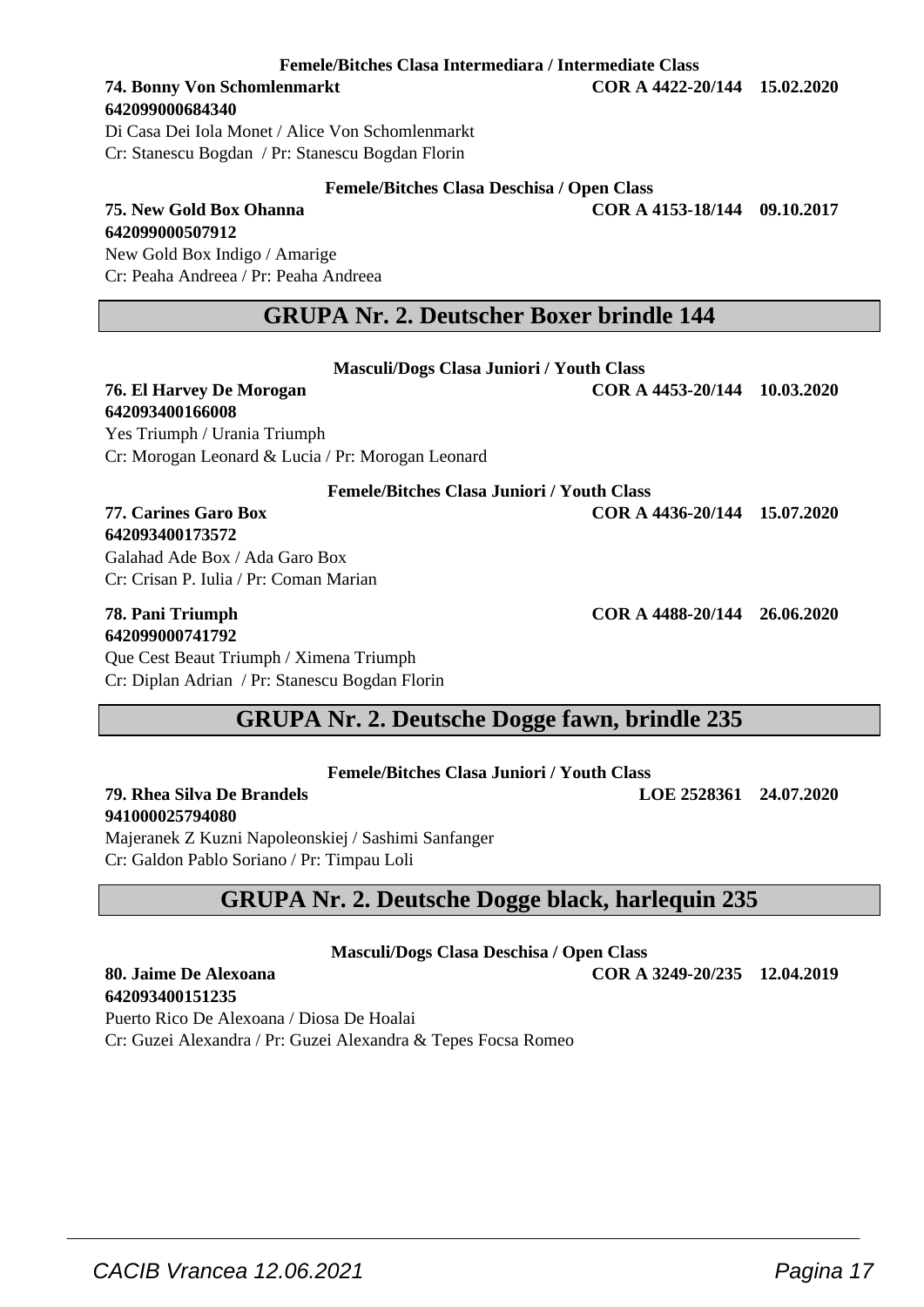**Femele/Bitches Clasa Intermediara / Intermediate Class**

## **642099000684340**

Di Casa Dei Iola Monet / Alice Von Schomlenmarkt Cr: Stanescu Bogdan / Pr: Stanescu Bogdan Florin

#### **Femele/Bitches Clasa Deschisa / Open Class**

**75. New Gold Box Ohanna COR A 4153-18/144 09.10.2017**

**642099000507912** New Gold Box Indigo / Amarige Cr: Peaha Andreea / Pr: Peaha Andreea

### **GRUPA Nr. 2. Deutscher Boxer brindle 144**

**Masculi/Dogs Clasa Juniori / Youth Class 76. El Harvey De Morogan COR A 4453-20/144 10.03.2020**

| 642093400166008                                   |                              |  |
|---------------------------------------------------|------------------------------|--|
| Yes Triumph / Urania Triumph                      |                              |  |
| Cr: Morogan Leonard & Lucia / Pr: Morogan Leonard |                              |  |
| <b>Femele/Bitches Clasa Juniori / Youth Class</b> |                              |  |
| 77. Carines Garo Box                              | COR A 4436-20/144 15.07.2020 |  |
| 642093400173572                                   |                              |  |
| Galahad Ade Box / Ada Garo Box                    |                              |  |
| Cr: Crisan P. Julia / Pr: Coman Marian            |                              |  |
| 78. Pani Triumph<br>642099000741792               | COR A 4488-20/144 26.06.2020 |  |

Que Cest Beaut Triumph / Ximena Triumph Cr: Diplan Adrian / Pr: Stanescu Bogdan Florin

## **GRUPA Nr. 2. Deutsche Dogge fawn, brindle 235**

| <b>Femele/Bitches Clasa Juniori / Youth Class</b> |  |  |  |
|---------------------------------------------------|--|--|--|
|---------------------------------------------------|--|--|--|

**79. Rhea Silva De Brandels LOE 2528361 24.07.2020**

Majeranek Z Kuzni Napoleonskiej / Sashimi Sanfanger Cr: Galdon Pablo Soriano / Pr: Timpau Loli

## **GRUPA Nr. 2. Deutsche Dogge black, harlequin 235**

**Masculi/Dogs Clasa Deschisa / Open Class**

 $\overline{\phantom{a}}$  , and the set of the set of the set of the set of the set of the set of the set of the set of the set of the set of the set of the set of the set of the set of the set of the set of the set of the set of the s

**80. Jaime De Alexoana COR A 3249-20/235 12.04.2019**

**642093400151235** Puerto Rico De Alexoana / Diosa De Hoalai Cr: Guzei Alexandra / Pr: Guzei Alexandra & Tepes Focsa Romeo

**941000025794080**

CACIB Vrancea 12.06.2021 Pagina 17

**74. Bonny Von Schomlenmarkt COR A 4422-20/144 15.02.2020**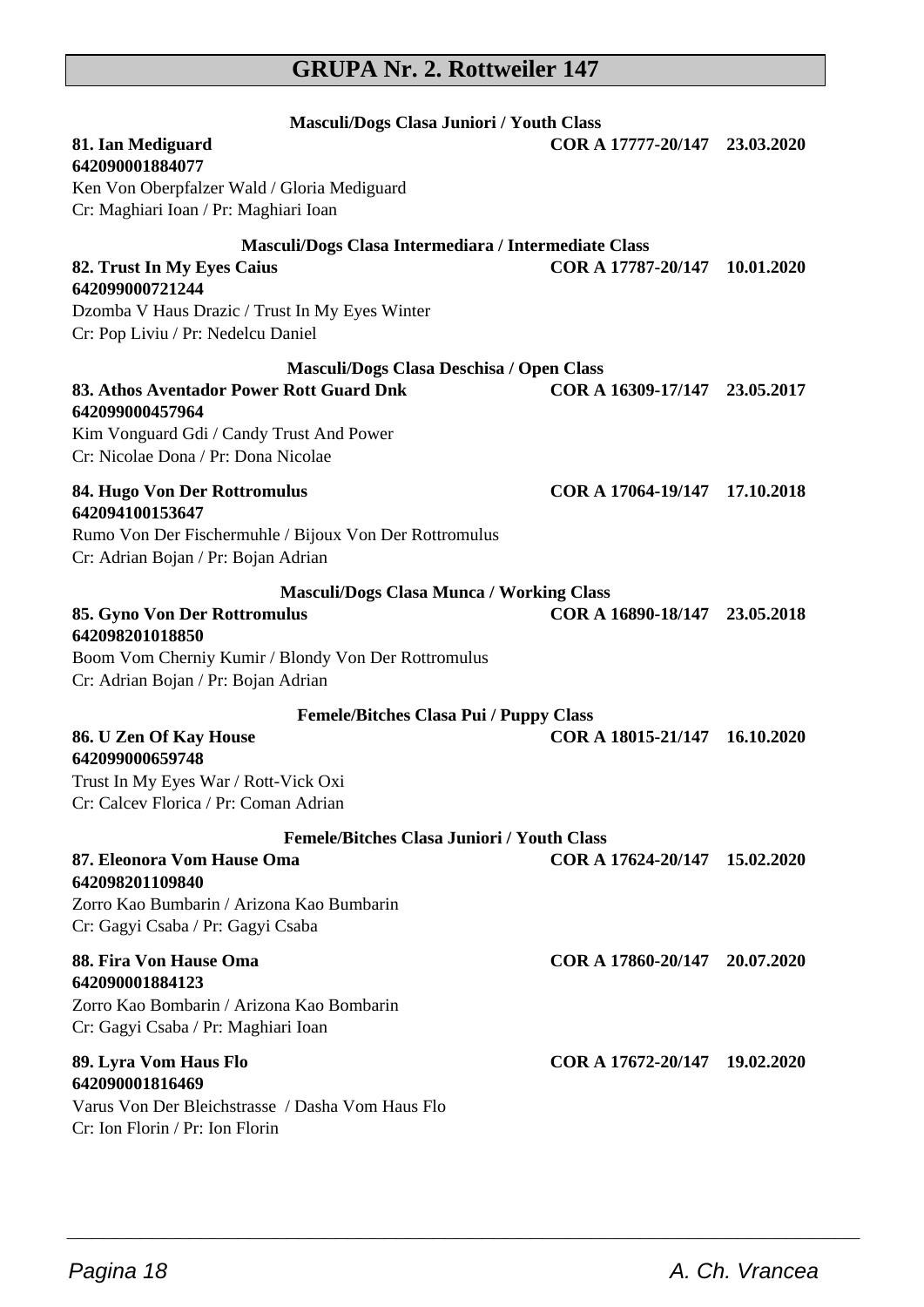## **GRUPA Nr. 2. Rottweiler 147**

| Masculi/Dogs Clasa Juniori / Youth Class                                                                                                                                                   |                               |            |
|--------------------------------------------------------------------------------------------------------------------------------------------------------------------------------------------|-------------------------------|------------|
| 81. Ian Mediguard<br>642090001884077                                                                                                                                                       | COR A 17777-20/147 23.03.2020 |            |
| Ken Von Oberpfalzer Wald / Gloria Mediguard<br>Cr: Maghiari Ioan / Pr: Maghiari Ioan                                                                                                       |                               |            |
| Masculi/Dogs Clasa Intermediara / Intermediate Class                                                                                                                                       |                               |            |
| 82. Trust In My Eyes Caius<br>642099000721244<br>Dzomba V Haus Drazic / Trust In My Eyes Winter<br>Cr: Pop Liviu / Pr: Nedelcu Daniel                                                      | COR A 17787-20/147            | 10.01.2020 |
| Masculi/Dogs Clasa Deschisa / Open Class<br>83. Athos Aventador Power Rott Guard Dnk<br>642099000457964<br>Kim Vonguard Gdi / Candy Trust And Power<br>Cr: Nicolae Dona / Pr: Dona Nicolae | COR A 16309-17/147 23.05.2017 |            |
| 84. Hugo Von Der Rottromulus<br>642094100153647<br>Rumo Von Der Fischermuhle / Bijoux Von Der Rottromulus<br>Cr: Adrian Bojan / Pr: Bojan Adrian                                           | COR A 17064-19/147 17.10.2018 |            |
| <b>Masculi/Dogs Clasa Munca / Working Class</b>                                                                                                                                            |                               |            |
| 85. Gyno Von Der Rottromulus<br>642098201018850<br>Boom Vom Cherniy Kumir / Blondy Von Der Rottromulus                                                                                     | COR A 16890-18/147 23.05.2018 |            |
| Cr: Adrian Bojan / Pr: Bojan Adrian                                                                                                                                                        |                               |            |
| <b>Femele/Bitches Clasa Pui / Puppy Class</b><br>86. U Zen Of Kay House<br>642099000659748<br>Trust In My Eyes War / Rott-Vick Oxi<br>Cr: Calcev Florica / Pr: Coman Adrian                | COR A 18015-21/147            | 16.10.2020 |
| <b>Femele/Bitches Clasa Juniori / Youth Class</b>                                                                                                                                          |                               |            |
| 87. Eleonora Vom Hause Oma<br>642098201109840<br>Zorro Kao Bumbarin / Arizona Kao Bumbarin<br>Cr: Gagyi Csaba / Pr: Gagyi Csaba                                                            | COR A 17624-20/147            | 15.02.2020 |
| 88. Fira Von Hause Oma<br>642090001884123<br>Zorro Kao Bombarin / Arizona Kao Bombarin<br>Cr: Gagyi Csaba / Pr: Maghiari Ioan                                                              | COR A 17860-20/147 20.07.2020 |            |
| 89. Lyra Vom Haus Flo<br>642090001816469<br>Varus Von Der Bleichstrasse / Dasha Vom Haus Flo<br>Cr: Ion Florin / Pr: Ion Florin                                                            | COR A 17672-20/147 19.02.2020 |            |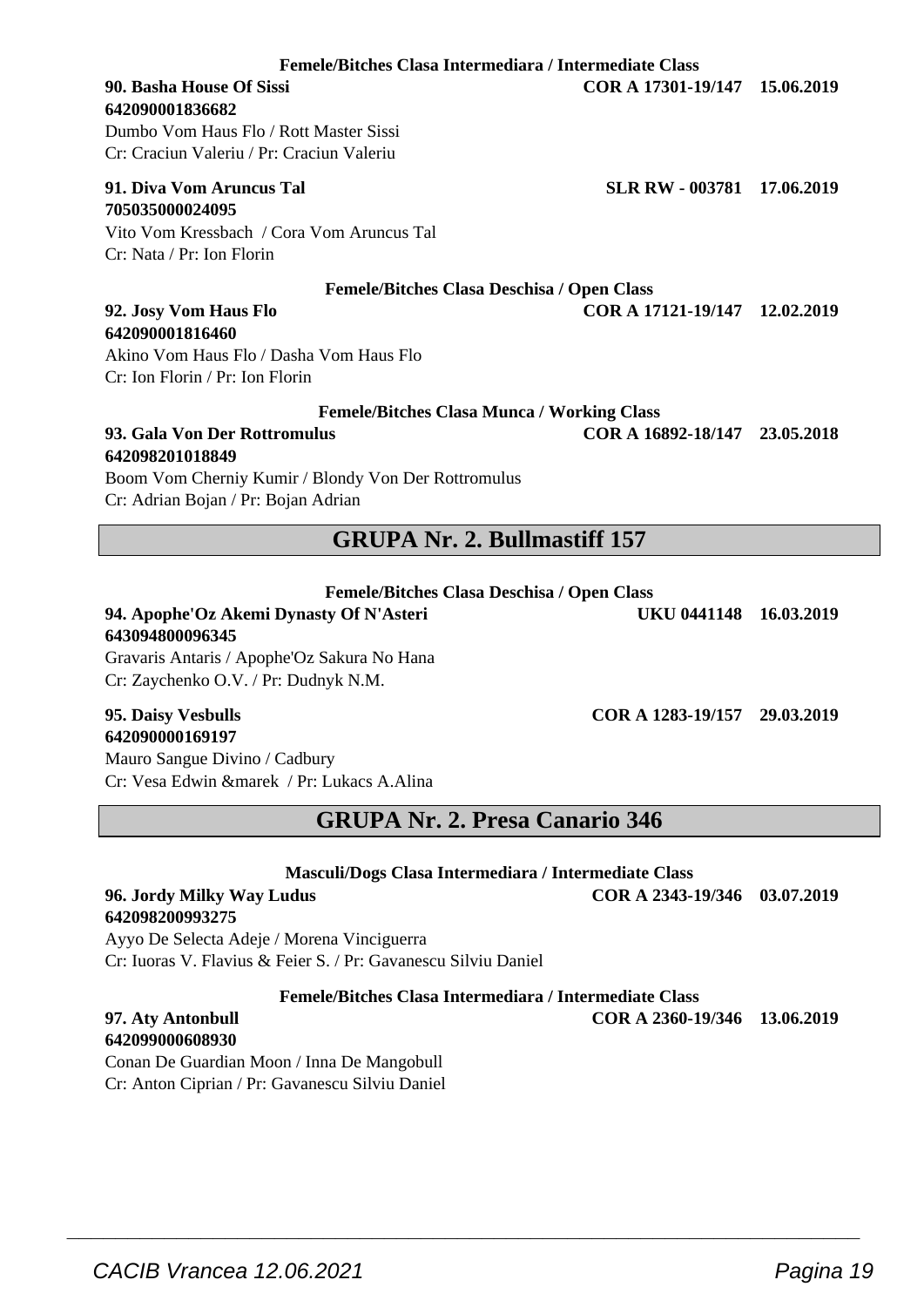**Femele/Bitches Clasa Intermediara / Intermediate Class**

#### **90. Basha House Of Sissi COR A 17301-19/147 15.06.2019 642090001836682**

Dumbo Vom Haus Flo / Rott Master Sissi Cr: Craciun Valeriu / Pr: Craciun Valeriu

#### **91. Diva Vom Aruncus Tal SLR RW - 003781 17.06.2019 705035000024095**

Vito Vom Kressbach / Cora Vom Aruncus Tal Cr: Nata / Pr: Ion Florin

| <b>Femele/Bitches Clasa Deschisa / Open Class</b> |  |  |  |  |
|---------------------------------------------------|--|--|--|--|
|---------------------------------------------------|--|--|--|--|

**92. Josy Vom Haus Flo COR A 17121-19/147 12.02.2019**

#### **642090001816460** Akino Vom Haus Flo / Dasha Vom Haus Flo Cr: Ion Florin / Pr: Ion Florin

| <b>Femele/Bitches Clasa Munca / Working Class</b> |                               |  |
|---------------------------------------------------|-------------------------------|--|
| 93. Gala Von Der Rottromulus                      | COR A 16892-18/147 23.05.2018 |  |

## **642098201018849**

Boom Vom Cherniy Kumir / Blondy Von Der Rottromulus Cr: Adrian Bojan / Pr: Bojan Adrian

## **GRUPA Nr. 2. Bullmastiff 157**

#### **Femele/Bitches Clasa Deschisa / Open Class**

#### **94. Apophe'Oz Akemi Dynasty Of N'Asteri UKU 0441148 16.03.2019 643094800096345**

Gravaris Antaris / Apophe'Oz Sakura No Hana Cr: Zaychenko O.V. / Pr: Dudnyk N.M.

#### **95. Daisy Vesbulls COR A 1283-19/157 29.03.2019 642090000169197**

Mauro Sangue Divino / Cadbury Cr: Vesa Edwin &marek / Pr: Lukacs A.Alina

**GRUPA Nr. 2. Presa Canario 346**

**Masculi/Dogs Clasa Intermediara / Intermediate Class**

#### **96. Jordy Milky Way Ludus COR A 2343-19/346 03.07.2019 642098200993275**

Ayyo De Selecta Adeje / Morena Vinciguerra Cr: Iuoras V. Flavius & Feier S. / Pr: Gavanescu Silviu Daniel

**Femele/Bitches Clasa Intermediara / Intermediate Class**

 $\overline{\phantom{a}}$  , and the set of the set of the set of the set of the set of the set of the set of the set of the set of the set of the set of the set of the set of the set of the set of the set of the set of the set of the s

## **642099000608930**

Conan De Guardian Moon / Inna De Mangobull Cr: Anton Ciprian / Pr: Gavanescu Silviu Daniel

**97. Aty Antonbull COR A 2360-19/346 13.06.2019**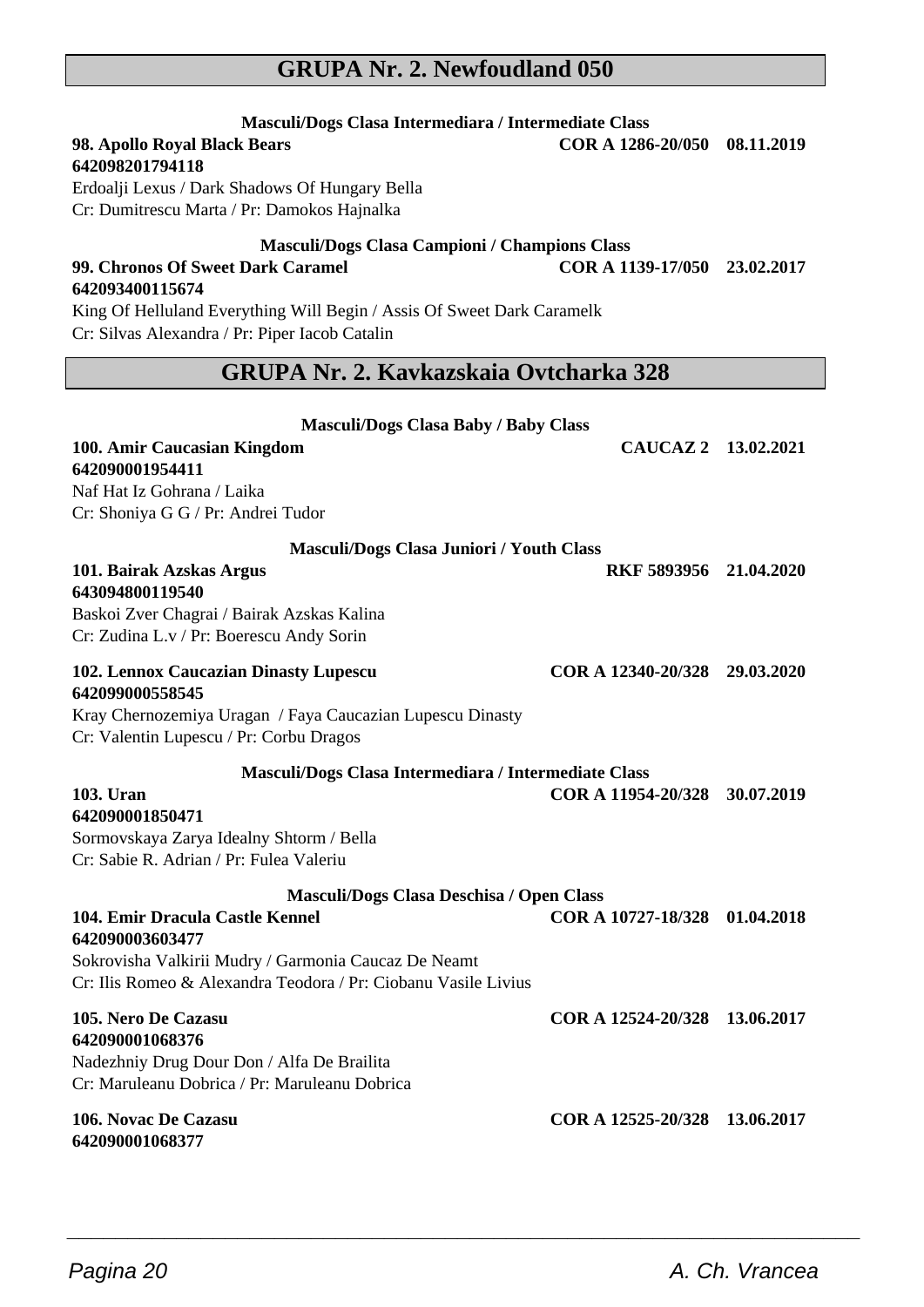## **GRUPA Nr. 2. Newfoudland 050**

**Masculi/Dogs Clasa Intermediara / Intermediate Class**

## **98. Apollo Royal Black Bears COR A 1286-20/050 08.11.2019 642098201794118** Erdoalji Lexus / Dark Shadows Of Hungary Bella Cr: Dumitrescu Marta / Pr: Damokos Hajnalka **Masculi/Dogs Clasa Campioni / Champions Class 99. Chronos Of Sweet Dark Caramel COR A 1139-17/050 23.02.2017 642093400115674** King Of Helluland Everything Will Begin / Assis Of Sweet Dark Caramelk Cr: Silvas Alexandra / Pr: Piper Iacob Catalin **GRUPA Nr. 2. Kavkazskaia Ovtcharka 328 Masculi/Dogs Clasa Baby / Baby Class 100. Amir Caucasian Kingdom CAUCAZ 2 13.02.2021 642090001954411** Naf Hat Iz Gohrana / Laika Cr: Shoniya G G / Pr: Andrei Tudor **Masculi/Dogs Clasa Juniori / Youth Class 101. Bairak Azskas Argus RKF 5893956 21.04.2020 643094800119540** Baskoi Zver Chagrai / Bairak Azskas Kalina Cr: Zudina L.v / Pr: Boerescu Andy Sorin **102. Lennox Caucazian Dinasty Lupescu COR A 12340-20/328 29.03.2020 642099000558545** Kray Chernozemiya Uragan / Faya Caucazian Lupescu Dinasty Cr: Valentin Lupescu / Pr: Corbu Dragos **Masculi/Dogs Clasa Intermediara / Intermediate Class 103. Uran COR A 11954-20/328 30.07.2019 642090001850471** Sormovskaya Zarya Idealny Shtorm / Bella Cr: Sabie R. Adrian / Pr: Fulea Valeriu **Masculi/Dogs Clasa Deschisa / Open Class 104. Emir Dracula Castle Kennel COR A 10727-18/328 01.04.2018 642090003603477** Sokrovisha Valkirii Mudry / Garmonia Caucaz De Neamt Cr: Ilis Romeo & Alexandra Teodora / Pr: Ciobanu Vasile Livius **105. Nero De Cazasu COR A 12524-20/328 13.06.2017 642090001068376** Nadezhniy Drug Dour Don / Alfa De Brailita Cr: Maruleanu Dobrica / Pr: Maruleanu Dobrica **106. Novac De Cazasu COR A 12525-20/328 13.06.2017**

 $\overline{\phantom{a}}$  , and the set of the set of the set of the set of the set of the set of the set of the set of the set of the set of the set of the set of the set of the set of the set of the set of the set of the set of the s

**642090001068377**

Pagina 20 **A. Ch. Vrancea**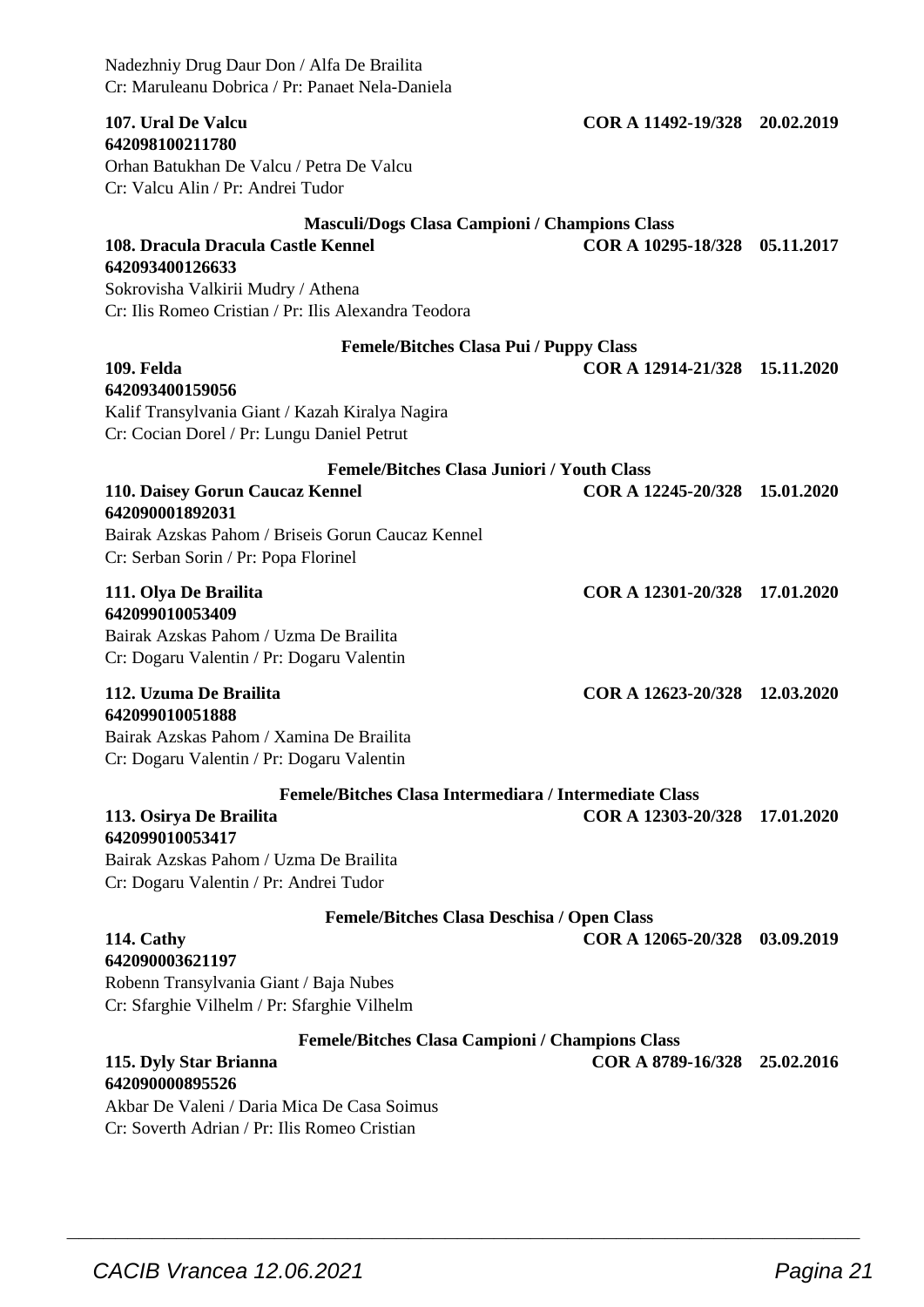| Nadezhniy Drug Daur Don / Alfa De Brailita<br>Cr: Maruleanu Dobrica / Pr: Panaet Nela-Daniela                 |                               |            |
|---------------------------------------------------------------------------------------------------------------|-------------------------------|------------|
| 107. Ural De Valcu<br>642098100211780                                                                         | COR A 11492-19/328 20.02.2019 |            |
| Orhan Batukhan De Valcu / Petra De Valcu<br>Cr: Valcu Alin / Pr: Andrei Tudor                                 |                               |            |
| <b>Masculi/Dogs Clasa Campioni / Champions Class</b><br>108. Dracula Dracula Castle Kennel<br>642093400126633 | COR A 10295-18/328            | 05.11.2017 |
| Sokrovisha Valkirii Mudry / Athena<br>Cr: Ilis Romeo Cristian / Pr: Ilis Alexandra Teodora                    |                               |            |
| <b>Femele/Bitches Clasa Pui / Puppy Class</b>                                                                 |                               |            |
| 109. Felda<br>642093400159056                                                                                 | COR A 12914-21/328 15.11.2020 |            |
| Kalif Transylvania Giant / Kazah Kiralya Nagira<br>Cr: Cocian Dorel / Pr: Lungu Daniel Petrut                 |                               |            |
| <b>Femele/Bitches Clasa Juniori / Youth Class</b>                                                             |                               |            |
| 110. Daisey Gorun Caucaz Kennel<br>642090001892031                                                            | COR A 12245-20/328 15.01.2020 |            |
| Bairak Azskas Pahom / Briseis Gorun Caucaz Kennel                                                             |                               |            |
| Cr: Serban Sorin / Pr: Popa Florinel                                                                          |                               |            |
| 111. Olya De Brailita                                                                                         | COR A 12301-20/328 17.01.2020 |            |
| 642099010053409<br>Bairak Azskas Pahom / Uzma De Brailita                                                     |                               |            |
| Cr: Dogaru Valentin / Pr: Dogaru Valentin                                                                     |                               |            |
| 112. Uzuma De Brailita                                                                                        | COR A 12623-20/328 12.03.2020 |            |
| 642099010051888                                                                                               |                               |            |
| Bairak Azskas Pahom / Xamina De Brailita<br>Cr: Dogaru Valentin / Pr: Dogaru Valentin                         |                               |            |
|                                                                                                               |                               |            |
| Femele/Bitches Clasa Intermediara / Intermediate Class<br>113. Osirya De Brailita<br>642099010053417          | COR A 12303-20/328 17.01.2020 |            |
| Bairak Azskas Pahom / Uzma De Brailita<br>Cr: Dogaru Valentin / Pr: Andrei Tudor                              |                               |            |
| <b>Femele/Bitches Clasa Deschisa / Open Class</b>                                                             |                               |            |
| 114. Cathy                                                                                                    | COR A 12065-20/328 03.09.2019 |            |
| 642090003621197<br>Robenn Transylvania Giant / Baja Nubes                                                     |                               |            |
| Cr: Sfarghie Vilhelm / Pr: Sfarghie Vilhelm                                                                   |                               |            |
| <b>Femele/Bitches Clasa Campioni / Champions Class</b>                                                        |                               |            |
| 115. Dyly Star Brianna                                                                                        | COR A 8789-16/328 25.02.2016  |            |
| 642090000895526<br>Akbar De Valeni / Daria Mica De Casa Soimus                                                |                               |            |
|                                                                                                               |                               |            |

 $\overline{\phantom{a}}$  , and the set of the set of the set of the set of the set of the set of the set of the set of the set of the set of the set of the set of the set of the set of the set of the set of the set of the set of the s

Cr: Soverth Adrian / Pr: Ilis Romeo Cristian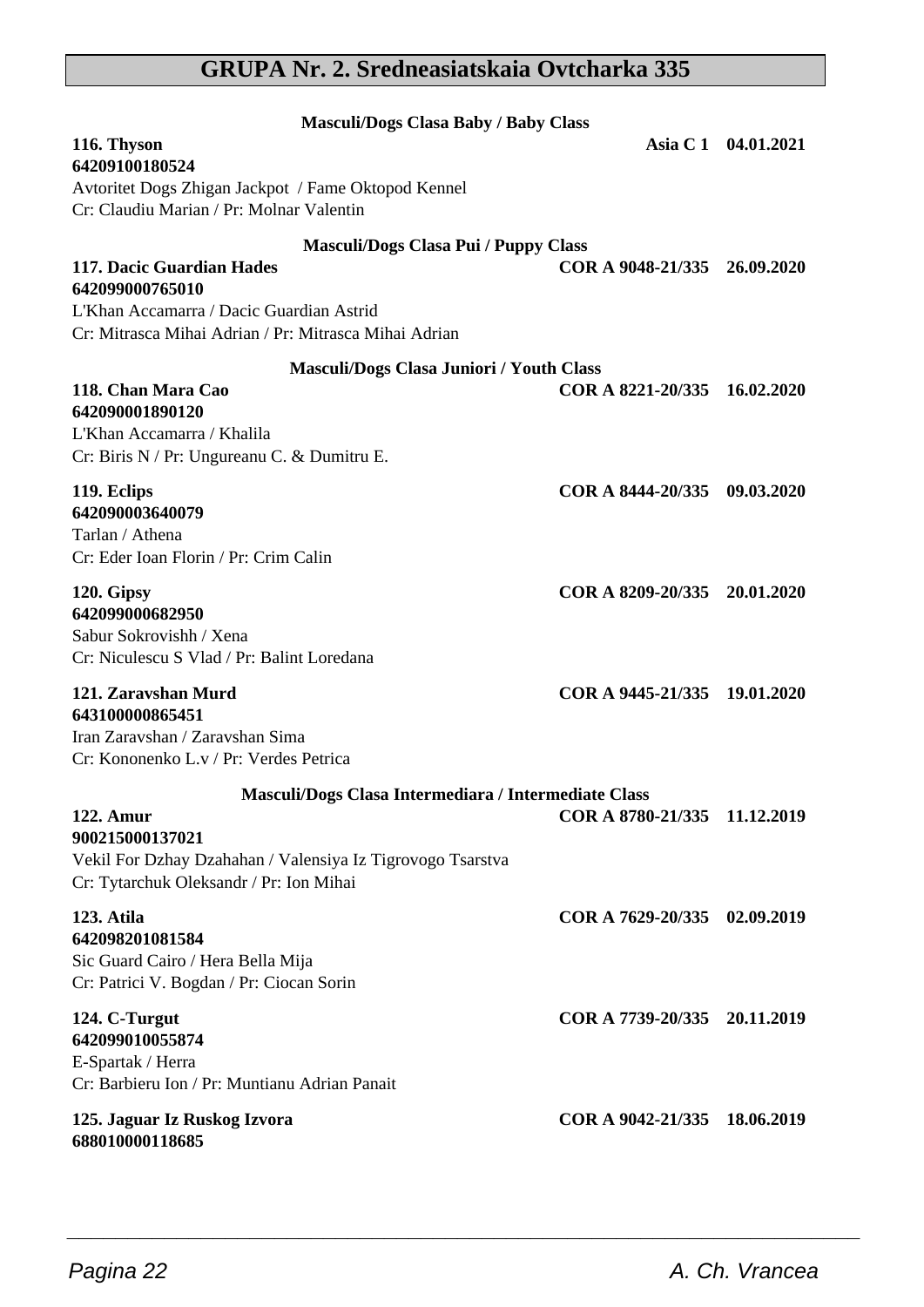## **GRUPA Nr. 2. Sredneasiatskaia Ovtcharka 335**

| <b>Masculi/Dogs Clasa Baby / Baby Class</b>                                                           |                              |                     |
|-------------------------------------------------------------------------------------------------------|------------------------------|---------------------|
| 116. Thyson<br>64209100180524                                                                         |                              | Asia C 1 04.01.2021 |
| Avtoritet Dogs Zhigan Jackpot / Fame Oktopod Kennel<br>Cr: Claudiu Marian / Pr: Molnar Valentin       |                              |                     |
| <b>Masculi/Dogs Clasa Pui / Puppy Class</b>                                                           |                              |                     |
| 117. Dacic Guardian Hades<br>642099000765010<br>L'Khan Accamarra / Dacic Guardian Astrid              | COR A 9048-21/335 26.09.2020 |                     |
| Cr: Mitrasca Mihai Adrian / Pr: Mitrasca Mihai Adrian                                                 |                              |                     |
| <b>Masculi/Dogs Clasa Juniori / Youth Class</b>                                                       |                              |                     |
| 118. Chan Mara Cao<br>642090001890120                                                                 | COR A 8221-20/335 16.02.2020 |                     |
| L'Khan Accamarra / Khalila                                                                            |                              |                     |
| Cr: Biris N / Pr: Ungureanu C. & Dumitru E.                                                           |                              |                     |
| 119. Eclips                                                                                           | COR A 8444-20/335 09.03.2020 |                     |
| 642090003640079                                                                                       |                              |                     |
| Tarlan / Athena<br>Cr: Eder Ioan Florin / Pr: Crim Calin                                              |                              |                     |
|                                                                                                       |                              |                     |
| 120. Gipsy<br>642099000682950                                                                         | COR A 8209-20/335 20.01.2020 |                     |
| Sabur Sokrovishh / Xena                                                                               |                              |                     |
| Cr: Niculescu S Vlad / Pr: Balint Loredana                                                            |                              |                     |
| 121. Zaravshan Murd                                                                                   | COR A 9445-21/335 19.01.2020 |                     |
| 643100000865451<br>Iran Zaravshan / Zaravshan Sima                                                    |                              |                     |
| Cr: Kononenko L.v / Pr: Verdes Petrica                                                                |                              |                     |
| Masculi/Dogs Clasa Intermediara / Intermediate Class                                                  |                              |                     |
| <b>122. Amur</b>                                                                                      | COR A 8780-21/335 11.12.2019 |                     |
| 900215000137021                                                                                       |                              |                     |
| Vekil For Dzhay Dzahahan / Valensiya Iz Tigrovogo Tsarstva<br>Cr: Tytarchuk Oleksandr / Pr: Ion Mihai |                              |                     |
| 123. Atila                                                                                            | COR A 7629-20/335 02.09.2019 |                     |
| 642098201081584                                                                                       |                              |                     |
| Sic Guard Cairo / Hera Bella Mija                                                                     |                              |                     |
| Cr: Patrici V. Bogdan / Pr: Ciocan Sorin                                                              |                              |                     |
| 124. C-Turgut                                                                                         | COR A 7739-20/335 20.11.2019 |                     |
| 642099010055874<br>E-Spartak / Herra                                                                  |                              |                     |
| Cr: Barbieru Ion / Pr: Muntianu Adrian Panait                                                         |                              |                     |
| 125. Jaguar Iz Ruskog Izvora<br>688010000118685                                                       | COR A 9042-21/335            | 18.06.2019          |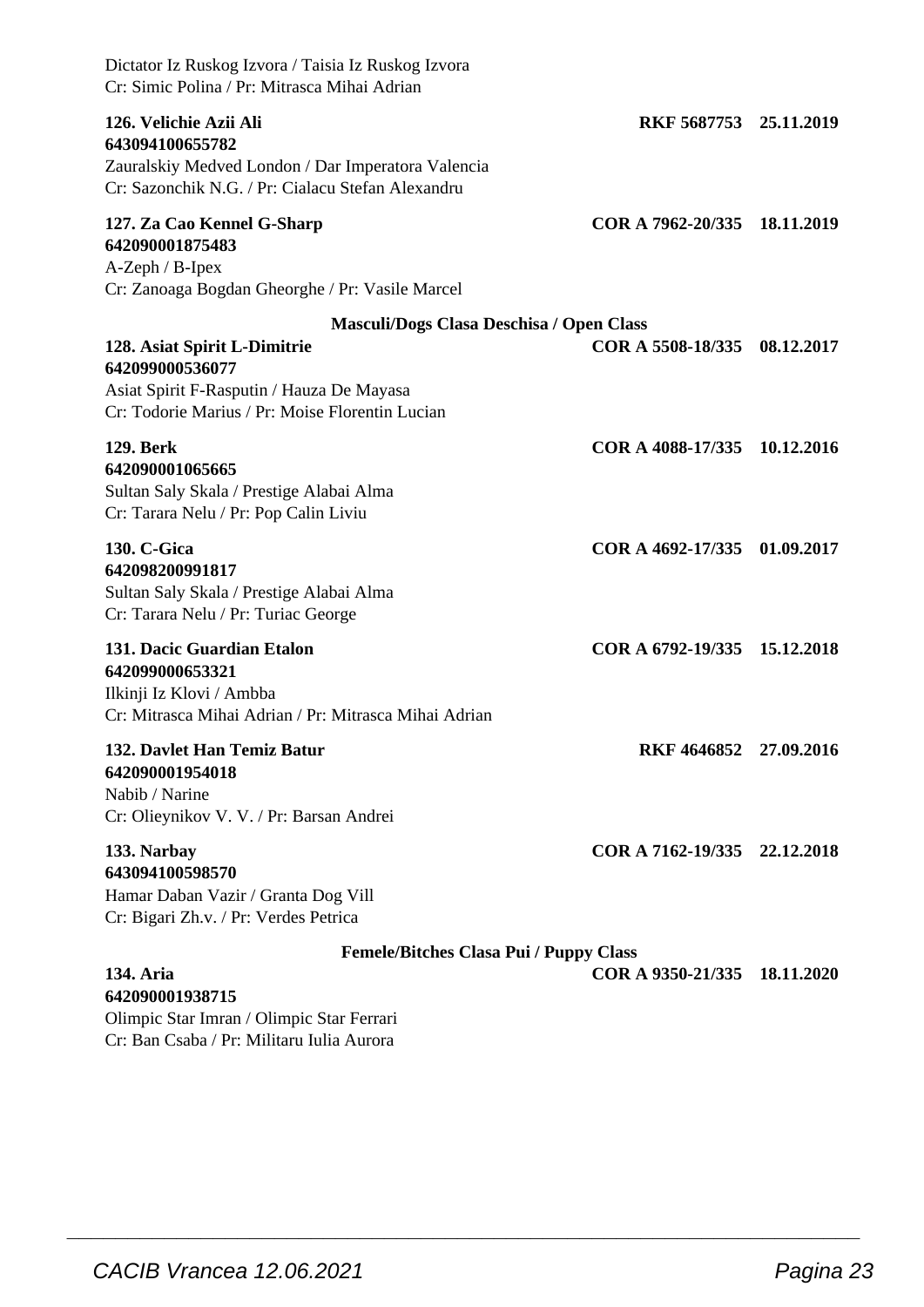| Dictator Iz Ruskog Izvora / Taisia Iz Ruskog Izvora<br>Cr: Simic Polina / Pr: Mitrasca Mihai Adrian                                                  |                              |            |
|------------------------------------------------------------------------------------------------------------------------------------------------------|------------------------------|------------|
| 126. Velichie Azii Ali<br>643094100655782<br>Zauralskiy Medved London / Dar Imperatora Valencia<br>Cr: Sazonchik N.G. / Pr: Cialacu Stefan Alexandru | RKF 5687753 25.11.2019       |            |
| 127. Za Cao Kennel G-Sharp<br>642090001875483<br>A-Zeph / B-Ipex<br>Cr: Zanoaga Bogdan Gheorghe / Pr: Vasile Marcel                                  | COR A 7962-20/335            | 18.11.2019 |
| Masculi/Dogs Clasa Deschisa / Open Class                                                                                                             |                              |            |
| 128. Asiat Spirit L-Dimitrie<br>642099000536077<br>Asiat Spirit F-Rasputin / Hauza De Mayasa<br>Cr: Todorie Marius / Pr: Moise Florentin Lucian      | COR A 5508-18/335            | 08.12.2017 |
| 129. Berk<br>642090001065665<br>Sultan Saly Skala / Prestige Alabai Alma<br>Cr: Tarara Nelu / Pr: Pop Calin Liviu                                    | COR A 4088-17/335            | 10.12.2016 |
| 130. C-Gica<br>642098200991817<br>Sultan Saly Skala / Prestige Alabai Alma<br>Cr: Tarara Nelu / Pr: Turiac George                                    | COR A 4692-17/335            | 01.09.2017 |
| 131. Dacic Guardian Etalon<br>642099000653321<br>Ilkinji Iz Klovi / Ambba<br>Cr: Mitrasca Mihai Adrian / Pr: Mitrasca Mihai Adrian                   | COR A 6792-19/335 15.12.2018 |            |
| 132. Davlet Han Temiz Batur<br>642090001954018<br>Nabib / Narine<br>Cr: Olieynikov V. V. / Pr: Barsan Andrei                                         | RKF 4646852 27.09.2016       |            |
| 133. Narbay<br>643094100598570<br>Hamar Daban Vazir / Granta Dog Vill<br>Cr: Bigari Zh.v. / Pr: Verdes Petrica                                       | COR A 7162-19/335 22.12.2018 |            |
| <b>Femele/Bitches Clasa Pui / Puppy Class</b>                                                                                                        |                              |            |
| 134. Aria<br>642090001938715<br>Olimpic Star Imran / Olimpic Star Ferrari<br>Cr: Ban Csaba / Pr: Militaru Iulia Aurora                               | COR A 9350-21/335            | 18.11.2020 |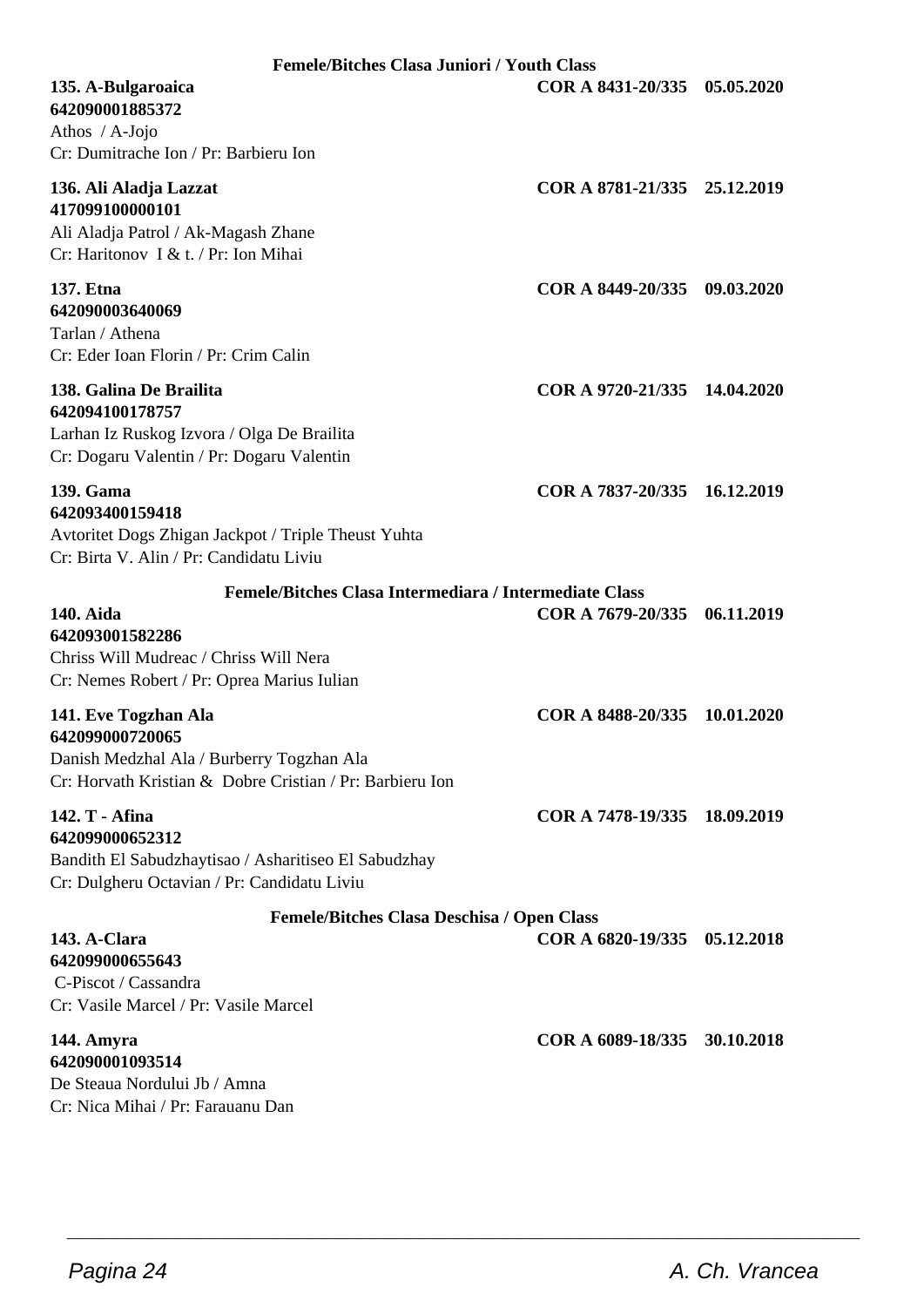| <b>Femele/Bitches Clasa Juniori / Youth Class</b>                                                                                                |                              |            |
|--------------------------------------------------------------------------------------------------------------------------------------------------|------------------------------|------------|
| 135. A-Bulgaroaica<br>642090001885372<br>Athos $/$ A-Jojo<br>Cr: Dumitrache Ion / Pr: Barbieru Ion                                               | COR A 8431-20/335 05.05.2020 |            |
| 136. Ali Aladja Lazzat<br>417099100000101<br>Ali Aladja Patrol / Ak-Magash Zhane<br>Cr: Haritonov I & t. / Pr: Ion Mihai                         | COR A 8781-21/335 25.12.2019 |            |
| 137. Etna<br>642090003640069<br>Tarlan / Athena<br>Cr: Eder Ioan Florin / Pr: Crim Calin                                                         | COR A 8449-20/335 09.03.2020 |            |
| 138. Galina De Brailita<br>642094100178757<br>Larhan Iz Ruskog Izvora / Olga De Brailita<br>Cr: Dogaru Valentin / Pr: Dogaru Valentin            | COR A 9720-21/335 14.04.2020 |            |
| 139. Gama<br>642093400159418<br>Avtoritet Dogs Zhigan Jackpot / Triple Theust Yuhta<br>Cr: Birta V. Alin / Pr: Candidatu Liviu                   | COR A 7837-20/335 16.12.2019 |            |
| Femele/Bitches Clasa Intermediara / Intermediate Class                                                                                           |                              |            |
| 140. Aida<br>642093001582286<br>Chriss Will Mudreac / Chriss Will Nera<br>Cr: Nemes Robert / Pr: Oprea Marius Iulian                             | COR A 7679-20/335            | 06.11.2019 |
| 141. Eve Togzhan Ala<br>642099000720065<br>Danish Medzhal Ala / Burberry Togzhan Ala<br>Cr: Horvath Kristian & Dobre Cristian / Pr: Barbieru Ion | COR A 8488-20/335 10.01.2020 |            |
| 142. T - Afina<br>642099000652312<br>Bandith El Sabudzhaytisao / Asharitiseo El Sabudzhay<br>Cr: Dulgheru Octavian / Pr: Candidatu Liviu         | COR A 7478-19/335 18.09.2019 |            |
| <b>Femele/Bitches Clasa Deschisa / Open Class</b>                                                                                                |                              |            |
| 143. A-Clara<br>642099000655643<br>C-Piscot / Cassandra                                                                                          | COR A 6820-19/335 05.12.2018 |            |
| Cr: Vasile Marcel / Pr: Vasile Marcel                                                                                                            |                              |            |
| 144. Amyra<br>642090001093514<br>De Steaua Nordului Jb / Amna<br>Cr: Nica Mihai / Pr: Farauanu Dan                                               | COR A 6089-18/335            | 30.10.2018 |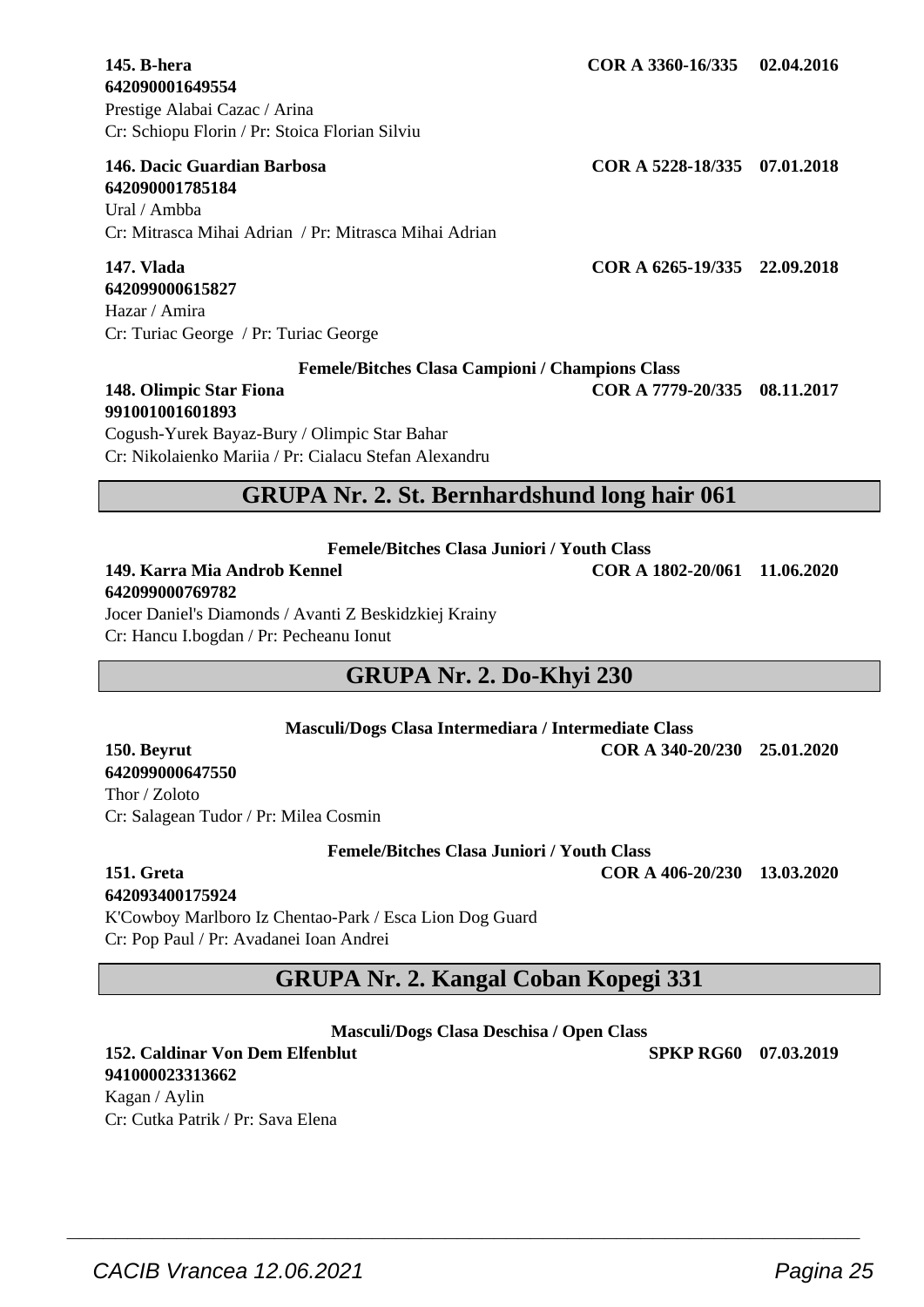**642090001649554** Prestige Alabai Cazac / Arina Cr: Schiopu Florin / Pr: Stoica Florian Silviu

#### **146. Dacic Guardian Barbosa COR A 5228-18/335 07.01.2018**

**642090001785184** Ural / Ambba Cr: Mitrasca Mihai Adrian / Pr: Mitrasca Mihai Adrian

## **642099000615827**

Hazar / Amira Cr: Turiac George / Pr: Turiac George

**Femele/Bitches Clasa Campioni / Champions Class**

#### **148. Olimpic Star Fiona COR A 7779-20/335 08.11.2017 991001001601893**

Cogush-Yurek Bayaz-Bury / Olimpic Star Bahar Cr: Nikolaienko Mariia / Pr: Cialacu Stefan Alexandru

## **GRUPA Nr. 2. St. Bernhardshund long hair 061**

**Femele/Bitches Clasa Juniori / Youth Class**

## **642099000769782**

Jocer Daniel's Diamonds / Avanti Z Beskidzkiej Krainy Cr: Hancu I.bogdan / Pr: Pecheanu Ionut

## **GRUPA Nr. 2. Do-Khyi 230**

**Masculi/Dogs Clasa Intermediara / Intermediate Class 150. Beyrut COR A 340-20/230 25.01.2020**

### **642099000647550** Thor / Zoloto

Cr: Salagean Tudor / Pr: Milea Cosmin

**Femele/Bitches Clasa Juniori / Youth Class**

## **642093400175924**

K'Cowboy Marlboro Iz Chentao-Park / Esca Lion Dog Guard Cr: Pop Paul / Pr: Avadanei Ioan Andrei

## **GRUPA Nr. 2. Kangal Coban Kopegi 331**

**Masculi/Dogs Clasa Deschisa / Open Class**

 $\overline{\phantom{a}}$  , and the set of the set of the set of the set of the set of the set of the set of the set of the set of the set of the set of the set of the set of the set of the set of the set of the set of the set of the s

**152. Caldinar Von Dem Elfenblut SPKP RG60 07.03.2019**

**147. Vlada COR A 6265-19/335 22.09.2018**

**145. B-hera COR A 3360-16/335 02.04.2016**

**941000023313662** Kagan / Aylin Cr: Cutka Patrik / Pr: Sava Elena

## **151. Greta COR A 406-20/230 13.03.2020**

**149. Karra Mia Androb Kennel COR A 1802-20/061 11.06.2020**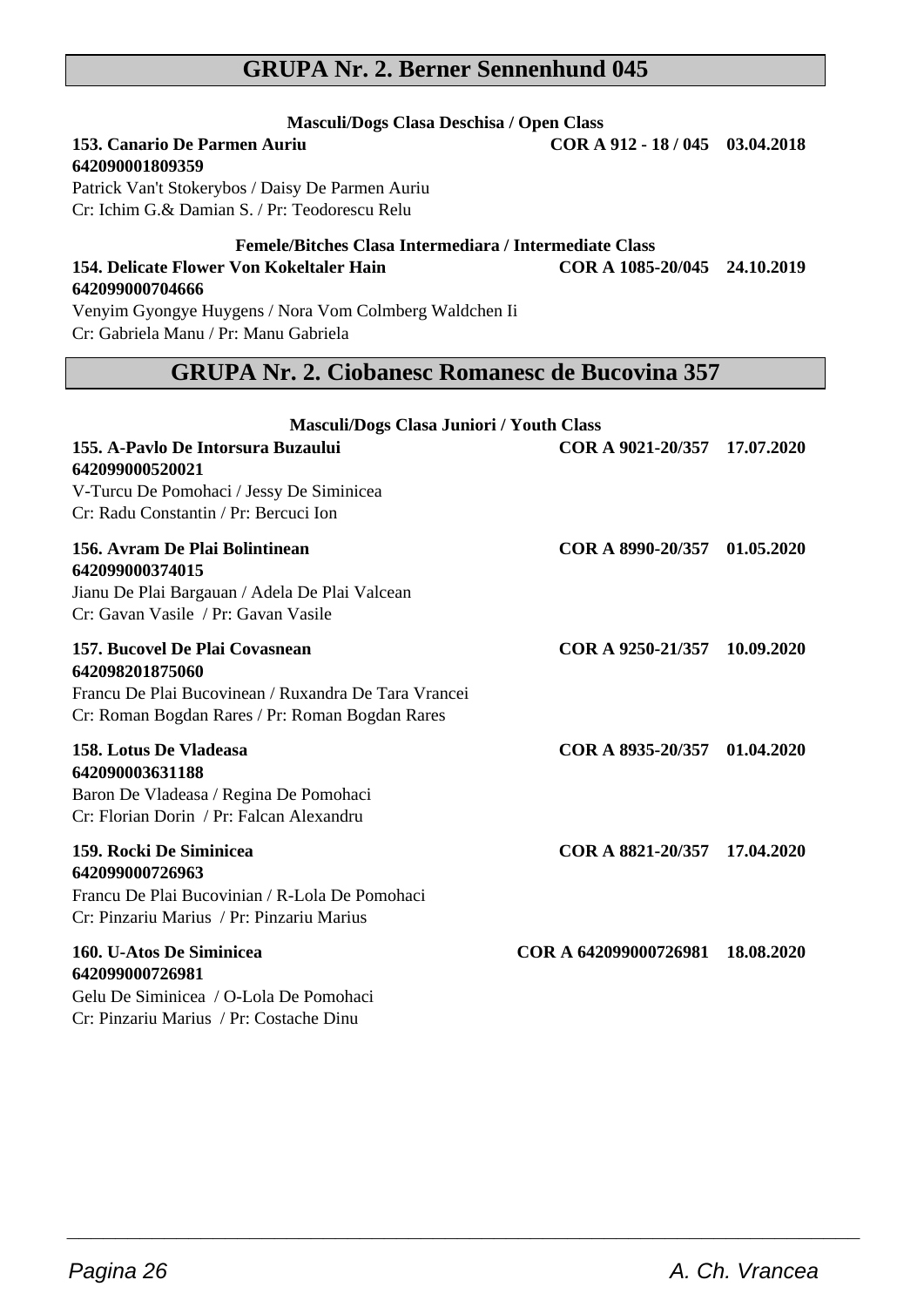## **GRUPA Nr. 2. Berner Sennenhund 045**

## **Masculi/Dogs Clasa Deschisa / Open Class**<br>**153. Canario De Parmen Auriu** COR A **642090001809359**

**642099000704666**

Patrick Van't Stokerybos / Daisy De Parmen Auriu Cr: Ichim G.& Damian S. / Pr: Teodorescu Relu

#### **Femele/Bitches Clasa Intermediara / Intermediate Class 154. Delicate Flower Von Kokeltaler Hain COR A 1085-20/045 24.10.2019**

Venyim Gyongye Huygens / Nora Vom Colmberg Waldchen Ii Cr: Gabriela Manu / Pr: Manu Gabriela

## **GRUPA Nr. 2. Ciobanesc Romanesc de Bucovina 357**

| Masculi/Dogs Clasa Juniori / Youth Class                                                                                                                     |                              |            |
|--------------------------------------------------------------------------------------------------------------------------------------------------------------|------------------------------|------------|
| 155. A-Pavlo De Intorsura Buzaului<br>642099000520021<br>V-Turcu De Pomohaci / Jessy De Siminicea<br>Cr: Radu Constantin / Pr: Bercuci Ion                   | COR A 9021-20/357 17.07.2020 |            |
| 156. Avram De Plai Bolintinean<br>642099000374015<br>Jianu De Plai Bargauan / Adela De Plai Valcean<br>Cr: Gavan Vasile / Pr: Gavan Vasile                   | COR A 8990-20/357 01.05.2020 |            |
| 157. Bucovel De Plai Covasnean<br>642098201875060<br>Francu De Plai Bucovinean / Ruxandra De Tara Vrancei<br>Cr: Roman Bogdan Rares / Pr: Roman Bogdan Rares | COR A 9250-21/357 10.09.2020 |            |
| 158. Lotus De Vladeasa<br>642090003631188<br>Baron De Vladeasa / Regina De Pomohaci<br>Cr: Florian Dorin / Pr: Falcan Alexandru                              | COR A 8935-20/357 01.04.2020 |            |
| 159. Rocki De Siminicea<br>642099000726963<br>Francu De Plai Bucovinian / R-Lola De Pomohaci<br>Cr: Pinzariu Marius / Pr: Pinzariu Marius                    | COR A 8821-20/357 17.04.2020 |            |
| 160. U-Atos De Siminicea<br>642099000726981<br>Gelu De Siminicea / O-Lola De Pomohaci<br>Cr: Pinzariu Marius / Pr: Costache Dinu                             | COR A 642099000726981        | 18.08.2020 |

 $\overline{\phantom{a}}$  , and the set of the set of the set of the set of the set of the set of the set of the set of the set of the set of the set of the set of the set of the set of the set of the set of the set of the set of the s

**153. Canario De Parmen Auriu COR A 912 - 18 / 045 03.04.2018**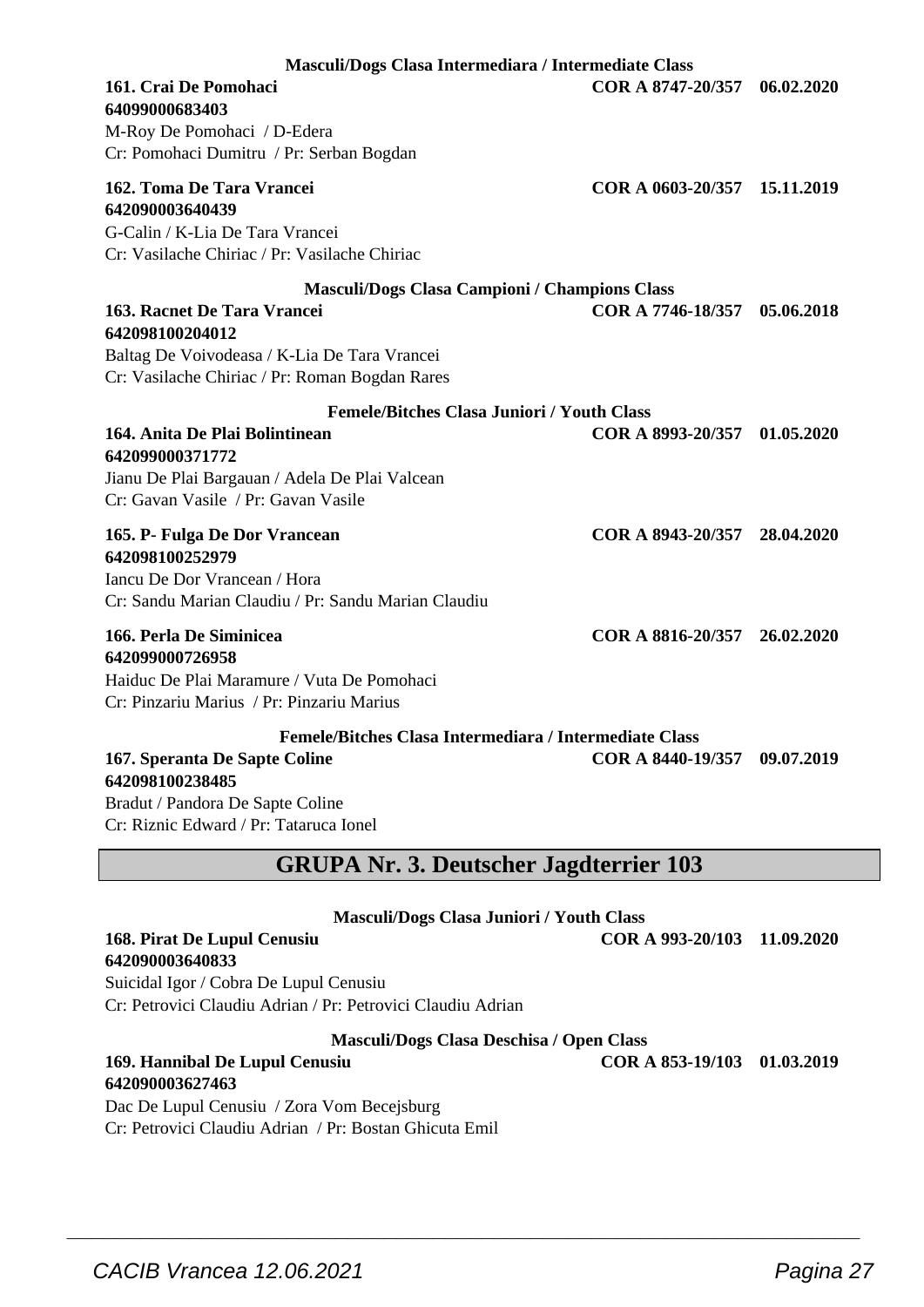| Masculi/Dogs Clasa Intermediara / Intermediate Class                                                                             |                              |            |  |
|----------------------------------------------------------------------------------------------------------------------------------|------------------------------|------------|--|
| 161. Crai De Pomohaci                                                                                                            | COR A 8747-20/357            | 06.02.2020 |  |
| 64099000683403                                                                                                                   |                              |            |  |
| M-Roy De Pomohaci / D-Edera                                                                                                      |                              |            |  |
| Cr: Pomohaci Dumitru / Pr: Serban Bogdan                                                                                         |                              |            |  |
| 162. Toma De Tara Vrancei<br>642090003640439<br>G-Calin / K-Lia De Tara Vrancei<br>Cr: Vasilache Chiriac / Pr: Vasilache Chiriac | COR A 0603-20/357            | 15.11.2019 |  |
|                                                                                                                                  |                              |            |  |
| <b>Masculi/Dogs Clasa Campioni / Champions Class</b>                                                                             |                              |            |  |
| 163. Racnet De Tara Vrancei                                                                                                      | COR A 7746-18/357            | 05.06.2018 |  |
| 642098100204012                                                                                                                  |                              |            |  |
| Baltag De Voivodeasa / K-Lia De Tara Vrancei                                                                                     |                              |            |  |
| Cr: Vasilache Chiriac / Pr: Roman Bogdan Rares                                                                                   |                              |            |  |
| <b>Femele/Bitches Clasa Juniori / Youth Class</b>                                                                                |                              |            |  |
| 164. Anita De Plai Bolintinean                                                                                                   | COR A 8993-20/357 01.05.2020 |            |  |
| 642099000371772                                                                                                                  |                              |            |  |
| Jianu De Plai Bargauan / Adela De Plai Valcean                                                                                   |                              |            |  |
| Cr: Gavan Vasile / Pr: Gavan Vasile                                                                                              |                              |            |  |
|                                                                                                                                  |                              |            |  |
| 165. P- Fulga De Dor Vrancean                                                                                                    | COR A 8943-20/357            | 28.04.2020 |  |
| 642098100252979                                                                                                                  |                              |            |  |
| Iancu De Dor Vrancean / Hora                                                                                                     |                              |            |  |
| Cr: Sandu Marian Claudiu / Pr: Sandu Marian Claudiu                                                                              |                              |            |  |
| 166. Perla De Siminicea                                                                                                          | COR A 8816-20/357 26.02.2020 |            |  |
| 642099000726958                                                                                                                  |                              |            |  |
| Haiduc De Plai Maramure / Vuta De Pomohaci                                                                                       |                              |            |  |
| Cr: Pinzariu Marius / Pr: Pinzariu Marius                                                                                        |                              |            |  |
|                                                                                                                                  |                              |            |  |
| Femele/Bitches Clasa Intermediara / Intermediate Class<br>167. Speranta De Sapte Coline<br>642098100238485                       | COR A 8440-19/357 09.07.2019 |            |  |
| Bradut / Pandora De Sapte Coline                                                                                                 |                              |            |  |
| Cr: Riznic Edward / Pr: Tataruca Ionel                                                                                           |                              |            |  |
|                                                                                                                                  |                              |            |  |
| <b>GRUPA Nr. 3. Deutscher Jagdterrier 103</b>                                                                                    |                              |            |  |
|                                                                                                                                  |                              |            |  |
| <b>Masculi/Dogs Clasa Juniori / Youth Class</b>                                                                                  |                              |            |  |
| 168. Pirat De Lupul Cenusiu                                                                                                      | COR A 993-20/103             | 11.09.2020 |  |
| 642090003640833                                                                                                                  |                              |            |  |
| Suicidal Igor / Cobra De Lupul Cenusiu                                                                                           |                              |            |  |
| Cr: Petrovici Claudiu Adrian / Pr: Petrovici Claudiu Adrian                                                                      |                              |            |  |
| Masculi/Dogs Clasa Deschisa / Open Class                                                                                         |                              |            |  |

 $\overline{\phantom{a}}$  , and the set of the set of the set of the set of the set of the set of the set of the set of the set of the set of the set of the set of the set of the set of the set of the set of the set of the set of the s

#### **169. Hannibal De Lupul Cenusiu COR A 853-19/103 01.03.2019 642090003627463**

Dac De Lupul Cenusiu / Zora Vom Becejsburg Cr: Petrovici Claudiu Adrian / Pr: Bostan Ghicuta Emil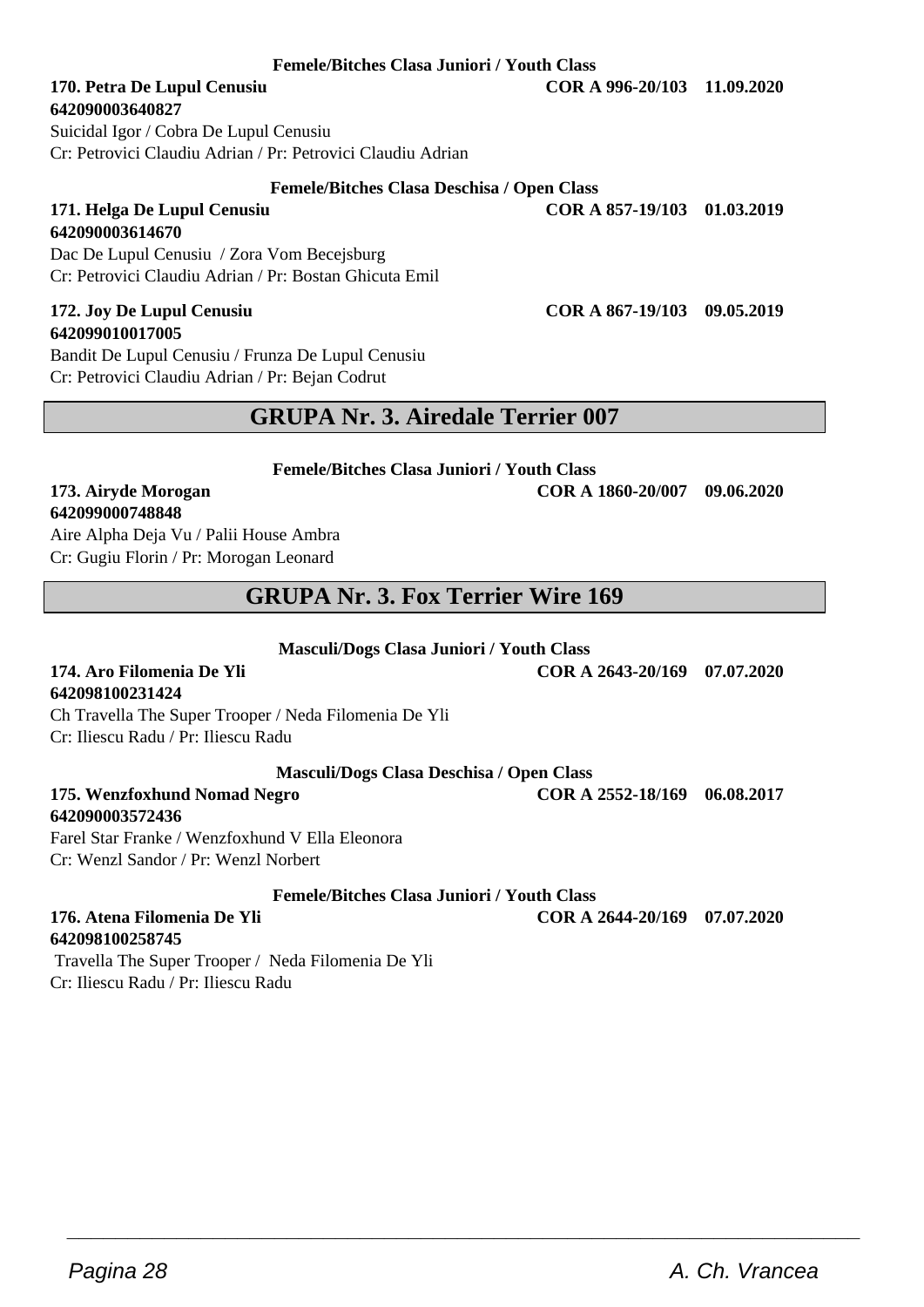#### **Femele/Bitches Clasa Juniori / Youth Class**

## **642090003640827**

Suicidal Igor / Cobra De Lupul Cenusiu Cr: Petrovici Claudiu Adrian / Pr: Petrovici Claudiu Adrian

#### **Femele/Bitches Clasa Deschisa / Open Class**

**642090003614670** Dac De Lupul Cenusiu / Zora Vom Becejsburg Cr: Petrovici Claudiu Adrian / Pr: Bostan Ghicuta Emil

#### **172. Joy De Lupul Cenusiu COR A 867-19/103 09.05.2019 642099010017005**

Bandit De Lupul Cenusiu / Frunza De Lupul Cenusiu Cr: Petrovici Claudiu Adrian / Pr: Bejan Codrut

## **GRUPA Nr. 3. Airedale Terrier 007**

**Femele/Bitches Clasa Juniori / Youth Class**

#### **173. Airyde Morogan COR A 1860-20/007 09.06.2020 642099000748848**

Aire Alpha Deja Vu / Palii House Ambra Cr: Gugiu Florin / Pr: Morogan Leonard

## **GRUPA Nr. 3. Fox Terrier Wire 169**

**Masculi/Dogs Clasa Juniori / Youth Class**

#### **174. Aro Filomenia De Yli COR A 2643-20/169 07.07.2020 642098100231424**

Ch Travella The Super Trooper / Neda Filomenia De Yli Cr: Iliescu Radu / Pr: Iliescu Radu

#### **Masculi/Dogs Clasa Deschisa / Open Class**

**175. Wenzfoxhund Nomad Negro COR A 2552-18/169 06.08.2017**

**642090003572436** Farel Star Franke / Wenzfoxhund V Ella Eleonora Cr: Wenzl Sandor / Pr: Wenzl Norbert

**Femele/Bitches Clasa Juniori / Youth Class**

 $\overline{\phantom{a}}$  , and the set of the set of the set of the set of the set of the set of the set of the set of the set of the set of the set of the set of the set of the set of the set of the set of the set of the set of the s

**176. Atena Filomenia De Yli COR A 2644-20/169 07.07.2020**

**642098100258745** Travella The Super Trooper / Neda Filomenia De Yli Cr: Iliescu Radu / Pr: Iliescu Radu

**170. Petra De Lupul Cenusiu COR A 996-20/103 11.09.2020**

**171. Helga De Lupul Cenusiu COR A 857-19/103 01.03.2019**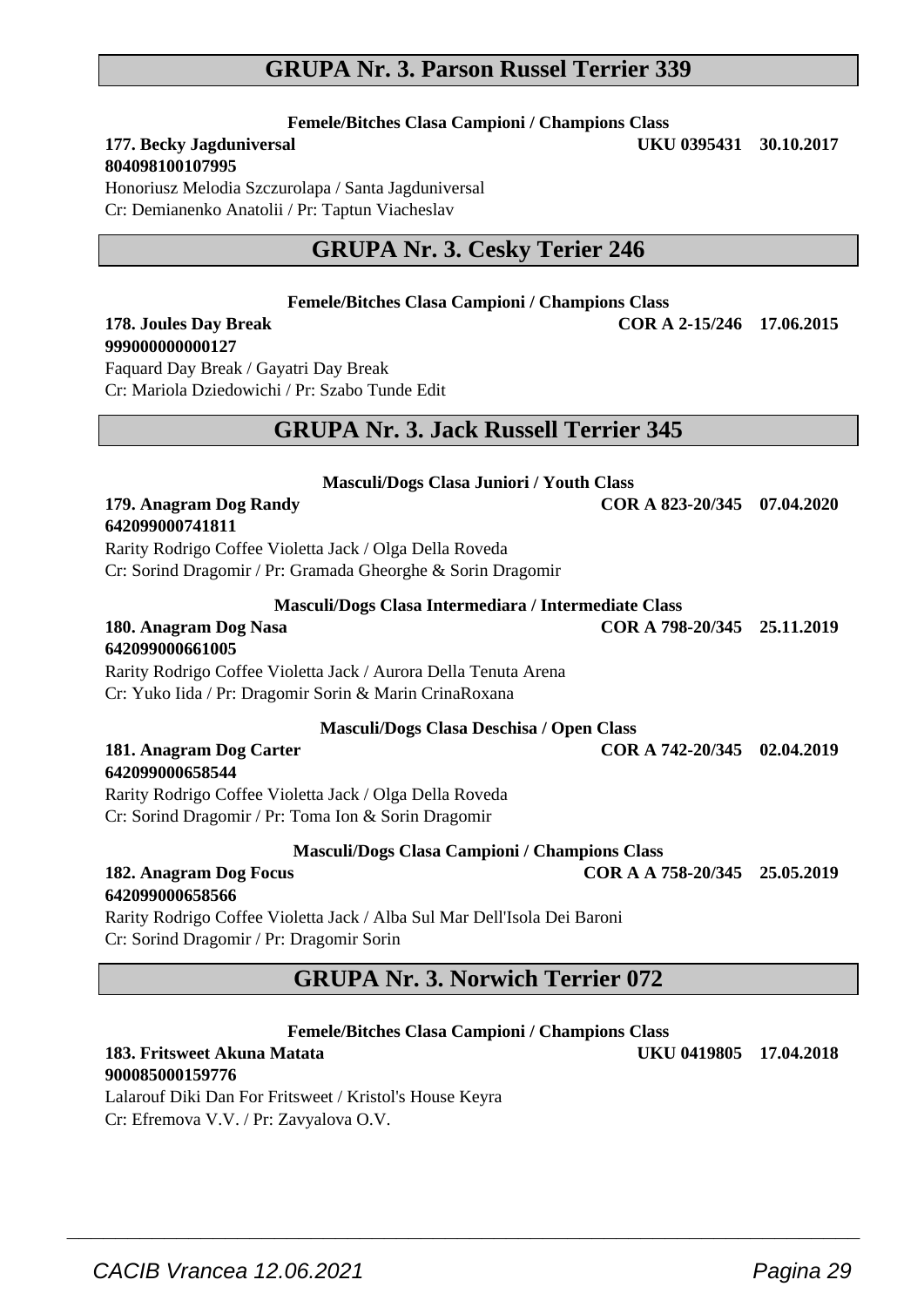## **GRUPA Nr. 3. Parson Russel Terrier 339**

**Femele/Bitches Clasa Campioni / Champions Class**

#### **177. Becky Jagduniversal 804098100107995**

Honoriusz Melodia Szczurolapa / Santa Jagduniversal Cr: Demianenko Anatolii / Pr: Taptun Viacheslav

## **GRUPA Nr. 3. Cesky Terier 246**

| <b>Femele/Bitches Clasa Campioni / Champions Class</b> |  |  |  |  |
|--------------------------------------------------------|--|--|--|--|
|--------------------------------------------------------|--|--|--|--|

#### **178. Joules Day Break COR A 2-15/246 17.06.2015 999000000000127**

Faquard Day Break / Gayatri Day Break Cr: Mariola Dziedowichi / Pr: Szabo Tunde Edit

#### **GRUPA Nr. 3. Jack Russell Terrier 345**

| <b>Masculi/Dogs Clasa Juniori / Youth Class</b>                          |                               |  |
|--------------------------------------------------------------------------|-------------------------------|--|
| 179. Anagram Dog Randy                                                   | COR A 823-20/345 07.04.2020   |  |
| 642099000741811                                                          |                               |  |
| Rarity Rodrigo Coffee Violetta Jack / Olga Della Roveda                  |                               |  |
| Cr: Sorind Dragomir / Pr: Gramada Gheorghe & Sorin Dragomir              |                               |  |
| Masculi/Dogs Clasa Intermediara / Intermediate Class                     |                               |  |
| 180. Anagram Dog Nasa                                                    | COR A 798-20/345 25.11.2019   |  |
| 642099000661005                                                          |                               |  |
| Rarity Rodrigo Coffee Violetta Jack / Aurora Della Tenuta Arena          |                               |  |
| Cr: Yuko Iida / Pr: Dragomir Sorin & Marin CrinaRoxana                   |                               |  |
| Masculi/Dogs Clasa Deschisa / Open Class                                 |                               |  |
| 181. Anagram Dog Carter                                                  | COR A 742-20/345 02.04.2019   |  |
| 642099000658544                                                          |                               |  |
| Rarity Rodrigo Coffee Violetta Jack / Olga Della Roveda                  |                               |  |
| Cr: Sorind Dragomir / Pr: Toma Ion & Sorin Dragomir                      |                               |  |
| <b>Masculi/Dogs Clasa Campioni / Champions Class</b>                     |                               |  |
| 182. Anagram Dog Focus                                                   | COR A A 758-20/345 25.05.2019 |  |
| 642099000658566                                                          |                               |  |
| Rarity Rodrigo Coffee Violetta Jack / Alba Sul Mar Dell'Isola Dei Baroni |                               |  |

Cr: Sorind Dragomir / Pr: Dragomir Sorin

### **GRUPA Nr. 3. Norwich Terrier 072**

#### **Femele/Bitches Clasa Campioni / Champions Class**

 $\overline{\phantom{a}}$  , and the set of the set of the set of the set of the set of the set of the set of the set of the set of the set of the set of the set of the set of the set of the set of the set of the set of the set of the s

#### **183. Fritsweet Akuna Matata UKU 0419805 17.04.2018 900085000159776**

Lalarouf Diki Dan For Fritsweet / Kristol's House Keyra Cr: Efremova V.V. / Pr: Zavyalova O.V.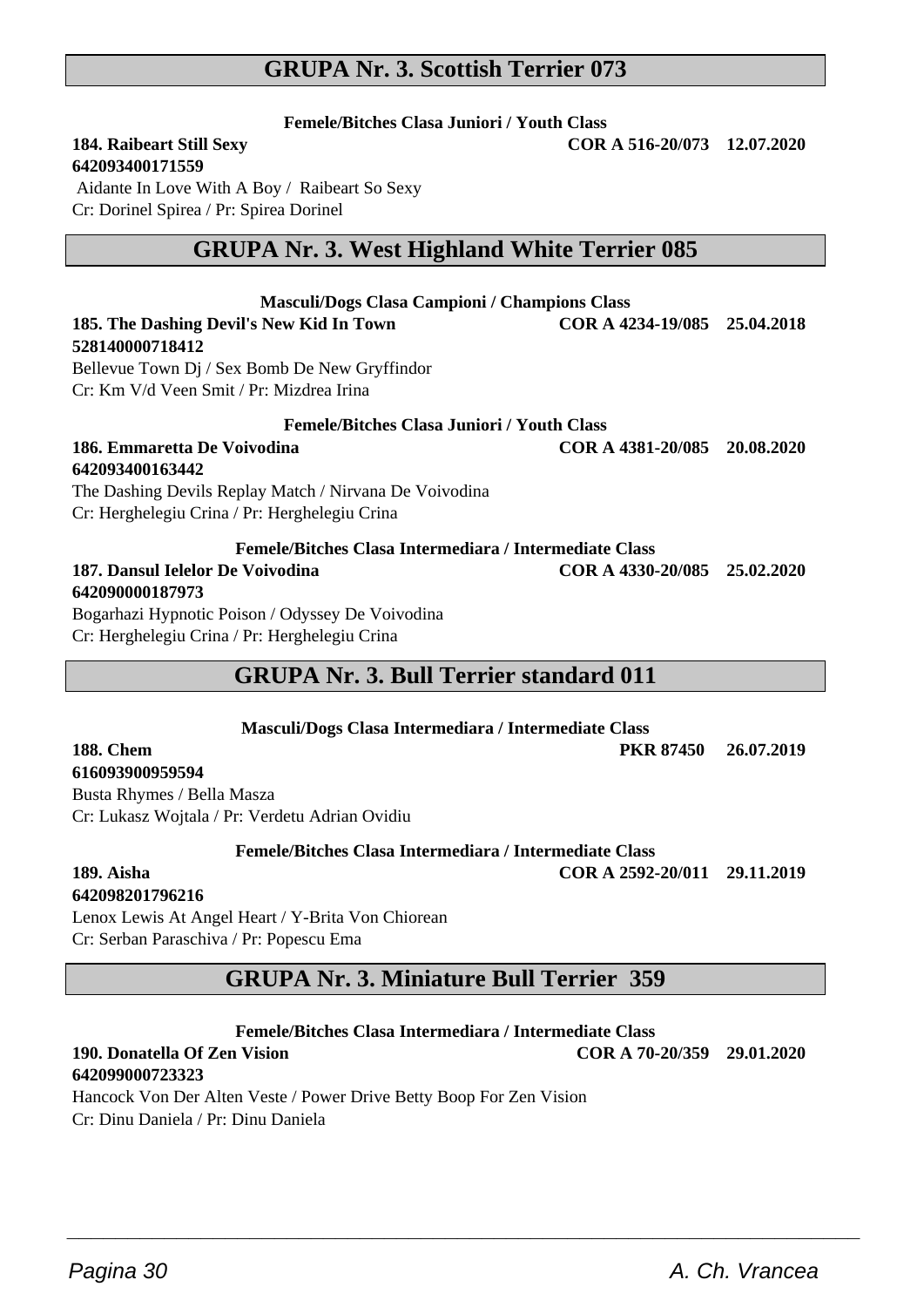## **GRUPA Nr. 3. Scottish Terrier 073**

**Femele/Bitches Clasa Juniori / Youth Class**

**184. Raibeart Still Sexy COR A 516-20/073 12.07.2020**

**642093400171559**

 Aidante In Love With A Boy / Raibeart So Sexy Cr: Dorinel Spirea / Pr: Spirea Dorinel

## **GRUPA Nr. 3. West Highland White Terrier 085**

| <b>Masculi/Dogs Clasa Campioni / Champions Class</b>   |                              |  |  |  |
|--------------------------------------------------------|------------------------------|--|--|--|
| 185. The Dashing Devil's New Kid In Town               | COR A 4234-19/085 25.04.2018 |  |  |  |
| 528140000718412                                        |                              |  |  |  |
| Bellevue Town Di / Sex Bomb De New Gryffindor          |                              |  |  |  |
| Cr: Km V/d Veen Smit / Pr: Mizdrea Irina               |                              |  |  |  |
| <b>Femele/Bitches Clasa Juniori / Youth Class</b>      |                              |  |  |  |
| 186. Emmaretta De Voivodina                            | COR A 4381-20/085 20.08.2020 |  |  |  |
| 642093400163442                                        |                              |  |  |  |
| The Dashing Devils Replay Match / Nirvana De Voivodina |                              |  |  |  |
| Cr: Herghelegiu Crina / Pr: Herghelegiu Crina          |                              |  |  |  |
| Femele/Bitches Clasa Intermediara / Intermediate Class |                              |  |  |  |
| 187. Dansul Jelelor De Voivodina<br>642090000187973    | COR A 4330-20/085 25.02.2020 |  |  |  |

Bogarhazi Hypnotic Poison / Odyssey De Voivodina Cr: Herghelegiu Crina / Pr: Herghelegiu Crina

## **GRUPA Nr. 3. Bull Terrier standard 011**

|           | Masculi/Dogs Clasa Intermediara / Intermediate Class |  |
|-----------|------------------------------------------------------|--|
| 188. Chem | PKR 87450 26.07.2019                                 |  |

#### **616093900959594**

Busta Rhymes / Bella Masza Cr: Lukasz Wojtala / Pr: Verdetu Adrian Ovidiu

**Femele/Bitches Clasa Intermediara / Intermediate Class**

**189. Aisha COR A 2592-20/011 29.11.2019**

## **642098201796216**

Lenox Lewis At Angel Heart / Y-Brita Von Chiorean Cr: Serban Paraschiva / Pr: Popescu Ema

## **GRUPA Nr. 3. Miniature Bull Terrier 359**

**Femele/Bitches Clasa Intermediara / Intermediate Class**

 $\overline{\phantom{a}}$  , and the set of the set of the set of the set of the set of the set of the set of the set of the set of the set of the set of the set of the set of the set of the set of the set of the set of the set of the s

**190. Donatella Of Zen Vision COR A 70-20/359 29.01.2020**

### **642099000723323**

Hancock Von Der Alten Veste / Power Drive Betty Boop For Zen Vision Cr: Dinu Daniela / Pr: Dinu Daniela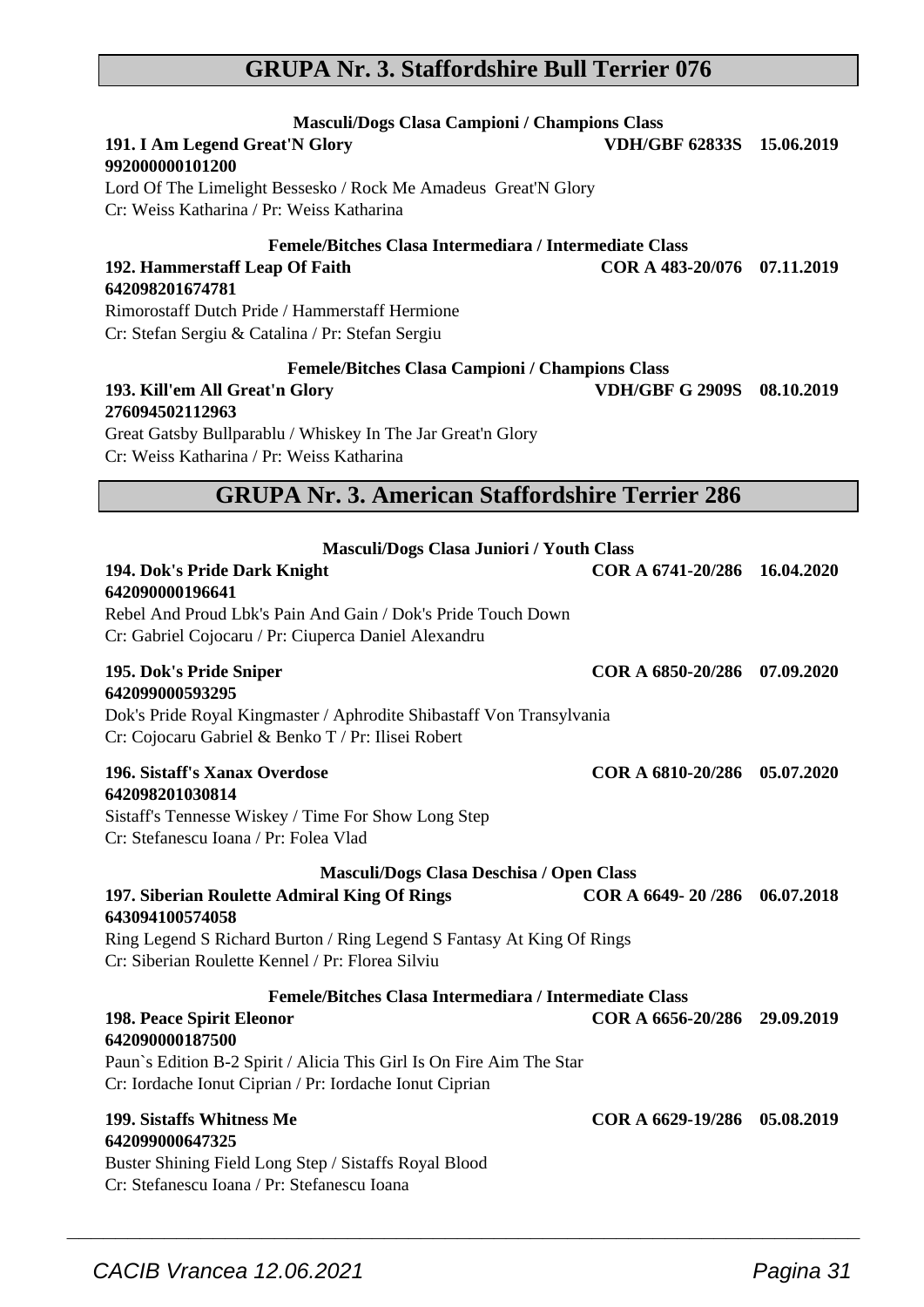## CACIB Vrancea 12.06.2021 Pagina 31

### **GRUPA Nr. 3. Staffordshire Bull Terrier 076**

**Masculi/Dogs Clasa Campioni / Champions Class**

| $\sigma$ of $\sigma$ of $\sigma$ of $\sigma$ of $\sigma$ of $\sigma$ of $\sigma$ of $\sigma$ of $\sigma$ of $\sigma$ of $\sigma$ of $\sigma$ of $\sigma$ of $\sigma$ of $\sigma$ of $\sigma$ of $\sigma$ of $\sigma$ of $\sigma$ of $\sigma$ of $\sigma$ of $\sigma$ of $\sigma$ of $\sigma$ of $\sigma$ of $\sigma$ of $\sigma$ of $\sigma$<br>Cr: Weiss Katharina / Pr: Weiss Katharina |                              |  |
|-------------------------------------------------------------------------------------------------------------------------------------------------------------------------------------------------------------------------------------------------------------------------------------------------------------------------------------------------------------------------------------------|------------------------------|--|
| <b>GRUPA Nr. 3. American Staffordshire Terrier 286</b>                                                                                                                                                                                                                                                                                                                                    |                              |  |
| Masculi/Dogs Clasa Juniori / Youth Class<br>194. Dok's Pride Dark Knight<br>642090000196641<br>Rebel And Proud Lbk's Pain And Gain / Dok's Pride Touch Down                                                                                                                                                                                                                               | COR A 6741-20/286 16.04.2020 |  |
| Cr: Gabriel Cojocaru / Pr: Ciuperca Daniel Alexandru<br>195. Dok's Pride Sniper<br>642099000593295<br>Dok's Pride Royal Kingmaster / Aphrodite Shibastaff Von Transylvania<br>Cr: Cojocaru Gabriel & Benko T / Pr: Ilisei Robert                                                                                                                                                          | COR A 6850-20/286 07.09.2020 |  |
| 196. Sistaff's Xanax Overdose<br>642098201030814<br>Sistaff's Tennesse Wiskey / Time For Show Long Step<br>Cr: Stefanescu Ioana / Pr: Folea Vlad                                                                                                                                                                                                                                          | COR A 6810-20/286 05.07.2020 |  |
| Masculi/Dogs Clasa Deschisa / Open Class<br>197. Siberian Roulette Admiral King Of Rings<br>643094100574058<br>Ring Legend S Richard Burton / Ring Legend S Fantasy At King Of Rings<br>Cr: Siberian Roulette Kennel / Pr: Florea Silviu                                                                                                                                                  | COR A 6649-20/286 06.07.2018 |  |
| Femele/Bitches Clasa Intermediara / Intermediate Class<br>198. Peace Spirit Eleonor<br>642090000187500<br>Paun's Edition B-2 Spirit / Alicia This Girl Is On Fire Aim The Star<br>Cr: Iordache Ionut Ciprian / Pr: Iordache Ionut Ciprian                                                                                                                                                 | COR A 6656-20/286 29.09.2019 |  |
| 199. Sistaffs Whitness Me<br>642099000647325<br>Buster Shining Field Long Step / Sistaffs Royal Blood<br>Cr: Stefanescu Ioana / Pr: Stefanescu Ioana                                                                                                                                                                                                                                      | COR A 6629-19/286 05.08.2019 |  |

 $\overline{\phantom{a}}$  , and the set of the set of the set of the set of the set of the set of the set of the set of the set of the set of the set of the set of the set of the set of the set of the set of the set of the set of the s

#### **192. Hammerstaff Leap Of Faith COR A 483-20/076 07.11.2019 642098201674781** Rimorostaff Dutch Pride / Hammerstaff Hermione

Lord Of The Limelight Bessesko / Rock Me Amadeus Great'N Glory

Cr: Stefan Sergiu & Catalina / Pr: Stefan Sergiu

**Femele/Bitches Clasa Campioni / Champions Class**

**Femele/Bitches Clasa Intermediara / Intermediate Class**

#### **193. Kill'em All Great'n Glory VDH/GBF G 2909S 08.10.2019 276094502112963**

**191. I Am Legend Great'N Glory** 

Cr: Weiss Katharina / Pr: Weiss Katharina

**992000000101200**

Great Gatsby Bullparablu / Whiskey In The Jar Great'n Glory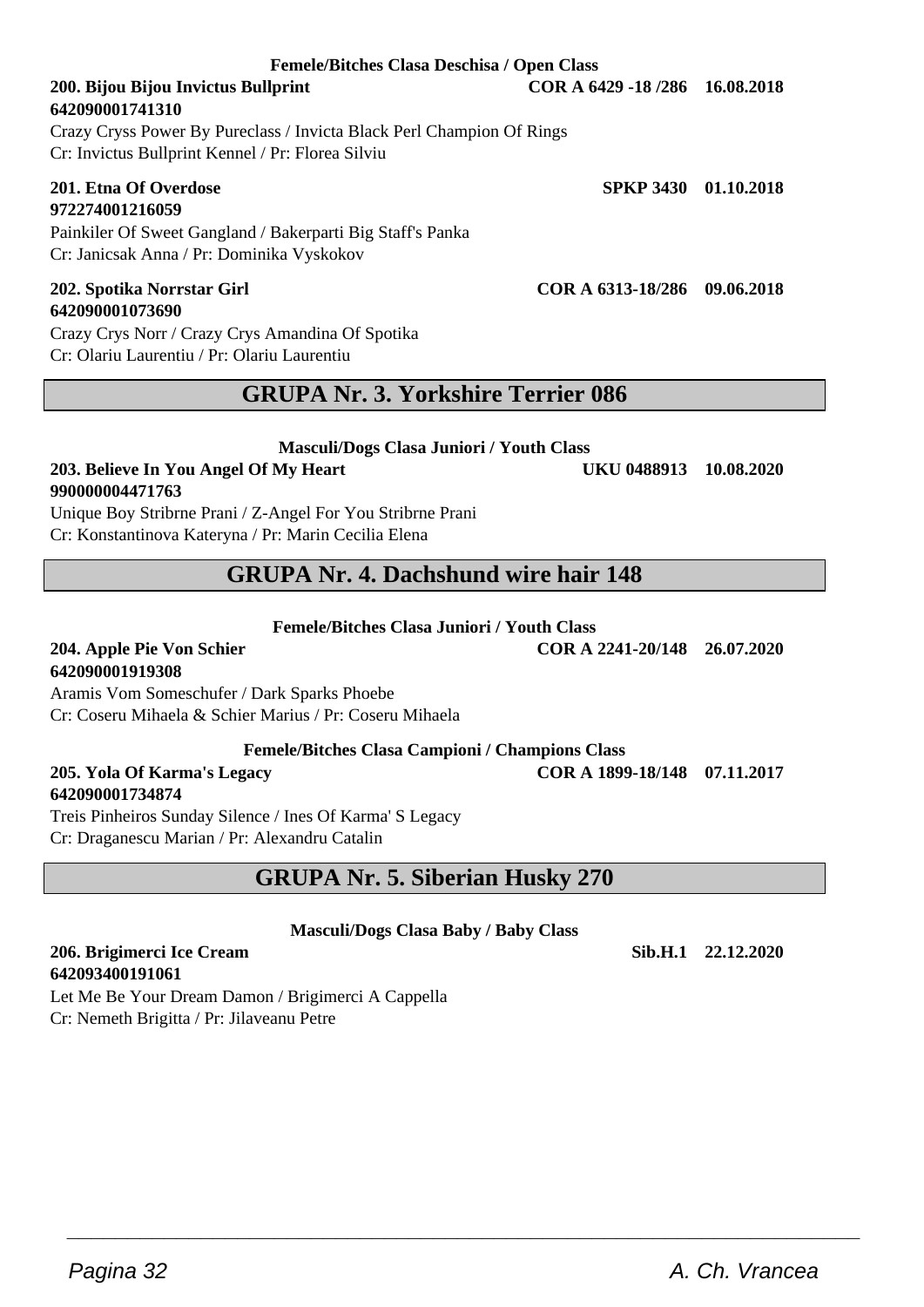#### **Femele/Bitches Clasa Deschisa / Open Class**

#### **200. Bijou Bijou Invictus Bullprint COR A 6429 -18 /286 16.08.2018 642090001741310**

Crazy Cryss Power By Pureclass / Invicta Black Perl Champion Of Rings Cr: Invictus Bullprint Kennel / Pr: Florea Silviu

#### **201. Etna Of Overdose SPKP 3430 01.10.2018 972274001216059**

Painkiler Of Sweet Gangland / Bakerparti Big Staff's Panka Cr: Janicsak Anna / Pr: Dominika Vyskokov

#### **202. Spotika Norrstar Girl COR A 6313-18/286 09.06.2018 642090001073690**

Crazy Crys Norr / Crazy Crys Amandina Of Spotika Cr: Olariu Laurentiu / Pr: Olariu Laurentiu

## **GRUPA Nr. 3. Yorkshire Terrier 086**

#### **Masculi/Dogs Clasa Juniori / Youth Class**

#### **203. Believe In You Angel Of My Heart UKU 0488913 10.08.2020 990000004471763**

Unique Boy Stribrne Prani / Z-Angel For You Stribrne Prani Cr: Konstantinova Kateryna / Pr: Marin Cecilia Elena

## **GRUPA Nr. 4. Dachshund wire hair 148**

**Femele/Bitches Clasa Juniori / Youth Class**

**204. Apple Pie Von Schier COR A 2241-20/148 26.07.2020**

## **642090001919308**

Aramis Vom Someschufer / Dark Sparks Phoebe Cr: Coseru Mihaela & Schier Marius / Pr: Coseru Mihaela

**Femele/Bitches Clasa Campioni / Champions Class**

#### **205. Yola Of Karma's Legacy COR A 1899-18/148 07.11.2017 642090001734874**

Treis Pinheiros Sunday Silence / Ines Of Karma' S Legacy Cr: Draganescu Marian / Pr: Alexandru Catalin

## **GRUPA Nr. 5. Siberian Husky 270**

**Masculi/Dogs Clasa Baby / Baby Class**

 $\overline{\phantom{a}}$  , and the set of the set of the set of the set of the set of the set of the set of the set of the set of the set of the set of the set of the set of the set of the set of the set of the set of the set of the s

#### **206. Brigimerci Ice Cream Sib.H.1 22.12.2020 642093400191061**

Let Me Be Your Dream Damon / Brigimerci A Cappella Cr: Nemeth Brigitta / Pr: Jilaveanu Petre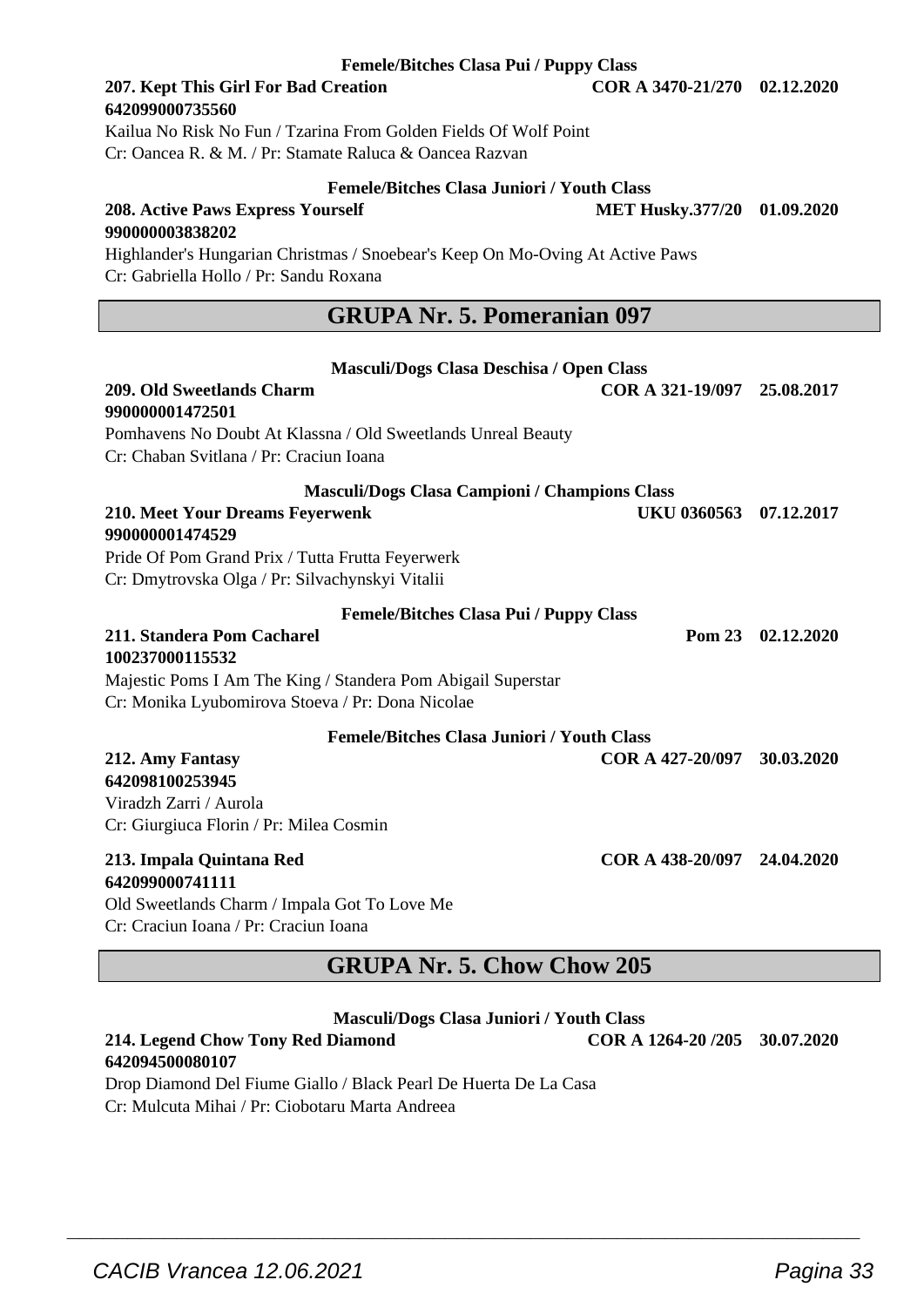#### **Femele/Bitches Clasa Pui / Puppy Class**

#### **207. Kept This Girl For Bad Creation COR A 3470-21/270 02.12.2020 642099000735560**

Kailua No Risk No Fun / Tzarina From Golden Fields Of Wolf Point Cr: Oancea R. & M. / Pr: Stamate Raluca & Oancea Razvan

#### **Femele/Bitches Clasa Juniori / Youth Class**

**208. Active Paws Express Yourself MET Husky.377/20 01.09.2020 990000003838202** Highlander's Hungarian Christmas / Snoebear's Keep On Mo-Oving At Active Paws

Cr: Gabriella Hollo / Pr: Sandu Roxana

## **GRUPA Nr. 5. Pomeranian 097**

**Masculi/Dogs Clasa Deschisa / Open Class**

| 209. Old Sweetlands Charm<br>990000001472501                                                                  | COR A 321-19/097 25.08.2017 |            |
|---------------------------------------------------------------------------------------------------------------|-----------------------------|------------|
| Pomhavens No Doubt At Klassna / Old Sweetlands Unreal Beauty<br>Cr: Chaban Svitlana / Pr: Craciun Ioana       |                             |            |
| <b>Masculi/Dogs Clasa Campioni / Champions Class</b>                                                          |                             |            |
| 210. Meet Your Dreams Feyerwenk<br>990000001474529                                                            | UKU 0360563                 | 07.12.2017 |
| Pride Of Pom Grand Prix / Tutta Frutta Feyerwerk                                                              |                             |            |
| Cr: Dmytrovska Olga / Pr: Silvachynskyi Vitalii                                                               |                             |            |
| <b>Femele/Bitches Clasa Pui / Puppy Class</b>                                                                 |                             |            |
| 211. Standera Pom Cacharel<br>100237000115532<br>Majestic Poms I Am The King / Standera Pom Abigail Superstar | Pom 23                      | 02.12.2020 |
| Cr: Monika Lyubomirova Stoeva / Pr: Dona Nicolae                                                              |                             |            |
| <b>Femele/Bitches Clasa Juniori / Youth Class</b>                                                             |                             |            |
| 212. Amy Fantasy<br>642098100253945<br>Viradzh Zarri / Aurola<br>Cr: Giurgiuca Florin / Pr: Milea Cosmin      | COR A 427-20/097            | 30.03.2020 |
| 213. Impala Quintana Red<br>642099000741111                                                                   | COR A 438-20/097 24.04.2020 |            |
| Old Sweetlands Charm / Impala Got To Love Me                                                                  |                             |            |
| Cr: Craciun Ioana / Pr: Craciun Ioana                                                                         |                             |            |

## **GRUPA Nr. 5. Chow Chow 205**

|  | Masculi/Dogs Clasa Juniori / Youth Class |  |  |
|--|------------------------------------------|--|--|
|--|------------------------------------------|--|--|

 $\overline{\phantom{a}}$  , and the set of the set of the set of the set of the set of the set of the set of the set of the set of the set of the set of the set of the set of the set of the set of the set of the set of the set of the s

#### **214. Legend Chow Tony Red Diamond COR A 1264-20 /205 30.07.2020 642094500080107**

Drop Diamond Del Fiume Giallo / Black Pearl De Huerta De La Casa Cr: Mulcuta Mihai / Pr: Ciobotaru Marta Andreea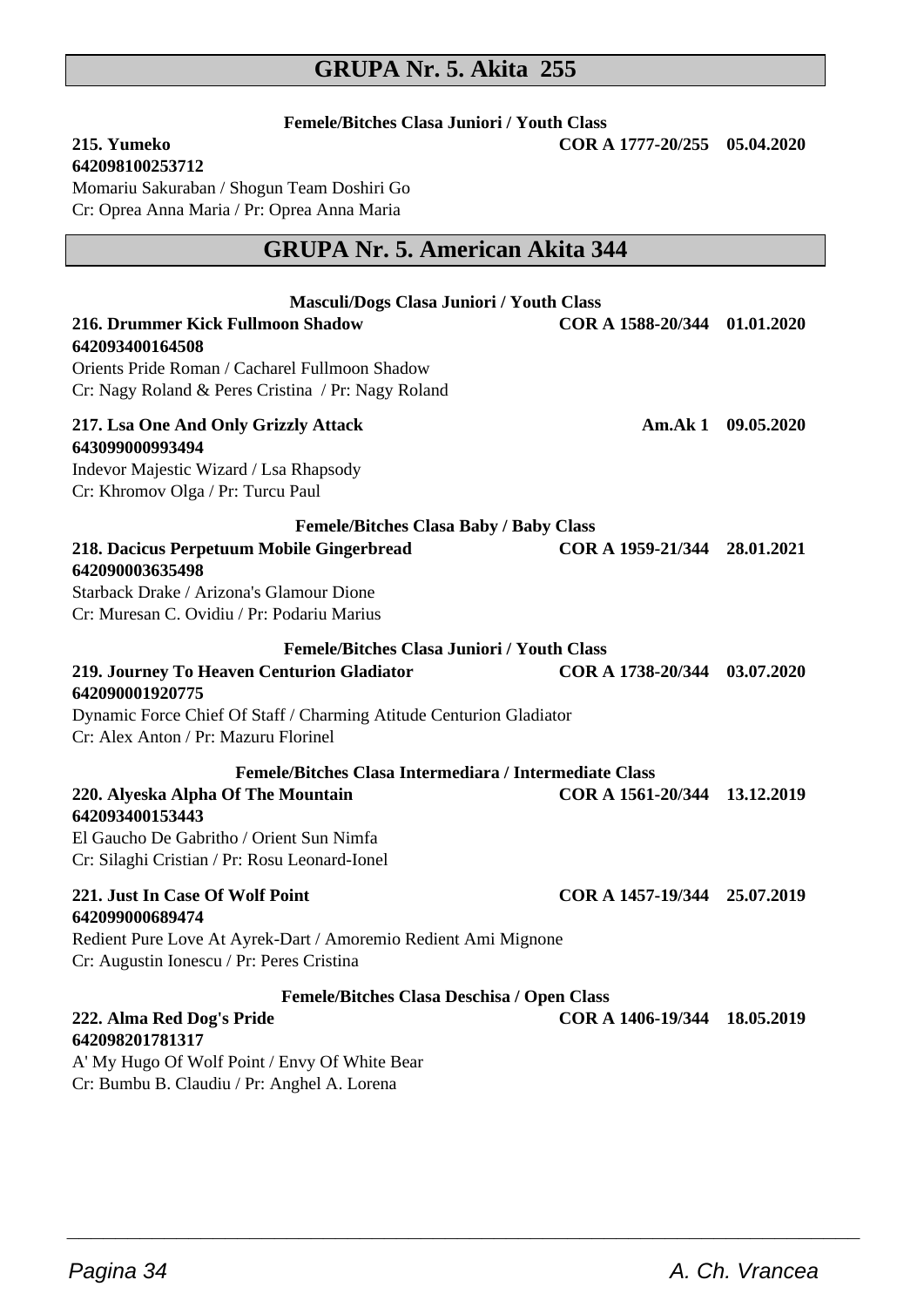## **GRUPA Nr. 5. Akita 255**

**Femele/Bitches Clasa Juniori / Youth Class**

**215. Yumeko COR A 1777-20/255 05.04.2020**

**642098100253712**

Momariu Sakuraban / Shogun Team Doshiri Go Cr: Oprea Anna Maria / Pr: Oprea Anna Maria

## **GRUPA Nr. 5. American Akita 344**

| Masculi/Dogs Clasa Juniori / Youth Class                                                                                                           |                              |                    |
|----------------------------------------------------------------------------------------------------------------------------------------------------|------------------------------|--------------------|
| 216. Drummer Kick Fullmoon Shadow<br>642093400164508                                                                                               | COR A 1588-20/344 01.01.2020 |                    |
| Orients Pride Roman / Cacharel Fullmoon Shadow<br>Cr: Nagy Roland & Peres Cristina / Pr: Nagy Roland                                               |                              |                    |
| 217. Lsa One And Only Grizzly Attack<br>643099000993494                                                                                            |                              | Am.Ak 1 09.05.2020 |
| Indevor Majestic Wizard / Lsa Rhapsody<br>Cr: Khromov Olga / Pr: Turcu Paul                                                                        |                              |                    |
| <b>Femele/Bitches Clasa Baby / Baby Class</b>                                                                                                      |                              |                    |
| 218. Dacicus Perpetuum Mobile Gingerbread<br>642090003635498                                                                                       | COR A 1959-21/344 28.01.2021 |                    |
| Starback Drake / Arizona's Glamour Dione<br>Cr: Muresan C. Ovidiu / Pr: Podariu Marius                                                             |                              |                    |
| <b>Femele/Bitches Clasa Juniori / Youth Class</b>                                                                                                  |                              |                    |
| 219. Journey To Heaven Centurion Gladiator<br>642090001920775                                                                                      | COR A 1738-20/344 03.07.2020 |                    |
| Dynamic Force Chief Of Staff / Charming Atitude Centurion Gladiator<br>Cr: Alex Anton / Pr: Mazuru Florinel                                        |                              |                    |
| Femele/Bitches Clasa Intermediara / Intermediate Class                                                                                             |                              |                    |
| 220. Alyeska Alpha Of The Mountain<br>642093400153443<br>El Gaucho De Gabritho / Orient Sun Nimfa<br>Cr: Silaghi Cristian / Pr: Rosu Leonard-Ionel | COR A 1561-20/344 13.12.2019 |                    |
|                                                                                                                                                    |                              |                    |
| 221. Just In Case Of Wolf Point<br>642099000689474                                                                                                 | COR A 1457-19/344 25.07.2019 |                    |
| Redient Pure Love At Ayrek-Dart / Amoremio Redient Ami Mignone<br>Cr: Augustin Ionescu / Pr: Peres Cristina                                        |                              |                    |
| Femele/Bitches Clasa Deschisa / Open Class                                                                                                         |                              |                    |
| 222. Alma Red Dog's Pride<br>642098201781317                                                                                                       | COR A 1406-19/344 18.05.2019 |                    |
| A' My Hugo Of Wolf Point / Envy Of White Bear                                                                                                      |                              |                    |
| Cr: Bumbu B. Claudiu / Pr: Anghel A. Lorena                                                                                                        |                              |                    |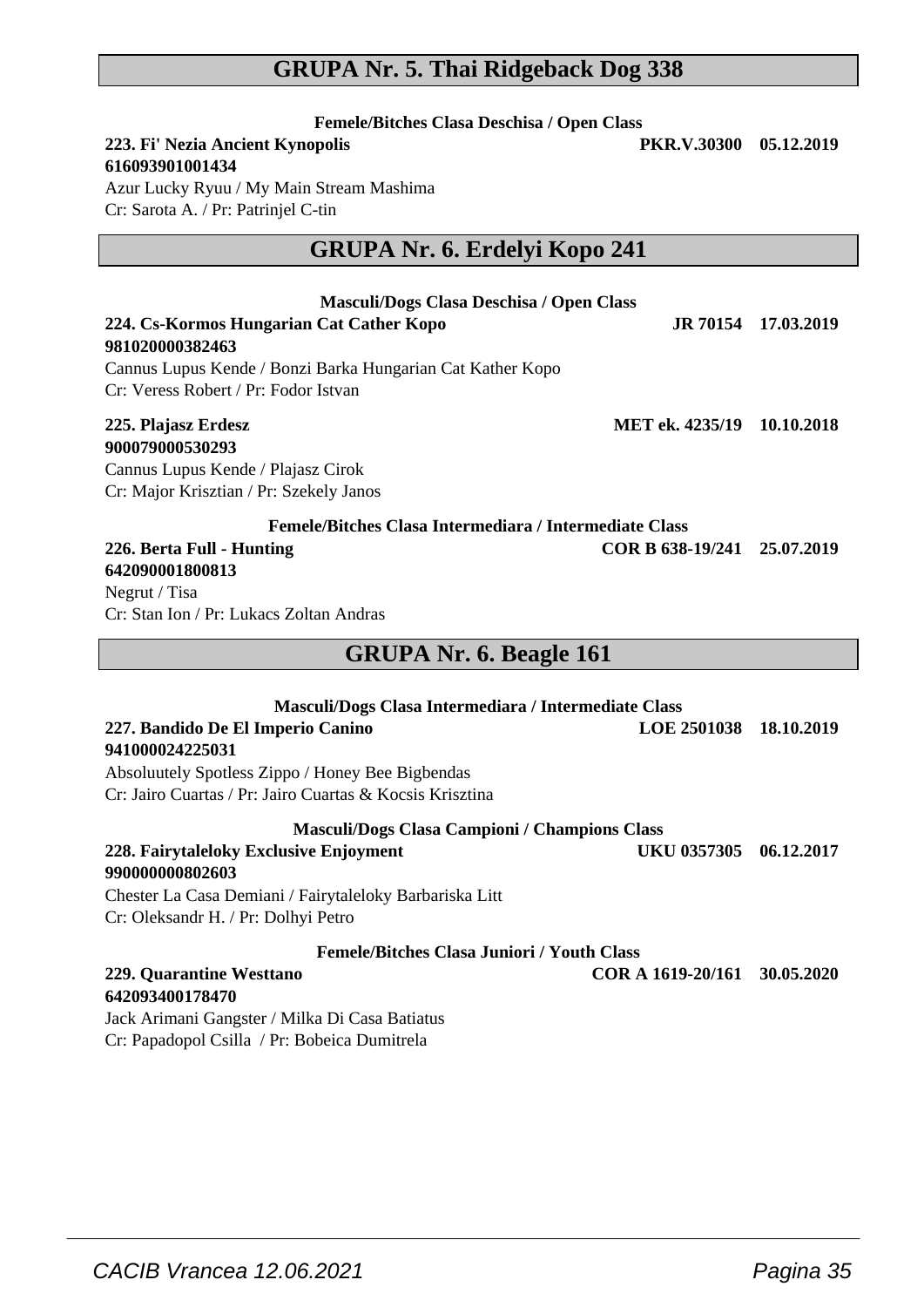## **GRUPA Nr. 5. Thai Ridgeback Dog 338**

| Femele/Bitches Clasa Deschisa / Open Class<br>223. Fi' Nezia Ancient Kynopolis<br>PKR.V.30300<br>616093901001434<br>Azur Lucky Ryuu / My Main Stream Mashima<br>Cr: Sarota A. / Pr: Patrinjel C-tin                                                | 05.12.2019          |
|----------------------------------------------------------------------------------------------------------------------------------------------------------------------------------------------------------------------------------------------------|---------------------|
| GRUPA Nr. 6. Erdelyi Kopo 241                                                                                                                                                                                                                      |                     |
| Masculi/Dogs Clasa Deschisa / Open Class<br>224. Cs-Kormos Hungarian Cat Cather Kopo<br>981020000382463<br>Cannus Lupus Kende / Bonzi Barka Hungarian Cat Kather Kopo<br>Cr: Veress Robert / Pr: Fodor Istvan                                      | JR 70154 17.03.2019 |
| MET ek. 4235/19 10.10.2018<br>225. Plajasz Erdesz<br>900079000530293<br>Cannus Lupus Kende / Plajasz Cirok<br>Cr: Major Krisztian / Pr: Szekely Janos                                                                                              |                     |
| Femele/Bitches Clasa Intermediara / Intermediate Class<br>COR B 638-19/241 25.07.2019<br>226. Berta Full - Hunting<br>642090001800813<br>Negrut / Tisa<br>Cr: Stan Ion / Pr: Lukacs Zoltan Andras                                                  |                     |
| <b>GRUPA Nr. 6. Beagle 161</b>                                                                                                                                                                                                                     |                     |
| Masculi/Dogs Clasa Intermediara / Intermediate Class<br>227. Bandido De El Imperio Canino<br><b>LOE 2501038</b><br>941000024225031<br>Absoluutely Spotless Zippo / Honey Bee Bigbendas<br>Cr: Jairo Cuartas / Pr: Jairo Cuartas & Kocsis Krisztina | 18.10.2019          |
| Masculi/Dogs Clasa Campioni / Champions Class<br>228. Fairytaleloky Exclusive Enjoyment<br>UKU 0357305<br>9900000000802603<br>Chester La Casa Demiani / Fairytaleloky Barbariska Litt<br>Cr: Oleksandr H. / Pr: Dolhyi Petro                       | 06.12.2017          |
| <b>Femele/Bitches Clasa Juniori / Youth Class</b><br>229. Quarantine Westtano<br>COR A 1619-20/161<br>642093400178470<br>$\mathbf{r}$<br>$1 - 5 - 5 + 11$                                                                                          | 30.05.2020          |

 $\overline{\phantom{a}}$  , and the set of the set of the set of the set of the set of the set of the set of the set of the set of the set of the set of the set of the set of the set of the set of the set of the set of the set of the s

Jack Arimani Gangster / Milka Di Casa Batiatus Cr: Papadopol Csilla / Pr: Bobeica Dumitrela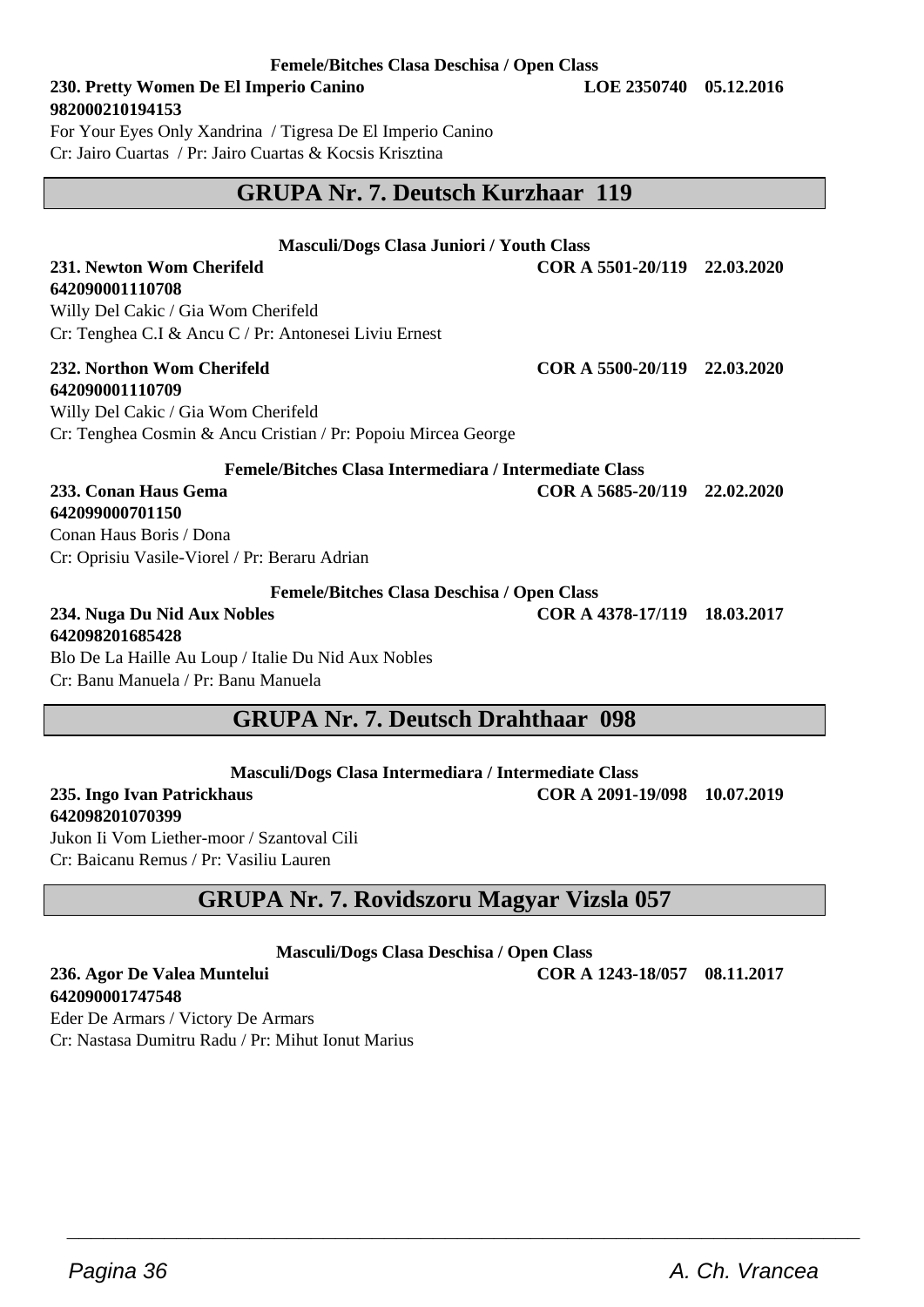#### **Femele/Bitches Clasa Deschisa / Open Class**

### **230. Pretty Women De El Imperio Canino LOE 2350740 05.12.2016 982000210194153**

For Your Eyes Only Xandrina / Tigresa De El Imperio Canino Cr: Jairo Cuartas / Pr: Jairo Cuartas & Kocsis Krisztina

## **GRUPA Nr. 7. Deutsch Kurzhaar 119**

#### **Masculi/Dogs Clasa Juniori / Youth Class**

**231. Newton Wom Cherifeld COR A 5501-20/119 22.03.2020**

Willy Del Cakic / Gia Wom Cherifeld Cr: Tenghea C.I & Ancu C / Pr: Antonesei Liviu Ernest

## **642090001110709**

**642090001110708**

Willy Del Cakic / Gia Wom Cherifeld Cr: Tenghea Cosmin & Ancu Cristian / Pr: Popoiu Mircea George

**Femele/Bitches Clasa Intermediara / Intermediate Class**

#### **233. Conan Haus Gema COR A 5685-20/119 22.02.2020 642099000701150**

Conan Haus Boris / Dona Cr: Oprisiu Vasile-Viorel / Pr: Beraru Adrian

#### **Femele/Bitches Clasa Deschisa / Open Class**

**234. Nuga Du Nid Aux Nobles COR A 4378-17/119 18.03.2017 642098201685428** Blo De La Haille Au Loup / Italie Du Nid Aux Nobles Cr: Banu Manuela / Pr: Banu Manuela

## **GRUPA Nr. 7. Deutsch Drahthaar 098**

**Masculi/Dogs Clasa Intermediara / Intermediate Class**

#### **235. Ingo Ivan Patrickhaus COR A 2091-19/098 10.07.2019 642098201070399**

Jukon Ii Vom Liether-moor / Szantoval Cili Cr: Baicanu Remus / Pr: Vasiliu Lauren

## **GRUPA Nr. 7. Rovidszoru Magyar Vizsla 057**

**Masculi/Dogs Clasa Deschisa / Open Class**

 $\overline{\phantom{a}}$  , and the set of the set of the set of the set of the set of the set of the set of the set of the set of the set of the set of the set of the set of the set of the set of the set of the set of the set of the s

**236. Agor De Valea Muntelui COR A 1243-18/057 08.11.2017 642090001747548**

Eder De Armars / Victory De Armars Cr: Nastasa Dumitru Radu / Pr: Mihut Ionut Marius

**232. Northon Wom Cherifeld COR A 5500-20/119 22.03.2020**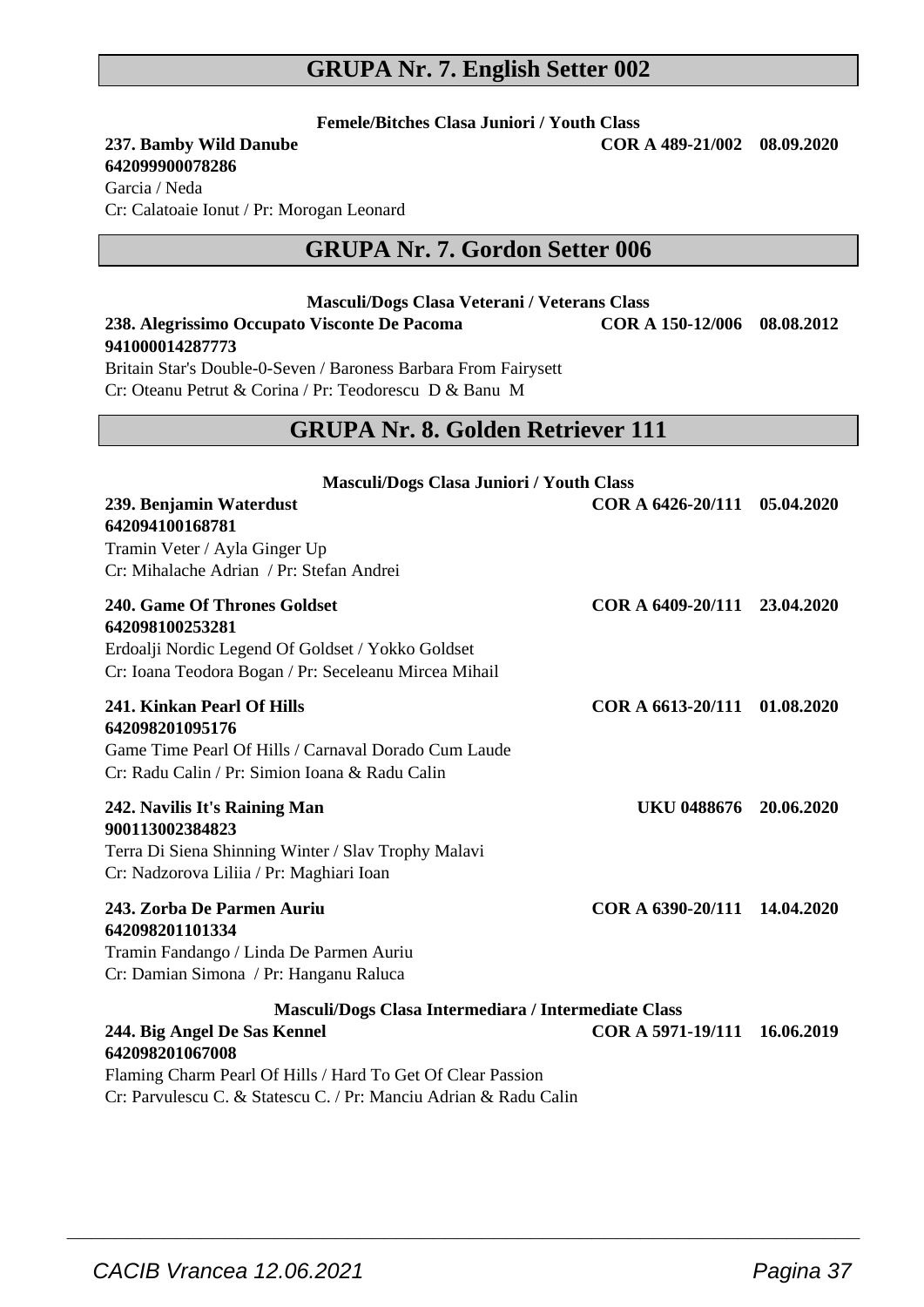## **GRUPA Nr. 7. English Setter 002**

**Femele/Bitches Clasa Juniori / Youth Class**

### **237. Bamby Wild Danube**

### **642099900078286**

Garcia / Neda Cr: Calatoaie Ionut / Pr: Morogan Leonard

## **GRUPA Nr. 7. Gordon Setter 006**

**Masculi/Dogs Clasa Veterani / Veterans Class 238. Alegrissimo Occupato Visconte De Pacoma COR A 150-12/006 08.08.2012**

| 941000014287773                                                                                 |                              |            |
|-------------------------------------------------------------------------------------------------|------------------------------|------------|
| Britain Star's Double-0-Seven / Baroness Barbara From Fairysett                                 |                              |            |
| Cr: Oteanu Petrut & Corina / Pr: Teodorescu D & Banu M                                          |                              |            |
| <b>GRUPA Nr. 8. Golden Retriever 111</b>                                                        |                              |            |
|                                                                                                 |                              |            |
| Masculi/Dogs Clasa Juniori / Youth Class                                                        |                              |            |
| 239. Benjamin Waterdust<br>642094100168781                                                      | COR A 6426-20/111 05.04.2020 |            |
| Tramin Veter / Ayla Ginger Up                                                                   |                              |            |
| Cr: Mihalache Adrian / Pr: Stefan Andrei                                                        |                              |            |
| 240. Game Of Thrones Goldset                                                                    | COR A 6409-20/111 23.04.2020 |            |
| 642098100253281                                                                                 |                              |            |
| Erdoalji Nordic Legend Of Goldset / Yokko Goldset                                               |                              |            |
| Cr: Ioana Teodora Bogan / Pr: Seceleanu Mircea Mihail                                           |                              |            |
| 241. Kinkan Pearl Of Hills                                                                      | COR A 6613-20/111 01.08.2020 |            |
| 642098201095176                                                                                 |                              |            |
| Game Time Pearl Of Hills / Carnaval Dorado Cum Laude                                            |                              |            |
| Cr: Radu Calin / Pr: Simion Ioana & Radu Calin                                                  |                              |            |
| 242. Navilis It's Raining Man                                                                   | UKU 0488676 20.06.2020       |            |
| 900113002384823                                                                                 |                              |            |
| Terra Di Siena Shinning Winter / Slav Trophy Malavi<br>Cr: Nadzorova Liliia / Pr: Maghiari Ioan |                              |            |
|                                                                                                 |                              |            |
| 243. Zorba De Parmen Auriu<br>642098201101334                                                   | COR A 6390-20/111 14.04.2020 |            |
| Tramin Fandango / Linda De Parmen Auriu                                                         |                              |            |
| Cr: Damian Simona / Pr: Hanganu Raluca                                                          |                              |            |
| Masculi/Dogs Clasa Intermediara / Intermediate Class                                            |                              |            |
| 244. Big Angel De Sas Kennel                                                                    | COR A 5971-19/111            | 16.06.2019 |
| 642098201067008<br>Eleming Cheum Dead Of Hille / Head To Cet Of Clean Dession                   |                              |            |

 $\overline{\phantom{a}}$  , and the set of the set of the set of the set of the set of the set of the set of the set of the set of the set of the set of the set of the set of the set of the set of the set of the set of the set of the s

Flaming Charm Pearl Of Hills / Hard To Get Of Clear Passion Cr: Parvulescu C. & Statescu C. / Pr: Manciu Adrian & Radu Calin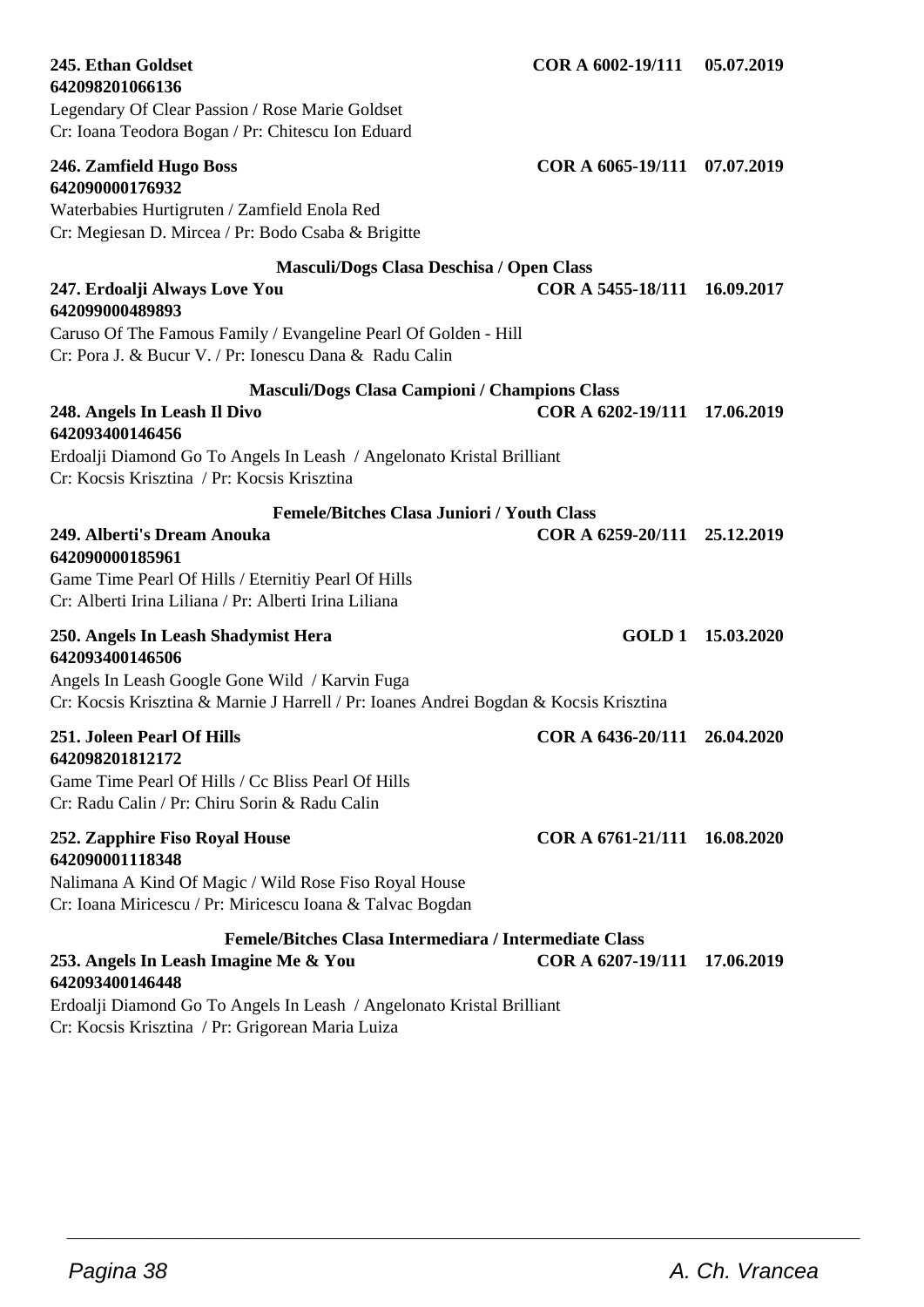| 642098201066136<br>Legendary Of Clear Passion / Rose Marie Goldset<br>Cr: Ioana Teodora Bogan / Pr: Chitescu Ion Eduard                                                                                                         |                              |                   |
|---------------------------------------------------------------------------------------------------------------------------------------------------------------------------------------------------------------------------------|------------------------------|-------------------|
| 246. Zamfield Hugo Boss<br>642090000176932<br>Waterbabies Hurtigruten / Zamfield Enola Red<br>Cr: Megiesan D. Mircea / Pr: Bodo Csaba & Brigitte                                                                                | COR A 6065-19/111 07.07.2019 |                   |
| Masculi/Dogs Clasa Deschisa / Open Class<br>247. Erdoalji Always Love You<br>642099000489893<br>Caruso Of The Famous Family / Evangeline Pearl Of Golden - Hill<br>Cr: Pora J. & Bucur V. / Pr: Ionescu Dana & Radu Calin       | COR A 5455-18/111 16.09.2017 |                   |
| <b>Masculi/Dogs Clasa Campioni / Champions Class</b><br>248. Angels In Leash Il Divo<br>642093400146456<br>Erdoalji Diamond Go To Angels In Leash / Angelonato Kristal Brilliant<br>Cr: Kocsis Krisztina / Pr: Kocsis Krisztina | COR A 6202-19/111            | 17.06.2019        |
| <b>Femele/Bitches Clasa Juniori / Youth Class</b><br>249. Alberti's Dream Anouka<br>642090000185961<br>Game Time Pearl Of Hills / Eternitiy Pearl Of Hills<br>Cr: Alberti Irina Liliana / Pr: Alberti Irina Liliana             | COR A 6259-20/111 25.12.2019 |                   |
| 250. Angels In Leash Shadymist Hera<br>642093400146506<br>Angels In Leash Google Gone Wild / Karvin Fuga<br>Cr: Kocsis Krisztina & Marnie J Harrell / Pr: Ioanes Andrei Bogdan & Kocsis Krisztina                               |                              | GOLD 1 15.03.2020 |
| 251. Joleen Pearl Of Hills<br>642098201812172<br>Game Time Pearl Of Hills / Cc Bliss Pearl Of Hills<br>Cr: Radu Calin / Pr: Chiru Sorin & Radu Calin                                                                            | COR A 6436-20/111            | 26.04.2020        |
| 252. Zapphire Fiso Royal House<br>642090001118348<br>Nalimana A Kind Of Magic / Wild Rose Fiso Royal House<br>Cr: Ioana Miricescu / Pr: Miricescu Ioana & Talvac Bogdan                                                         | COR A 6761-21/111 16.08.2020 |                   |
| Femele/Bitches Clasa Intermediara / Intermediate Class<br>253. Angels In Leash Imagine Me & You<br>642093400146448<br>Erdoalji Diamond Go To Angels In Leash / Angelonato Kristal Brilliant                                     | COR A 6207-19/111            | 17.06.2019        |

 $\overline{\phantom{a}}$  , and the set of the set of the set of the set of the set of the set of the set of the set of the set of the set of the set of the set of the set of the set of the set of the set of the set of the set of the s

**245. Ethan Goldset COR A 6002-19/111 05.07.2019**

Cr: Kocsis Krisztina / Pr: Grigorean Maria Luiza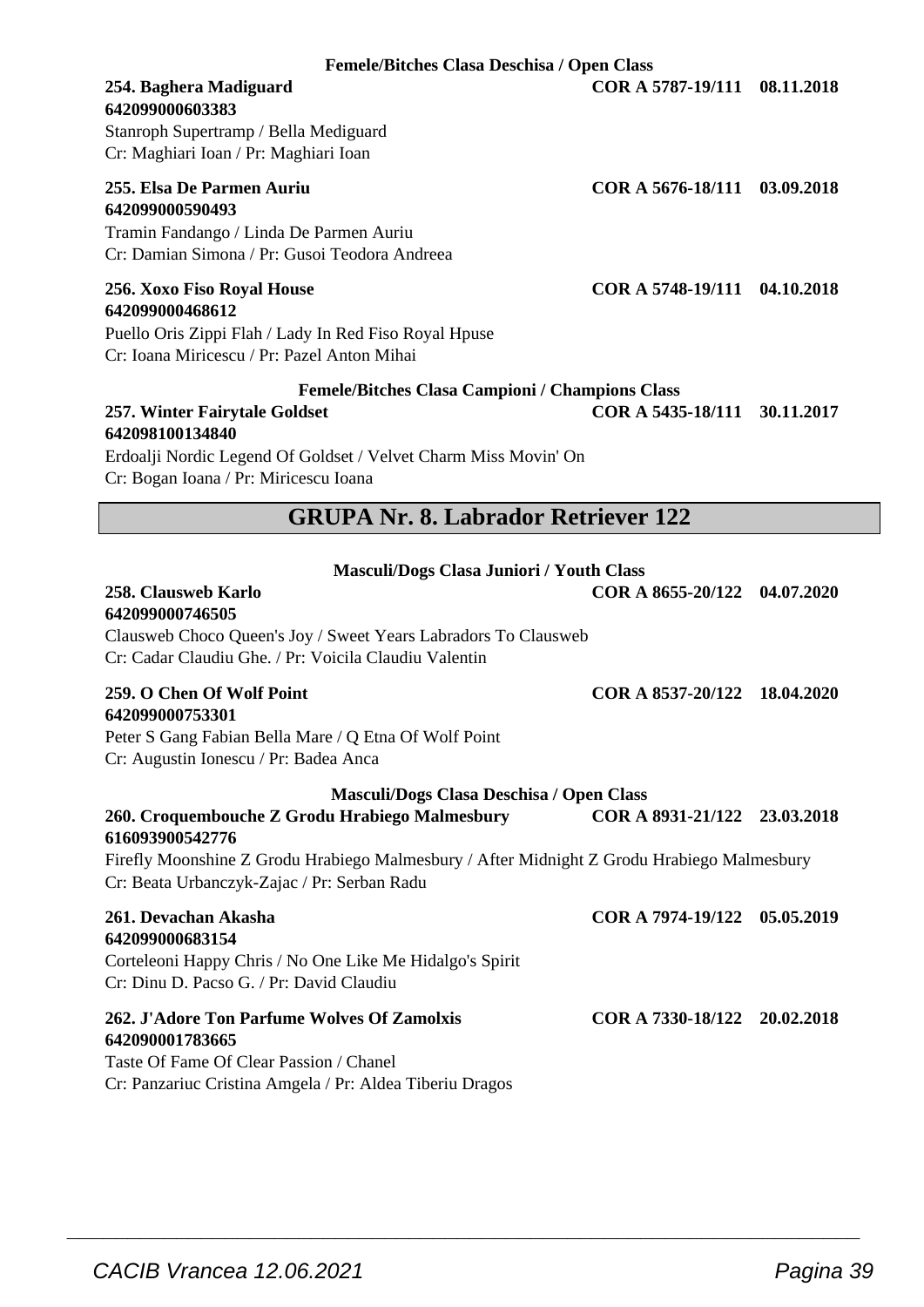**Femele/Bitches Clasa Deschisa / Open Class 254. Baghera Madiguard COR A 5787-19/111 08.11.2018**

## **642099000603383**

Stanroph Supertramp / Bella Mediguard Cr: Maghiari Ioan / Pr: Maghiari Ioan

## **642099000590493**

Tramin Fandango / Linda De Parmen Auriu Cr: Damian Simona / Pr: Gusoi Teodora Andreea

#### **256. Xoxo Fiso Royal House COR A 5748-19/111 04.10.2018 642099000468612**

Puello Oris Zippi Flah / Lady In Red Fiso Royal Hpuse Cr: Ioana Miricescu / Pr: Pazel Anton Mihai

#### **Femele/Bitches Clasa Campioni / Champions Class 257. Winter Fairytale Goldset COR A 5435-18/111 30.11.2017 642098100134840**

Erdoalji Nordic Legend Of Goldset / Velvet Charm Miss Movin' On Cr: Bogan Ioana / Pr: Miricescu Ioana

## **GRUPA Nr. 8. Labrador Retriever 122**

| <b>Masculi/Dogs Clasa Juniori / Youth Class</b>                                                                                                             |                              |  |  |
|-------------------------------------------------------------------------------------------------------------------------------------------------------------|------------------------------|--|--|
| 258. Clausweb Karlo<br>642099000746505                                                                                                                      | COR A 8655-20/122 04.07.2020 |  |  |
| Clausweb Choco Queen's Joy / Sweet Years Labradors To Clausweb<br>Cr: Cadar Claudiu Ghe. / Pr: Voicila Claudiu Valentin                                     |                              |  |  |
| 259. O Chen Of Wolf Point<br>642099000753301<br>Peter S Gang Fabian Bella Mare / Q Etna Of Wolf Point<br>Cr: Augustin Ionescu / Pr: Badea Anca              | COR A 8537-20/122 18.04.2020 |  |  |
| Masculi/Dogs Clasa Deschisa / Open Class                                                                                                                    |                              |  |  |
| 260. Croquembouche Z Grodu Hrabiego Malmesbury<br>616093900542776                                                                                           | COR A 8931-21/122 23.03.2018 |  |  |
| Firefly Moonshine Z Grodu Hrabiego Malmesbury / After Midnight Z Grodu Hrabiego Malmesbury<br>Cr: Beata Urbanczyk-Zajac / Pr: Serban Radu                   |                              |  |  |
| 261. Devachan Akasha<br>642099000683154<br>Corteleoni Happy Chris / No One Like Me Hidalgo's Spirit<br>Cr: Dinu D. Pacso G. / Pr: David Claudiu             | COR A 7974-19/122 05.05.2019 |  |  |
| 262. J'Adore Ton Parfume Wolves Of Zamolxis<br>642090001783665<br>Taste Of Fame Of Clear Passion / Chanel<br>$\mathbf{A}$ and $\mathbf{B}$ and $\mathbf{B}$ | COR A 7330-18/122 20.02.2018 |  |  |

 $\overline{\phantom{a}}$  , and the set of the set of the set of the set of the set of the set of the set of the set of the set of the set of the set of the set of the set of the set of the set of the set of the set of the set of the s

Cr: Panzariuc Cristina Amgela / Pr: Aldea Tiberiu Dragos

**255. Elsa De Parmen Auriu COR A 5676-18/111 03.09.2018**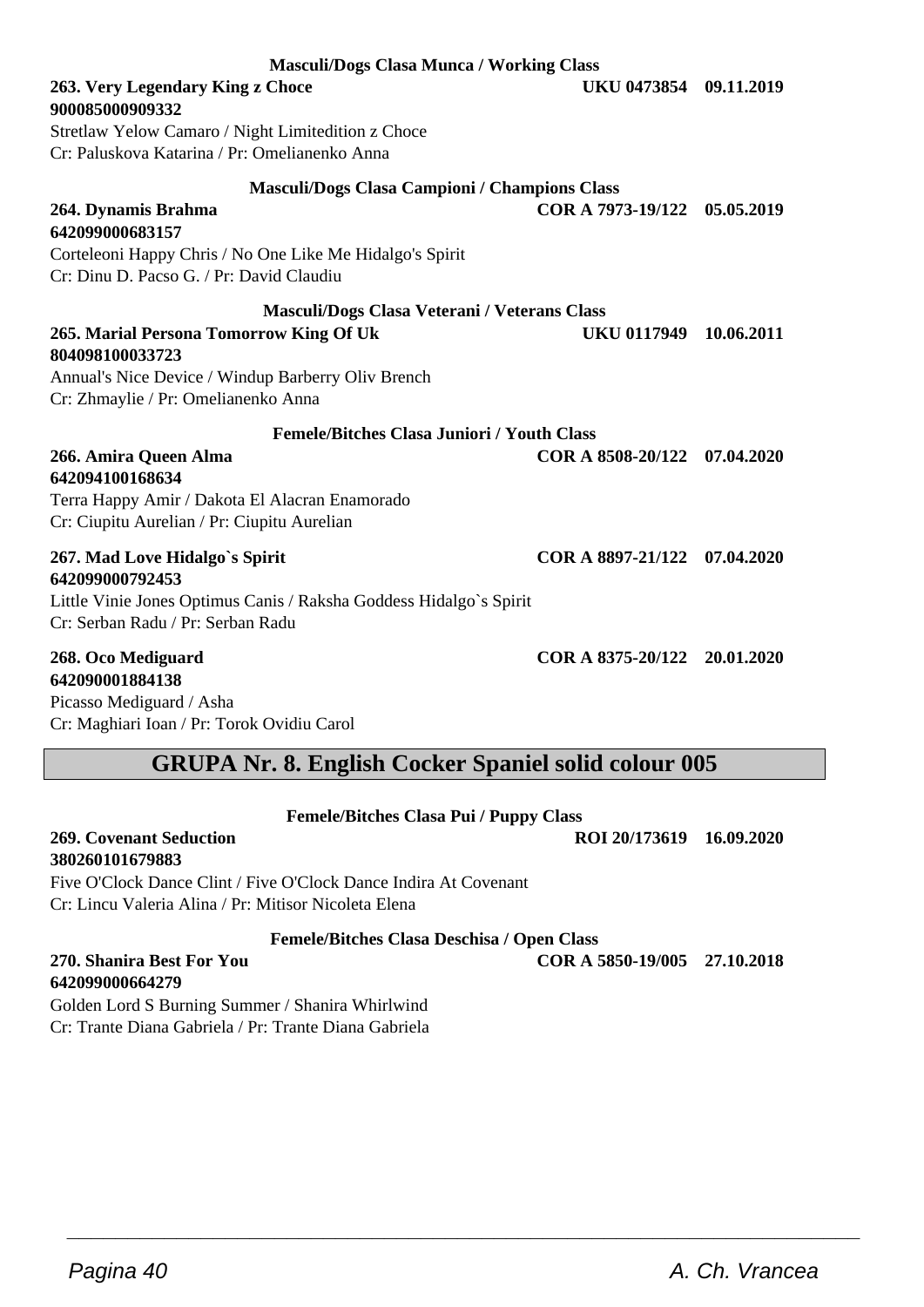**900085000909332 Masculi/Dogs Clasa Campioni / Champions Class 264. Dynamis Brahma COR A 7973-19/122 05.05.2019 Masculi/Dogs Clasa Veterani / Veterans Class 265. Marial Persona Tomorrow King Of Uk UKU 0117949 10.06.2011 804098100033723** Annual's Nice Device / Windup Barberry Oliv Brench Cr: Zhmaylie / Pr: Omelianenko Anna **Femele/Bitches Clasa Juniori / Youth Class 266. Amira Queen Alma COR A 8508-20/122 07.04.2020 642094100168634** Terra Happy Amir / Dakota El Alacran Enamorado Cr: Ciupitu Aurelian / Pr: Ciupitu Aurelian **267. Mad Love Hidalgo`s Spirit COR A 8897-21/122 07.04.2020 642099000792453** Little Vinie Jones Optimus Canis / Raksha Goddess Hidalgo`s Spirit Cr: Serban Radu / Pr: Serban Radu **268. Oco Mediguard COR A 8375-20/122 20.01.2020**

**642090001884138** Picasso Mediguard / Asha Cr: Maghiari Ioan / Pr: Torok Ovidiu Carol

## **GRUPA Nr. 8. English Cocker Spaniel solid colour 005**

**Femele/Bitches Clasa Pui / Puppy Class**

**269. Covenant Seduction ROI 20/173619 16.09.2020 380260101679883** Five O'Clock Dance Clint / Five O'Clock Dance Indira At Covenant

Cr: Lincu Valeria Alina / Pr: Mitisor Nicoleta Elena

**Femele/Bitches Clasa Deschisa / Open Class**

**642099000664279** Golden Lord S Burning Summer / Shanira Whirlwind Cr: Trante Diana Gabriela / Pr: Trante Diana Gabriela

## **Masculi/Dogs Clasa Munca / Working Class**

**263. Very Legendary King z Choce UKU 0473854 09.11.2019**

Stretlaw Yelow Camaro / Night Limitedition z Choce Cr: Paluskova Katarina / Pr: Omelianenko Anna

#### **642099000683157**

Corteleoni Happy Chris / No One Like Me Hidalgo's Spirit Cr: Dinu D. Pacso G. / Pr: David Claudiu

**270. Shanira Best For You COR A 5850-19/005 27.10.2018**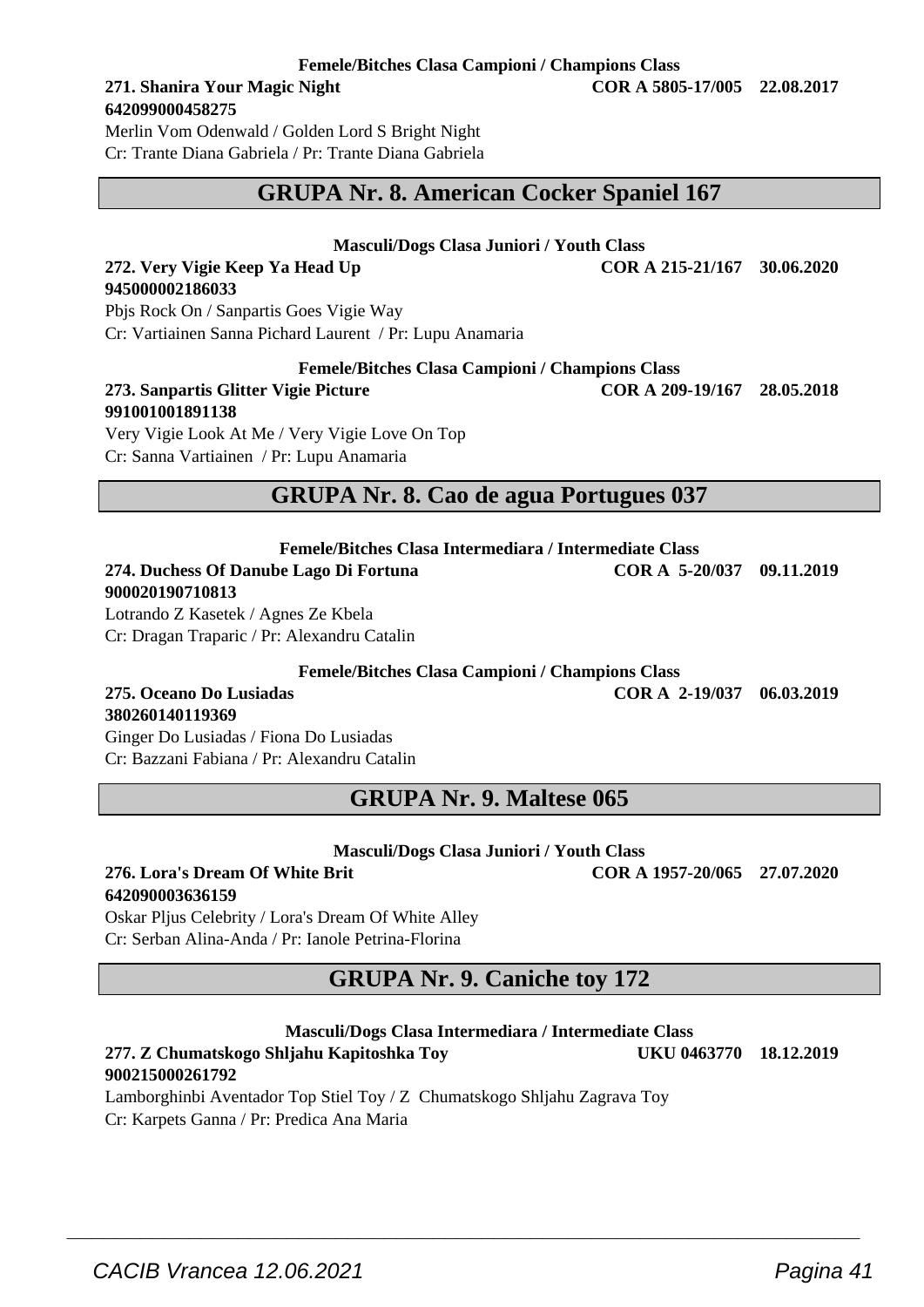**Femele/Bitches Clasa Campioni / Champions Class**

## **642099000458275**

Merlin Vom Odenwald / Golden Lord S Bright Night Cr: Trante Diana Gabriela / Pr: Trante Diana Gabriela

### **GRUPA Nr. 8. American Cocker Spaniel 167**

#### **Masculi/Dogs Clasa Juniori / Youth Class**

#### **272. Very Vigie Keep Ya Head Up COR A 215-21/167 30.06.2020 945000002186033**

Pbjs Rock On / Sanpartis Goes Vigie Way Cr: Vartiainen Sanna Pichard Laurent / Pr: Lupu Anamaria

**Femele/Bitches Clasa Campioni / Champions Class**

#### **273. Sanpartis Glitter Vigie Picture COR A 209-19/167 28.05.2018 991001001891138**

Very Vigie Look At Me / Very Vigie Love On Top Cr: Sanna Vartiainen / Pr: Lupu Anamaria

## **GRUPA Nr. 8. Cao de agua Portugues 037**

**Femele/Bitches Clasa Intermediara / Intermediate Class 274. Duchess Of Danube Lago Di Fortuna COR A 5-20/037 09.11.2019 900020190710813**

Lotrando Z Kasetek / Agnes Ze Kbela Cr: Dragan Traparic / Pr: Alexandru Catalin

**Femele/Bitches Clasa Campioni / Champions Class**

**275. Oceano Do Lusiadas COR A 2-19/037 06.03.2019**

**380260140119369** Ginger Do Lusiadas / Fiona Do Lusiadas Cr: Bazzani Fabiana / Pr: Alexandru Catalin

## **GRUPA Nr. 9. Maltese 065**

#### **Masculi/Dogs Clasa Juniori / Youth Class**

#### **276. Lora's Dream Of White Brit COR A 1957-20/065 27.07.2020 642090003636159**

Oskar Pljus Celebrity / Lora's Dream Of White Alley Cr: Serban Alina-Anda / Pr: Ianole Petrina-Florina

## **GRUPA Nr. 9. Caniche toy 172**

#### **Masculi/Dogs Clasa Intermediara / Intermediate Class**

#### **277. Z Chumatskogo Shljahu Kapitoshka Toy UKU 0463770 18.12.2019 900215000261792**

 $\overline{\phantom{a}}$  , and the set of the set of the set of the set of the set of the set of the set of the set of the set of the set of the set of the set of the set of the set of the set of the set of the set of the set of the s

Lamborghinbi Aventador Top Stiel Toy / Z Chumatskogo Shljahu Zagrava Toy Cr: Karpets Ganna / Pr: Predica Ana Maria

**271. Shanira Your Magic Night COR A 5805-17/005 22.08.2017**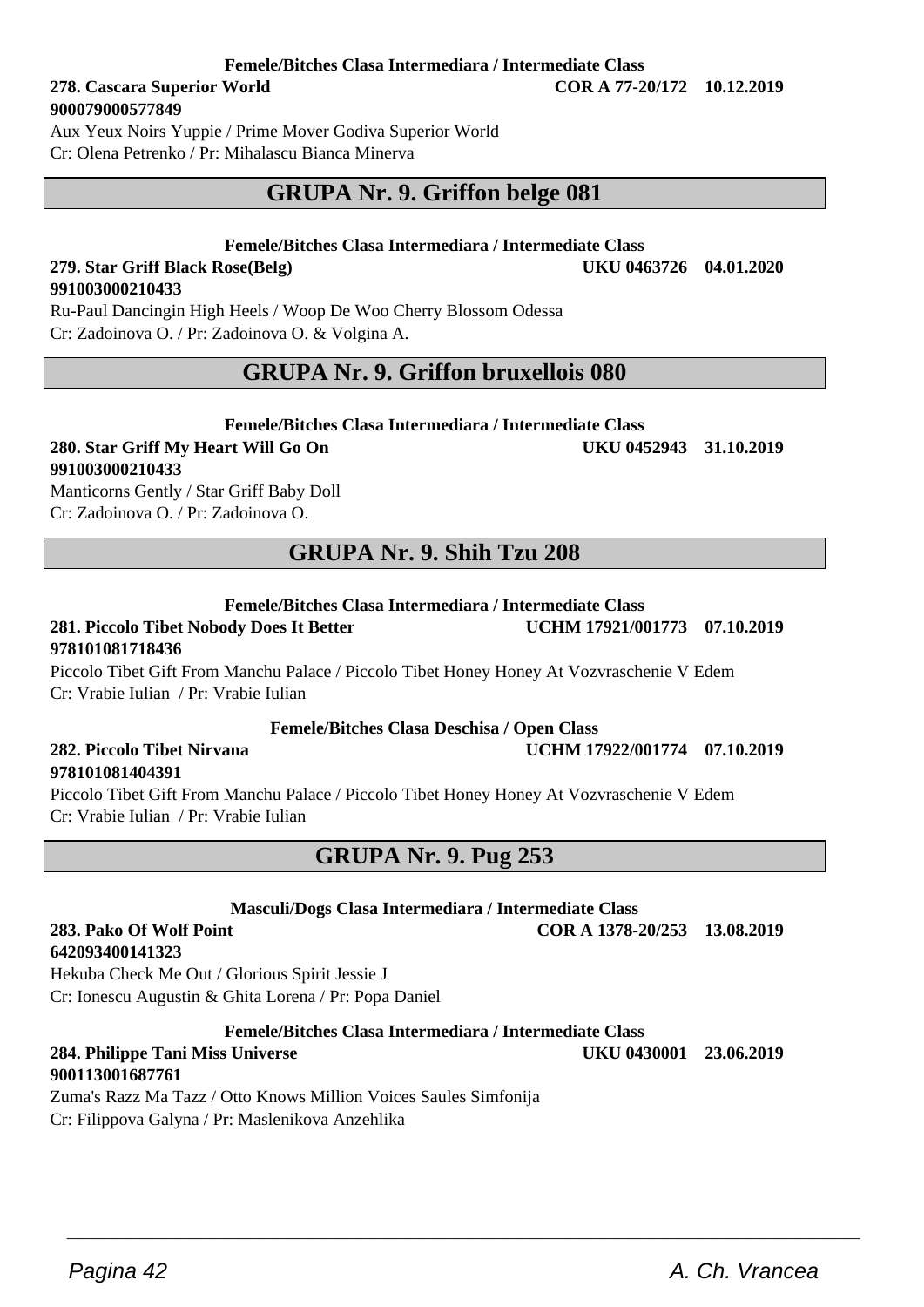#### **Femele/Bitches Clasa Intermediara / Intermediate Class**

**278. Cascara Superior World COR A 77-20/172 10.12.2019 900079000577849**

**279. Star Griff Black Rose(Belg)** 

**991003000210433**

Aux Yeux Noirs Yuppie / Prime Mover Godiva Superior World Cr: Olena Petrenko / Pr: Mihalascu Bianca Minerva

## **GRUPA Nr. 9. Griffon belge 081**

## **Femele/Bitches Clasa Intermediara / Intermediate Class**

Ru-Paul Dancingin High Heels / Woop De Woo Cherry Blossom Odessa Cr: Zadoinova O. / Pr: Zadoinova O. & Volgina A.

## **GRUPA Nr. 9. Griffon bruxellois 080**

#### **Femele/Bitches Clasa Intermediara / Intermediate Class**

## **280. Star Griff My Heart Will Go On UKU 0452943 31.10.2019 991003000210433**

Manticorns Gently / Star Griff Baby Doll Cr: Zadoinova O. / Pr: Zadoinova O.

## **GRUPA Nr. 9. Shih Tzu 208**

**Femele/Bitches Clasa Intermediara / Intermediate Class**

### **281. Piccolo Tibet Nobody Does It Better UCHM 17921/001773 07.10.2019 978101081718436**

#### Piccolo Tibet Gift From Manchu Palace / Piccolo Tibet Honey Honey At Vozvraschenie V Edem Cr: Vrabie Iulian / Pr: Vrabie Iulian

#### **Femele/Bitches Clasa Deschisa / Open Class**

## **978101081404391**

Piccolo Tibet Gift From Manchu Palace / Piccolo Tibet Honey Honey At Vozvraschenie V Edem Cr: Vrabie Iulian / Pr: Vrabie Iulian

### **GRUPA Nr. 9. Pug 253**

**Masculi/Dogs Clasa Intermediara / Intermediate Class**

**642093400141323**

Hekuba Check Me Out / Glorious Spirit Jessie J Cr: Ionescu Augustin & Ghita Lorena / Pr: Popa Daniel

**Femele/Bitches Clasa Intermediara / Intermediate Class**

 $\overline{\phantom{a}}$  , and the set of the set of the set of the set of the set of the set of the set of the set of the set of the set of the set of the set of the set of the set of the set of the set of the set of the set of the s

**284. Philippe Tani Miss Universe UKU 0430001 23.06.2019**

**900113001687761** Zuma's Razz Ma Tazz / Otto Knows Million Voices Saules Simfonija Cr: Filippova Galyna / Pr: Maslenikova Anzehlika

**282. Piccolo Tibet Nirvana UCHM 17922/001774 07.10.2019**

Pagina 42 **A. Ch. Vrancea** A. Ch. Vrancea

**283. Pako Of Wolf Point COR A 1378-20/253 13.08.2019**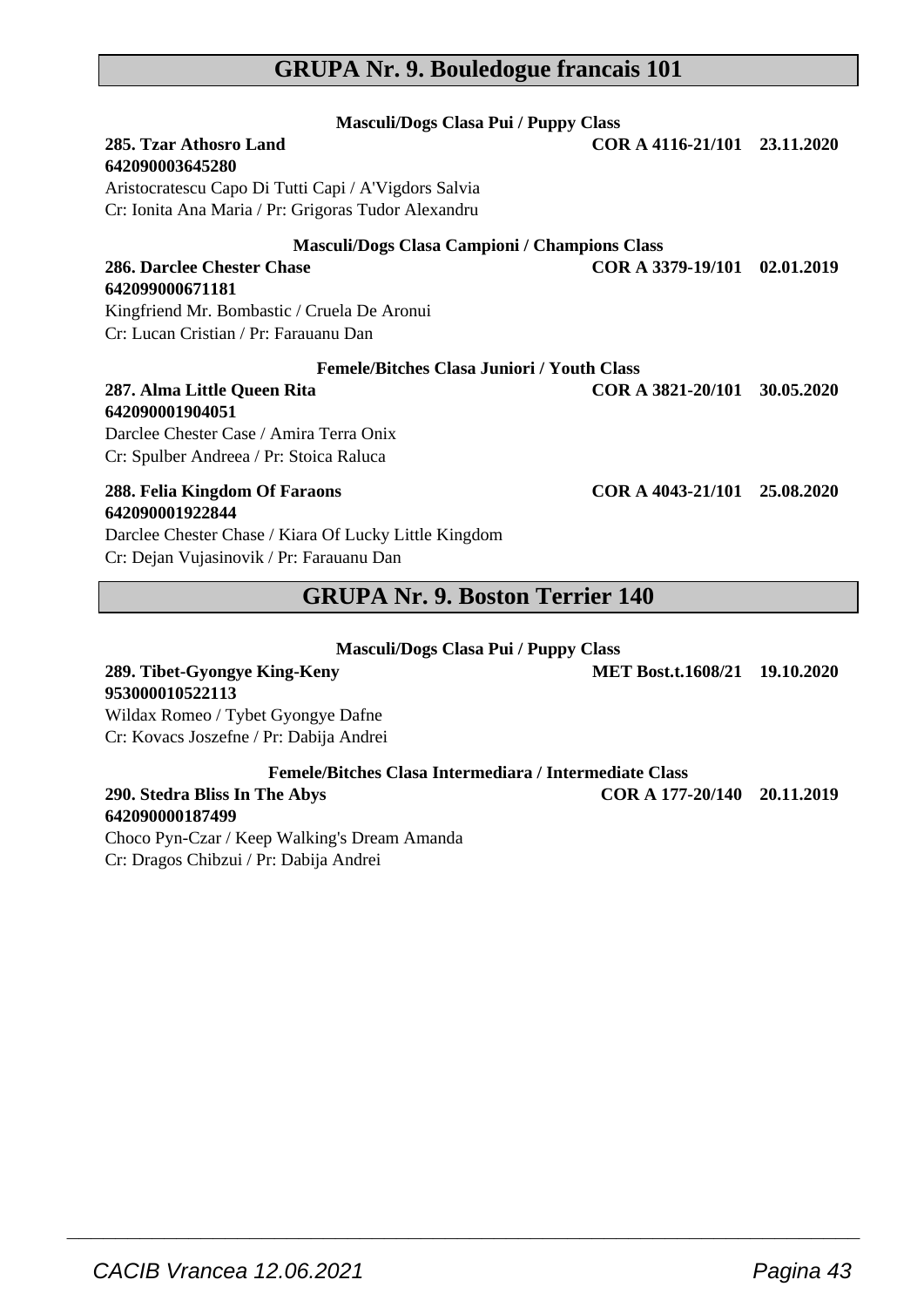## **GRUPA Nr. 9. Bouledogue francais 101**

| <b>Masculi/Dogs Clasa Pui / Puppy Class</b>               |                              |            |  |
|-----------------------------------------------------------|------------------------------|------------|--|
| 285. Tzar Athosro Land                                    | COR A 4116-21/101 23.11.2020 |            |  |
| 642090003645280                                           |                              |            |  |
| Aristocratescu Capo Di Tutti Capi / A'Vigdors Salvia      |                              |            |  |
| Cr: Ionita Ana Maria / Pr: Grigoras Tudor Alexandru       |                              |            |  |
| Masculi/Dogs Clasa Campioni / Champions Class             |                              |            |  |
| 286. Darclee Chester Chase                                | COR A 3379-19/101            | 02.01.2019 |  |
| 642099000671181                                           |                              |            |  |
| Kingfriend Mr. Bombastic / Cruela De Aronui               |                              |            |  |
| Cr: Lucan Cristian / Pr: Farauanu Dan                     |                              |            |  |
| <b>Femele/Bitches Clasa Juniori / Youth Class</b>         |                              |            |  |
| 287. Alma Little Queen Rita                               | COR A 3821-20/101            | 30.05.2020 |  |
| 642090001904051                                           |                              |            |  |
| Darclee Chester Case / Amira Terra Onix                   |                              |            |  |
| Cr: Spulber Andreea / Pr: Stoica Raluca                   |                              |            |  |
| 288. Felia Kingdom Of Faraons                             | COR A 4043-21/101 25.08.2020 |            |  |
| 642090001922844                                           |                              |            |  |
| Darclee Chester Chase / Kiara Of Lucky Little Kingdom     |                              |            |  |
| Cr: Dejan Vujasinovik / Pr: Farauanu Dan<br>$C\mathbf{N}$ | $\bullet$<br>$\overline{A}$  |            |  |

## **GRUPA Nr. 9. Boston Terrier 140**

| Masculi/Dogs Clasa Pui / Puppy Class |  |  |  |  |
|--------------------------------------|--|--|--|--|
|--------------------------------------|--|--|--|--|

| MET Bost.t.1608/21 19.10.2020                          |                             |
|--------------------------------------------------------|-----------------------------|
|                                                        |                             |
|                                                        |                             |
|                                                        |                             |
| Femele/Bitches Clasa Intermediara / Intermediate Class |                             |
|                                                        |                             |
|                                                        |                             |
|                                                        | COR A 177-20/140 20.11.2019 |

 $\overline{\phantom{a}}$  , and the set of the set of the set of the set of the set of the set of the set of the set of the set of the set of the set of the set of the set of the set of the set of the set of the set of the set of the s

Choco Pyn-Czar / Keep Walking's Dream Amanda Cr: Dragos Chibzui / Pr: Dabija Andrei